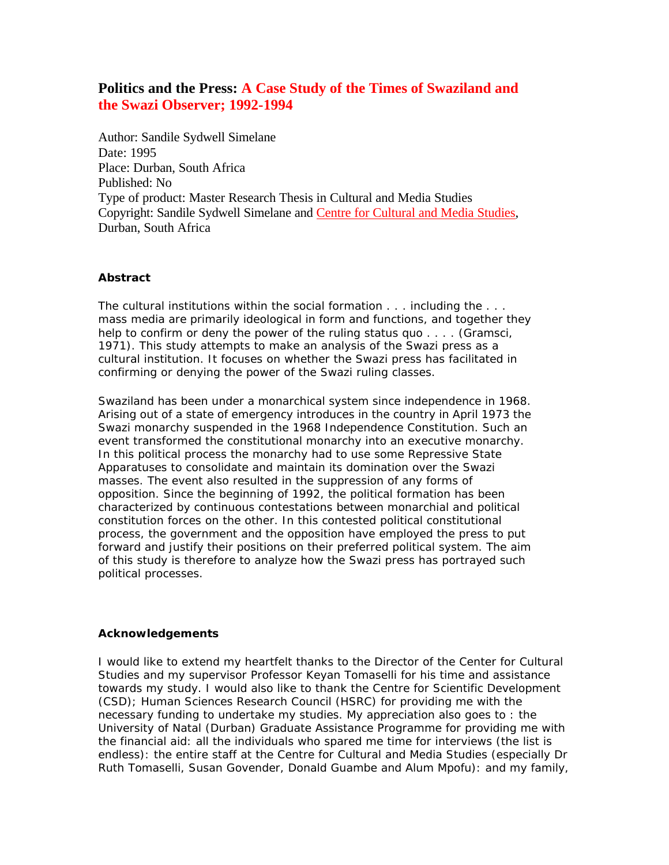# **Politics and the Press: A Case Study of the Times of Swaziland and the Swazi Observer; 1992-1994**

Author: Sandile Sydwell Simelane Date: 1995 Place: Durban, South Africa Published: No Type of product: Master Research Thesis in Cultural and Media Studies Copyright: Sandile Sydwell Simelane and Centre for Cultural and Media Studies, Durban, South Africa

### **Abstract**

The cultural institutions within the social formation . . . including the . . . mass media are primarily ideological in form and functions, and together they help to confirm or deny the power of the ruling status quo . . . . (Gramsci, 1971). This study attempts to make an analysis of the Swazi press as a cultural institution. It focuses on whether the Swazi press has facilitated in confirming or denying the power of the Swazi ruling classes.

Swaziland has been under a monarchical system since independence in 1968. Arising out of a state of emergency introduces in the country in April 1973 the Swazi monarchy suspended in the 1968 Independence Constitution. Such an event transformed the constitutional monarchy into an executive monarchy. In this political process the monarchy had to use some Repressive State Apparatuses to consolidate and maintain its domination over the Swazi masses. The event also resulted in the suppression of any forms of opposition. Since the beginning of 1992, the political formation has been characterized by continuous contestations between monarchial and political constitution forces on the other. In this contested political constitutional process, the government and the opposition have employed the press to put forward and justify their positions on their preferred political system. The aim of this study is therefore to analyze how the Swazi press has portrayed such political processes.

### **Acknowledgements**

I would like to extend my heartfelt thanks to the Director of the Center for Cultural Studies and my supervisor Professor Keyan Tomaselli for his time and assistance towards my study. I would also like to thank the Centre for Scientific Development (CSD); Human Sciences Research Council (HSRC) for providing me with the necessary funding to undertake my studies. My appreciation also goes to : the University of Natal (Durban) Graduate Assistance Programme for providing me with the financial aid: all the individuals who spared me time for interviews (the list is endless): the entire staff at the Centre for Cultural and Media Studies (especially Dr Ruth Tomaselli, Susan Govender, Donald Guambe and Alum Mpofu): and my family,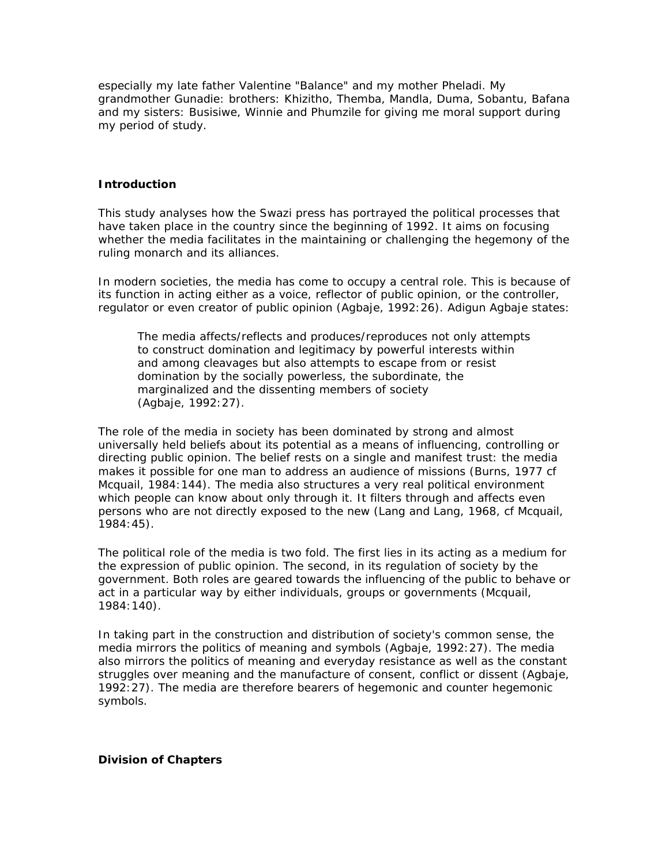especially my late father Valentine "Balance" and my mother Pheladi. My grandmother Gunadie: brothers: Khizitho, Themba, Mandla, Duma, Sobantu, Bafana and my sisters: Busisiwe, Winnie and Phumzile for giving me moral support during my period of study.

### **Introduction**

This study analyses how the Swazi press has portrayed the political processes that have taken place in the country since the beginning of 1992. It aims on focusing whether the media facilitates in the maintaining or challenging the hegemony of the ruling monarch and its alliances.

In modern societies, the media has come to occupy a central role. This is because of its function in acting either as a voice, reflector of public opinion, or the controller, regulator or even creator of public opinion (Agbaje, 1992:26). Adigun Agbaje states:

The media affects/reflects and produces/reproduces not only attempts to construct domination and legitimacy by powerful interests within and among cleavages but also attempts to escape from or resist domination by the socially powerless, the subordinate, the marginalized and the dissenting members of society (Agbaje, 1992:27).

The role of the media in society has been dominated by strong and almost universally held beliefs about its potential as a means of influencing, controlling or directing public opinion. The belief rests on a single and manifest trust: the media makes it possible for one man to address an audience of missions (Burns, 1977 cf Mcquail, 1984:144). The media also structures a very real political environment which people can know about only through it. It filters through and affects even persons who are not directly exposed to the new (Lang and Lang, 1968, cf Mcquail, 1984:45).

The political role of the media is two fold. The first lies in its acting as a medium for the expression of public opinion. The second, in its regulation of society by the government. Both roles are geared towards the influencing of the public to behave or act in a particular way by either individuals, groups or governments (Mcquail, 1984:140).

In taking part in the construction and distribution of society's common sense, the media mirrors the politics of meaning and symbols (Agbaje, 1992:27). The media also mirrors the politics of meaning and everyday resistance as well as the constant struggles over meaning and the manufacture of consent, conflict or dissent (Agbaje, 1992:27). The media are therefore bearers of hegemonic and counter hegemonic symbols.

#### **Division of Chapters**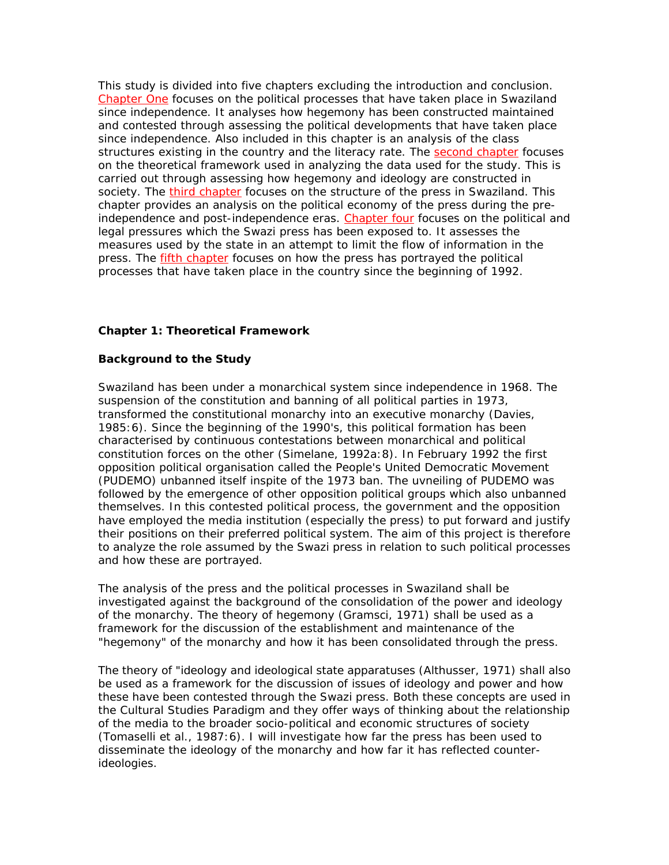This study is divided into five chapters excluding the introduction and conclusion. Chapter One focuses on the political processes that have taken place in Swaziland since independence. It analyses how hegemony has been constructed maintained and contested through assessing the political developments that have taken place since independence. Also included in this chapter is an analysis of the class structures existing in the country and the literacy rate. The second chapter focuses on the theoretical framework used in analyzing the data used for the study. This is carried out through assessing how hegemony and ideology are constructed in society. The third chapter focuses on the structure of the press in Swaziland. This chapter provides an analysis on the political economy of the press during the preindependence and post-independence eras. Chapter four focuses on the political and legal pressures which the Swazi press has been exposed to. It assesses the measures used by the state in an attempt to limit the flow of information in the press. The fifth chapter focuses on how the press has portrayed the political processes that have taken place in the country since the beginning of 1992.

### **Chapter 1: Theoretical Framework**

#### **Background to the Study**

Swaziland has been under a monarchical system since independence in 1968. The suspension of the constitution and banning of all political parties in 1973, transformed the constitutional monarchy into an executive monarchy (Davies, 1985:6). Since the beginning of the 1990's, this political formation has been characterised by continuous contestations between monarchical and political constitution forces on the other (Simelane, 1992a:8). In February 1992 the first opposition political organisation called the People's United Democratic Movement (PUDEMO) unbanned itself inspite of the 1973 ban. The uvneiling of PUDEMO was followed by the emergence of other opposition political groups which also unbanned themselves. In this contested political process, the government and the opposition have employed the media institution (especially the press) to put forward and justify their positions on their preferred political system. The aim of this project is therefore to analyze the role assumed by the Swazi press in relation to such political processes and how these are portrayed.

The analysis of the press and the political processes in Swaziland shall be investigated against the background of the consolidation of the power and ideology of the monarchy. The theory of hegemony (Gramsci, 1971) shall be used as a framework for the discussion of the establishment and maintenance of the "hegemony" of the monarchy and how it has been consolidated through the press.

The theory of "ideology and ideological state apparatuses (Althusser, 1971) shall also be used as a framework for the discussion of issues of ideology and power and how these have been contested through the Swazi press. Both these concepts are used in the Cultural Studies Paradigm and they offer ways of thinking about the relationship of the media to the broader socio-political and economic structures of society (Tomaselli et al., 1987:6). I will investigate how far the press has been used to disseminate the ideology of the monarchy and how far it has reflected counterideologies.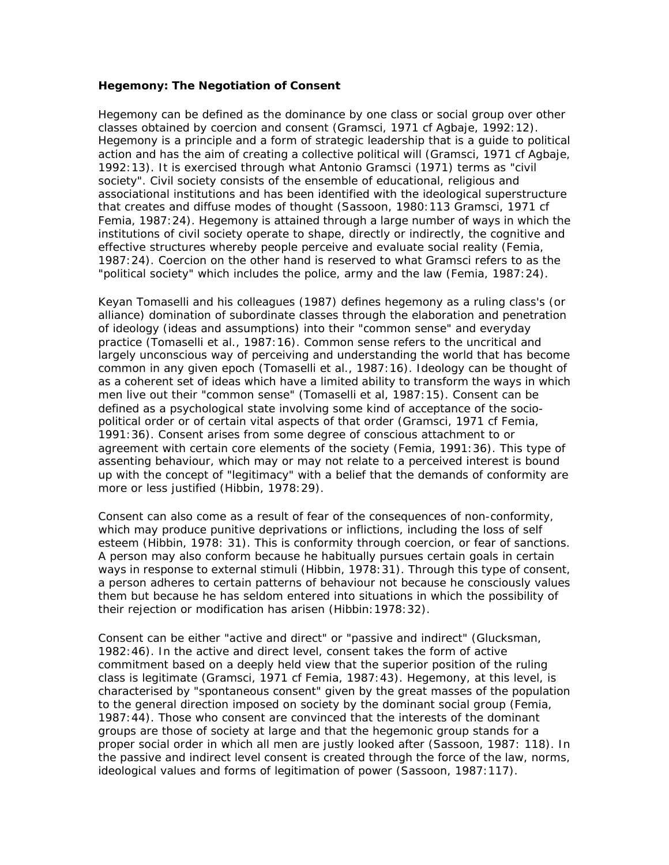#### **Hegemony: The Negotiation of Consent**

Hegemony can be defined as the dominance by one class or social group over other classes obtained by coercion and consent (Gramsci, 1971 cf Agbaje, 1992:12). Hegemony is a principle and a form of strategic leadership that is a guide to political action and has the aim of creating a collective political will (Gramsci, 1971 cf Agbaje, 1992:13). It is exercised through what Antonio Gramsci (1971) terms as "civil society". Civil society consists of the ensemble of educational, religious and associational institutions and has been identified with the ideological superstructure that creates and diffuse modes of thought (Sassoon, 1980:113 Gramsci, 1971 cf Femia, 1987:24). Hegemony is attained through a large number of ways in which the institutions of civil society operate to shape, directly or indirectly, the cognitive and effective structures whereby people perceive and evaluate social reality (Femia, 1987:24). Coercion on the other hand is reserved to what Gramsci refers to as the "political society" which includes the police, army and the law (Femia, 1987:24).

Keyan Tomaselli and his colleagues (1987) defines hegemony as a ruling class's (or alliance) domination of subordinate classes through the elaboration and penetration of ideology (ideas and assumptions) into their "common sense" and everyday practice (Tomaselli et al., 1987:16). Common sense refers to the uncritical and largely unconscious way of perceiving and understanding the world that has become common in any given epoch (Tomaselli et al., 1987:16). Ideology can be thought of as a coherent set of ideas which have a limited ability to transform the ways in which men live out their "common sense" (Tomaselli et al, 1987:15). Consent can be defined as a psychological state involving some kind of acceptance of the sociopolitical order or of certain vital aspects of that order (Gramsci, 1971 cf Femia, 1991:36). Consent arises from some degree of conscious attachment to or agreement with certain core elements of the society (Femia, 1991:36). This type of assenting behaviour, which may or may not relate to a perceived interest is bound up with the concept of "legitimacy" with a belief that the demands of conformity are more or less justified (Hibbin, 1978:29).

Consent can also come as a result of fear of the consequences of non-conformity, which may produce punitive deprivations or inflictions, including the loss of self esteem (Hibbin, 1978: 31). This is conformity through coercion, or fear of sanctions. A person may also conform because he habitually pursues certain goals in certain ways in response to external stimuli (Hibbin, 1978:31). Through this type of consent, a person adheres to certain patterns of behaviour not because he consciously values them but because he has seldom entered into situations in which the possibility of their rejection or modification has arisen (Hibbin:1978:32).

Consent can be either "active and direct" or "passive and indirect" (Glucksman, 1982:46). In the active and direct level, consent takes the form of active commitment based on a deeply held view that the superior position of the ruling class is legitimate (Gramsci, 1971 cf Femia, 1987:43). Hegemony, at this level, is characterised by "spontaneous consent" given by the great masses of the population to the general direction imposed on society by the dominant social group (Femia, 1987:44). Those who consent are convinced that the interests of the dominant groups are those of society at large and that the hegemonic group stands for a proper social order in which all men are justly looked after (Sassoon, 1987: 118). In the passive and indirect level consent is created through the force of the law, norms, ideological values and forms of legitimation of power (Sassoon, 1987:117).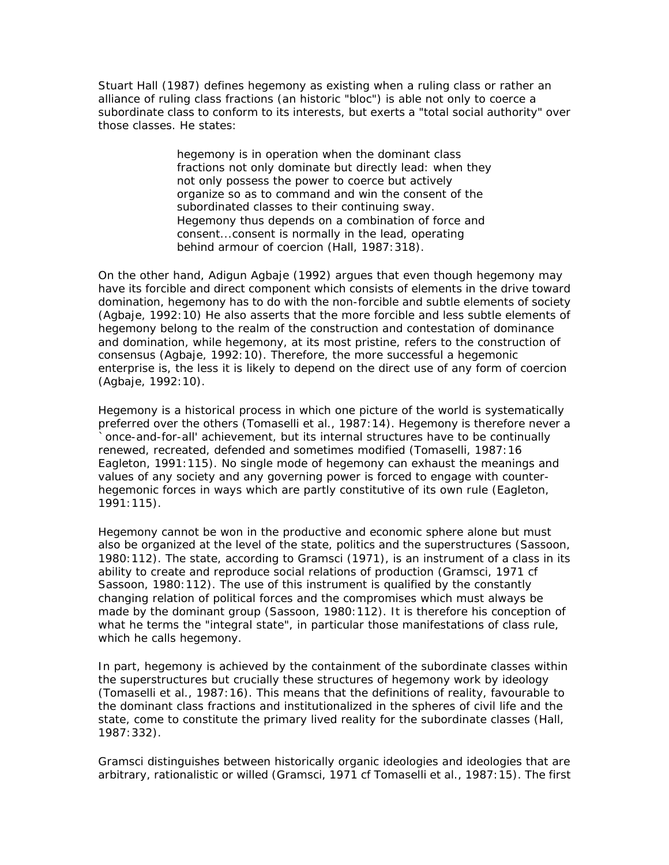Stuart Hall (1987) defines hegemony as existing when a ruling class or rather an alliance of ruling class fractions (an historic "bloc") is able not only to coerce a subordinate class to conform to its interests, but exerts a "total social authority" over those classes. He states:

> hegemony is in operation when the dominant class fractions not only dominate but directly lead: when they not only possess the power to coerce but actively organize so as to command and win the consent of the subordinated classes to their continuing sway. Hegemony thus depends on a combination of force and consent...consent is normally in the lead, operating behind armour of coercion (Hall, 1987: 318).

On the other hand, Adigun Agbaje (1992) argues that even though hegemony may have its forcible and direct component which consists of elements in the drive toward domination, hegemony has to do with the non-forcible and subtle elements of society (Agbaje, 1992:10) He also asserts that the more forcible and less subtle elements of hegemony belong to the realm of the construction and contestation of dominance and domination, while hegemony, at its most pristine, refers to the construction of consensus (Agbaje, 1992:10). Therefore, the more successful a hegemonic enterprise is, the less it is likely to depend on the direct use of any form of coercion (Agbaje, 1992:10).

Hegemony is a historical process in which one picture of the world is systematically preferred over the others (Tomaselli et al., 1987:14). Hegemony is therefore never a `once-and-for-all' achievement, but its internal structures have to be continually renewed, recreated, defended and sometimes modified (Tomaselli, 1987:16 Eagleton, 1991:115). No single mode of hegemony can exhaust the meanings and values of any society and any governing power is forced to engage with counterhegemonic forces in ways which are partly constitutive of its own rule (Eagleton, 1991:115).

Hegemony cannot be won in the productive and economic sphere alone but must also be organized at the level of the state, politics and the superstructures (Sassoon, 1980:112). The state, according to Gramsci (1971), is an instrument of a class in its ability to create and reproduce social relations of production (Gramsci, 1971 cf Sassoon, 1980:112). The use of this instrument is qualified by the constantly changing relation of political forces and the compromises which must always be made by the dominant group (Sassoon, 1980:112). It is therefore his conception of what he terms the "integral state", in particular those manifestations of class rule, which he calls hegemony.

In part, hegemony is achieved by the containment of the subordinate classes within the superstructures but crucially these structures of hegemony work by ideology (Tomaselli et al., 1987:16). This means that the definitions of reality, favourable to the dominant class fractions and institutionalized in the spheres of civil life and the state, come to constitute the primary lived reality for the subordinate classes (Hall, 1987:332).

Gramsci distinguishes between historically organic ideologies and ideologies that are arbitrary, rationalistic or willed (Gramsci, 1971 cf Tomaselli et al., 1987:15). The first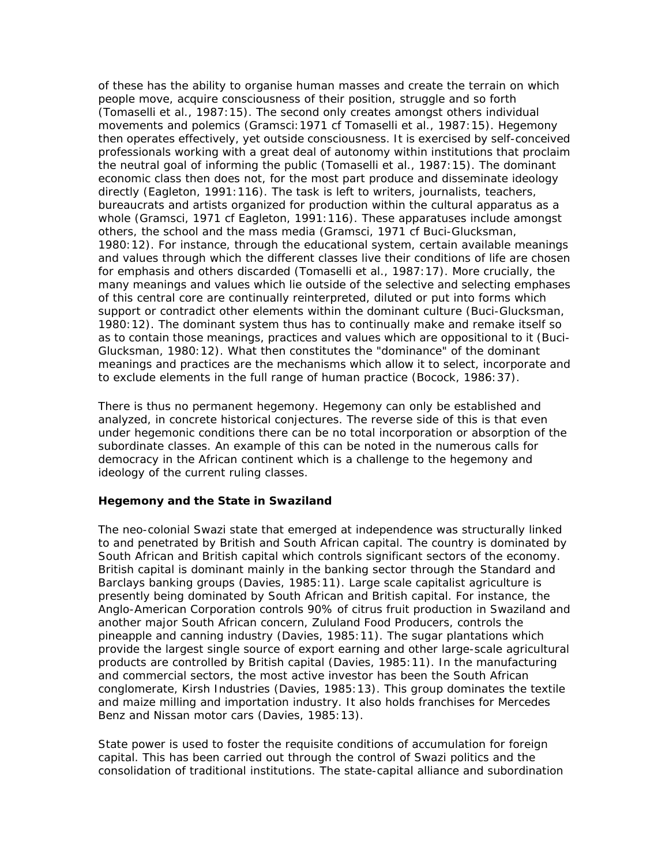of these has the ability to organise human masses and create the terrain on which people move, acquire consciousness of their position, struggle and so forth (Tomaselli et al., 1987:15). The second only creates amongst others individual movements and polemics (Gramsci:1971 cf Tomaselli et al., 1987:15). Hegemony then operates effectively, yet outside consciousness. It is exercised by self-conceived professionals working with a great deal of autonomy within institutions that proclaim the neutral goal of informing the public (Tomaselli et al., 1987:15). The dominant economic class then does not, for the most part produce and disseminate ideology directly (Eagleton, 1991:116). The task is left to writers, journalists, teachers, bureaucrats and artists organized for production within the cultural apparatus as a whole (Gramsci, 1971 cf Eagleton, 1991:116). These apparatuses include amongst others, the school and the mass media (Gramsci, 1971 cf Buci-Glucksman, 1980:12). For instance, through the educational system, certain available meanings and values through which the different classes live their conditions of life are chosen for emphasis and others discarded (Tomaselli et al., 1987:17). More crucially, the many meanings and values which lie outside of the selective and selecting emphases of this central core are continually reinterpreted, diluted or put into forms which support or contradict other elements within the dominant culture (Buci-Glucksman, 1980:12). The dominant system thus has to continually make and remake itself so as to contain those meanings, practices and values which are oppositional to it (Buci-Glucksman, 1980:12). What then constitutes the "dominance" of the dominant meanings and practices are the mechanisms which allow it to select, incorporate and to exclude elements in the full range of human practice (Bocock, 1986:37).

There is thus no permanent hegemony. Hegemony can only be established and analyzed, in concrete historical conjectures. The reverse side of this is that even under hegemonic conditions there can be no total incorporation or absorption of the subordinate classes. An example of this can be noted in the numerous calls for democracy in the African continent which is a challenge to the hegemony and ideology of the current ruling classes.

### **Hegemony and the State in Swaziland**

The neo-colonial Swazi state that emerged at independence was structurally linked to and penetrated by British and South African capital. The country is dominated by South African and British capital which controls significant sectors of the economy. British capital is dominant mainly in the banking sector through the Standard and Barclays banking groups (Davies, 1985:11). Large scale capitalist agriculture is presently being dominated by South African and British capital. For instance, the Anglo-American Corporation controls 90% of citrus fruit production in Swaziland and another major South African concern, Zululand Food Producers, controls the pineapple and canning industry (Davies, 1985:11). The sugar plantations which provide the largest single source of export earning and other large-scale agricultural products are controlled by British capital (Davies, 1985:11). In the manufacturing and commercial sectors, the most active investor has been the South African conglomerate, Kirsh Industries (Davies, 1985:13). This group dominates the textile and maize milling and importation industry. It also holds franchises for Mercedes Benz and Nissan motor cars (Davies, 1985:13).

State power is used to foster the requisite conditions of accumulation for foreign capital. This has been carried out through the control of Swazi politics and the consolidation of traditional institutions. The state-capital alliance and subordination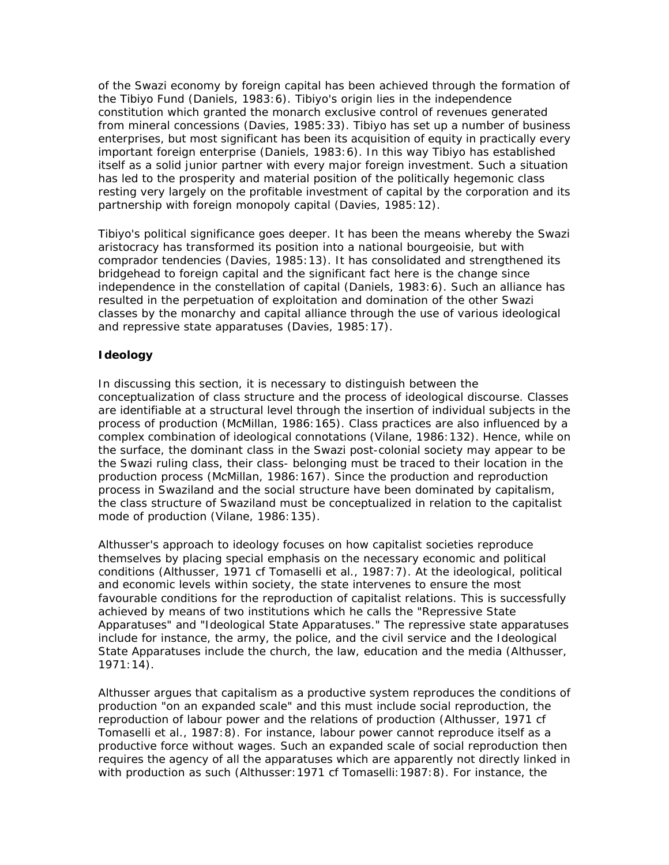of the Swazi economy by foreign capital has been achieved through the formation of the Tibiyo Fund (Daniels, 1983:6). Tibiyo's origin lies in the independence constitution which granted the monarch exclusive control of revenues generated from mineral concessions (Davies, 1985:33). Tibiyo has set up a number of business enterprises, but most significant has been its acquisition of equity in practically every important foreign enterprise (Daniels, 1983:6). In this way Tibiyo has established itself as a solid junior partner with every major foreign investment. Such a situation has led to the prosperity and material position of the politically hegemonic class resting very largely on the profitable investment of capital by the corporation and its partnership with foreign monopoly capital (Davies, 1985:12).

Tibiyo's political significance goes deeper. It has been the means whereby the Swazi aristocracy has transformed its position into a national bourgeoisie, but with comprador tendencies (Davies, 1985:13). It has consolidated and strengthened its bridgehead to foreign capital and the significant fact here is the change since independence in the constellation of capital (Daniels, 1983:6). Such an alliance has resulted in the perpetuation of exploitation and domination of the other Swazi classes by the monarchy and capital alliance through the use of various ideological and repressive state apparatuses (Davies, 1985:17).

# **Ideology**

In discussing this section, it is necessary to distinguish between the conceptualization of class structure and the process of ideological discourse. Classes are identifiable at a structural level through the insertion of individual subjects in the process of production (McMillan, 1986:165). Class practices are also influenced by a complex combination of ideological connotations (Vilane, 1986:132). Hence, while on the surface, the dominant class in the Swazi post-colonial society may appear to be the Swazi ruling class, their class- belonging must be traced to their location in the production process (McMillan, 1986:167). Since the production and reproduction process in Swaziland and the social structure have been dominated by capitalism, the class structure of Swaziland must be conceptualized in relation to the capitalist mode of production (Vilane, 1986:135).

Althusser's approach to ideology focuses on how capitalist societies reproduce themselves by placing special emphasis on the necessary economic and political conditions (Althusser, 1971 cf Tomaselli et al., 1987:7). At the ideological, political and economic levels within society, the state intervenes to ensure the most favourable conditions for the reproduction of capitalist relations. This is successfully achieved by means of two institutions which he calls the "Repressive State Apparatuses" and "Ideological State Apparatuses." The repressive state apparatuses include for instance, the army, the police, and the civil service and the Ideological State Apparatuses include the church, the law, education and the media (Althusser, 1971:14).

Althusser argues that capitalism as a productive system reproduces the conditions of production "on an expanded scale" and this must include social reproduction, the reproduction of labour power and the relations of production (Althusser, 1971 cf Tomaselli et al., 1987:8). For instance, labour power cannot reproduce itself as a productive force without wages. Such an expanded scale of social reproduction then requires the agency of all the apparatuses which are apparently not directly linked in with production as such (Althusser:1971 cf Tomaselli:1987:8). For instance, the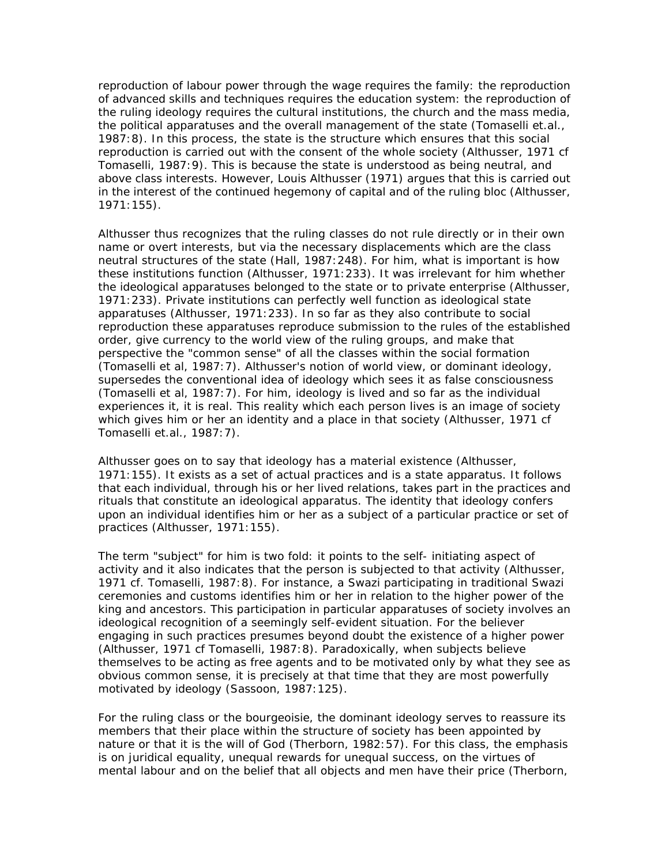reproduction of labour power through the wage requires the family: the reproduction of advanced skills and techniques requires the education system: the reproduction of the ruling ideology requires the cultural institutions, the church and the mass media, the political apparatuses and the overall management of the state (Tomaselli et.al., 1987:8). In this process, the state is the structure which ensures that this social reproduction is carried out with the consent of the whole society (Althusser, 1971 cf Tomaselli, 1987:9). This is because the state is understood as being neutral, and above class interests. However, Louis Althusser (1971) argues that this is carried out in the interest of the continued hegemony of capital and of the ruling bloc (Althusser, 1971:155).

Althusser thus recognizes that the ruling classes do not rule directly or in their own name or overt interests, but via the necessary displacements which are the class neutral structures of the state (Hall, 1987:248). For him, what is important is how these institutions function (Althusser, 1971:233). It was irrelevant for him whether the ideological apparatuses belonged to the state or to private enterprise (Althusser, 1971:233). Private institutions can perfectly well function as ideological state apparatuses (Althusser, 1971:233). In so far as they also contribute to social reproduction these apparatuses reproduce submission to the rules of the established order, give currency to the world view of the ruling groups, and make that perspective the "common sense" of all the classes within the social formation (Tomaselli et al, 1987:7). Althusser's notion of world view, or dominant ideology, supersedes the conventional idea of ideology which sees it as false consciousness (Tomaselli et al, 1987:7). For him, ideology is lived and so far as the individual experiences it, it is real. This reality which each person lives is an image of society which gives him or her an identity and a place in that society (Althusser, 1971 cf Tomaselli et.al., 1987:7).

Althusser goes on to say that ideology has a material existence (Althusser, 1971:155). It exists as a set of actual practices and is a state apparatus. It follows that each individual, through his or her lived relations, takes part in the practices and rituals that constitute an ideological apparatus. The identity that ideology confers upon an individual identifies him or her as a subject of a particular practice or set of practices (Althusser, 1971:155).

The term "subject" for him is two fold: it points to the self- initiating aspect of activity and it also indicates that the person is subjected to that activity (Althusser, 1971 cf. Tomaselli, 1987:8). For instance, a Swazi participating in traditional Swazi ceremonies and customs identifies him or her in relation to the higher power of the king and ancestors. This participation in particular apparatuses of society involves an ideological recognition of a seemingly self-evident situation. For the believer engaging in such practices presumes beyond doubt the existence of a higher power (Althusser, 1971 cf Tomaselli, 1987:8). Paradoxically, when subjects believe themselves to be acting as free agents and to be motivated only by what they see as obvious common sense, it is precisely at that time that they are most powerfully motivated by ideology (Sassoon, 1987:125).

For the ruling class or the bourgeoisie, the dominant ideology serves to reassure its members that their place within the structure of society has been appointed by nature or that it is the will of God (Therborn, 1982:57). For this class, the emphasis is on juridical equality, unequal rewards for unequal success, on the virtues of mental labour and on the belief that all objects and men have their price (Therborn,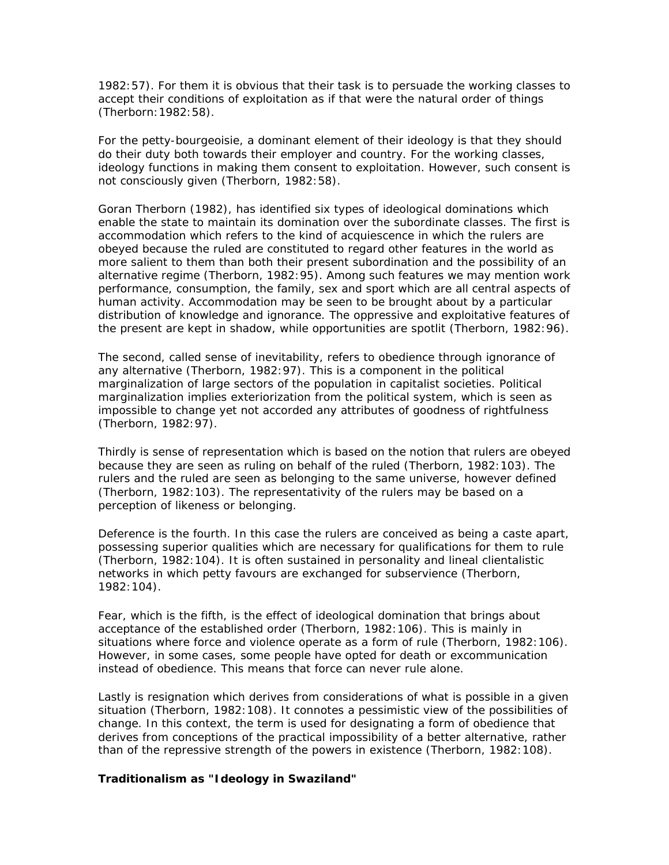1982:57). For them it is obvious that their task is to persuade the working classes to accept their conditions of exploitation as if that were the natural order of things (Therborn:1982:58).

For the petty-bourgeoisie, a dominant element of their ideology is that they should do their duty both towards their employer and country. For the working classes, ideology functions in making them consent to exploitation. However, such consent is not consciously given (Therborn, 1982:58).

Goran Therborn (1982), has identified six types of ideological dominations which enable the state to maintain its domination over the subordinate classes. The first is accommodation which refers to the kind of acquiescence in which the rulers are obeyed because the ruled are constituted to regard other features in the world as more salient to them than both their present subordination and the possibility of an alternative regime (Therborn, 1982:95). Among such features we may mention work performance, consumption, the family, sex and sport which are all central aspects of human activity. Accommodation may be seen to be brought about by a particular distribution of knowledge and ignorance. The oppressive and exploitative features of the present are kept in shadow, while opportunities are spotlit (Therborn, 1982:96).

The second, called sense of inevitability, refers to obedience through ignorance of any alternative (Therborn, 1982:97). This is a component in the political marginalization of large sectors of the population in capitalist societies. Political marginalization implies exteriorization from the political system, which is seen as impossible to change yet not accorded any attributes of goodness of rightfulness (Therborn, 1982:97).

Thirdly is sense of representation which is based on the notion that rulers are obeyed because they are seen as ruling on behalf of the ruled (Therborn, 1982:103). The rulers and the ruled are seen as belonging to the same universe, however defined (Therborn, 1982:103). The representativity of the rulers may be based on a perception of likeness or belonging.

Deference is the fourth. In this case the rulers are conceived as being a caste apart, possessing superior qualities which are necessary for qualifications for them to rule (Therborn, 1982:104). It is often sustained in personality and lineal clientalistic networks in which petty favours are exchanged for subservience (Therborn, 1982:104).

Fear, which is the fifth, is the effect of ideological domination that brings about acceptance of the established order (Therborn, 1982:106). This is mainly in situations where force and violence operate as a form of rule (Therborn, 1982:106). However, in some cases, some people have opted for death or excommunication instead of obedience. This means that force can never rule alone.

Lastly is resignation which derives from considerations of what is possible in a given situation (Therborn, 1982:108). It connotes a pessimistic view of the possibilities of change. In this context, the term is used for designating a form of obedience that derives from conceptions of the practical impossibility of a better alternative, rather than of the repressive strength of the powers in existence (Therborn, 1982:108).

#### **Traditionalism as "Ideology in Swaziland"**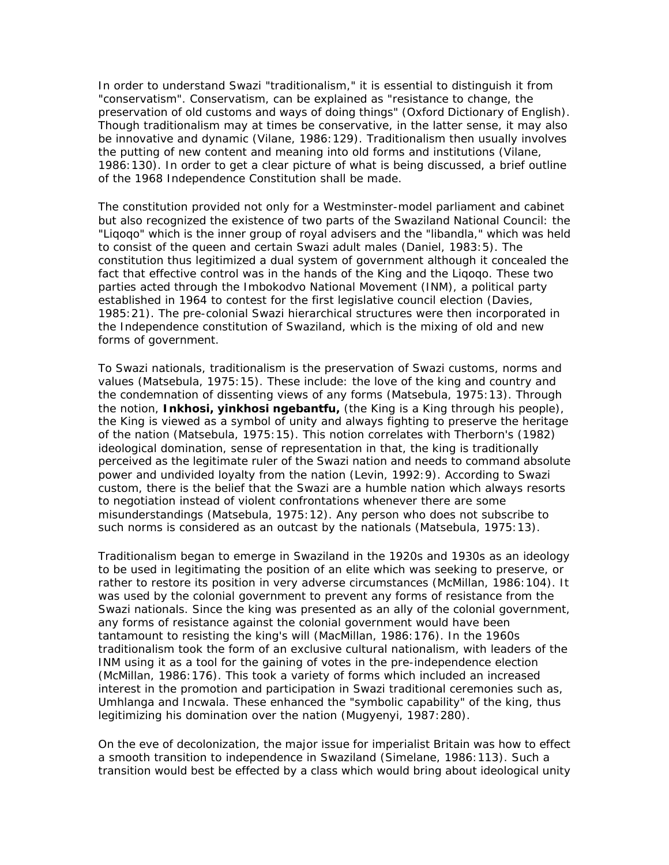In order to understand Swazi "traditionalism," it is essential to distinguish it from "conservatism". Conservatism, can be explained as "resistance to change, the preservation of old customs and ways of doing things" *(Oxford Dictionary of English)*. Though traditionalism may at times be conservative, in the latter sense, it may also be innovative and dynamic (Vilane, 1986:129). Traditionalism then usually involves the putting of new content and meaning into old forms and institutions (Vilane, 1986:130). In order to get a clear picture of what is being discussed, a brief outline of the 1968 Independence Constitution shall be made.

The constitution provided not only for a Westminster-model parliament and cabinet but also recognized the existence of two parts of the Swaziland National Council: the "Liqoqo" which is the inner group of royal advisers and the "libandla," which was held to consist of the queen and certain Swazi adult males (Daniel, 1983:5). The constitution thus legitimized a dual system of government although it concealed the fact that effective control was in the hands of the King and the Liqoqo. These two parties acted through the Imbokodvo National Movement (INM), a political party established in 1964 to contest for the first legislative council election (Davies, 1985:21). The pre-colonial Swazi hierarchical structures were then incorporated in the Independence constitution of Swaziland, which is the mixing of old and new forms of government.

To Swazi nationals, traditionalism is the preservation of Swazi customs, norms and values (Matsebula, 1975:15). These include: the love of the king and country and the condemnation of dissenting views of any forms (Matsebula, 1975:13). Through the notion, **Inkhosi, yinkhosi ngebantfu,** (the King is a King through his people), the King is viewed as a symbol of unity and always fighting to preserve the heritage of the nation (Matsebula, 1975:15). This notion correlates with Therborn's (1982) ideological domination, sense of representation in that, the king is traditionally perceived as the legitimate ruler of the Swazi nation and needs to command absolute power and undivided loyalty from the nation (Levin, 1992:9). According to Swazi custom, there is the belief that the Swazi are a humble nation which always resorts to negotiation instead of violent confrontations whenever there are some misunderstandings (Matsebula, 1975:12). Any person who does not subscribe to such norms is considered as an outcast by the nationals (Matsebula, 1975:13).

Traditionalism began to emerge in Swaziland in the 1920s and 1930s as an ideology to be used in legitimating the position of an elite which was seeking to preserve, or rather to restore its position in very adverse circumstances (McMillan, 1986:104). It was used by the colonial government to prevent any forms of resistance from the Swazi nationals. Since the king was presented as an ally of the colonial government, any forms of resistance against the colonial government would have been tantamount to resisting the king's will (MacMillan, 1986:176). In the 1960s traditionalism took the form of an exclusive cultural nationalism, with leaders of the INM using it as a tool for the gaining of votes in the pre-independence election (McMillan, 1986:176). This took a variety of forms which included an increased interest in the promotion and participation in Swazi traditional ceremonies such as, Umhlanga and Incwala. These enhanced the "symbolic capability" of the king, thus legitimizing his domination over the nation (Mugyenyi, 1987:280).

On the eve of decolonization, the major issue for imperialist Britain was how to effect a smooth transition to independence in Swaziland (Simelane, 1986:113). Such a transition would best be effected by a class which would bring about ideological unity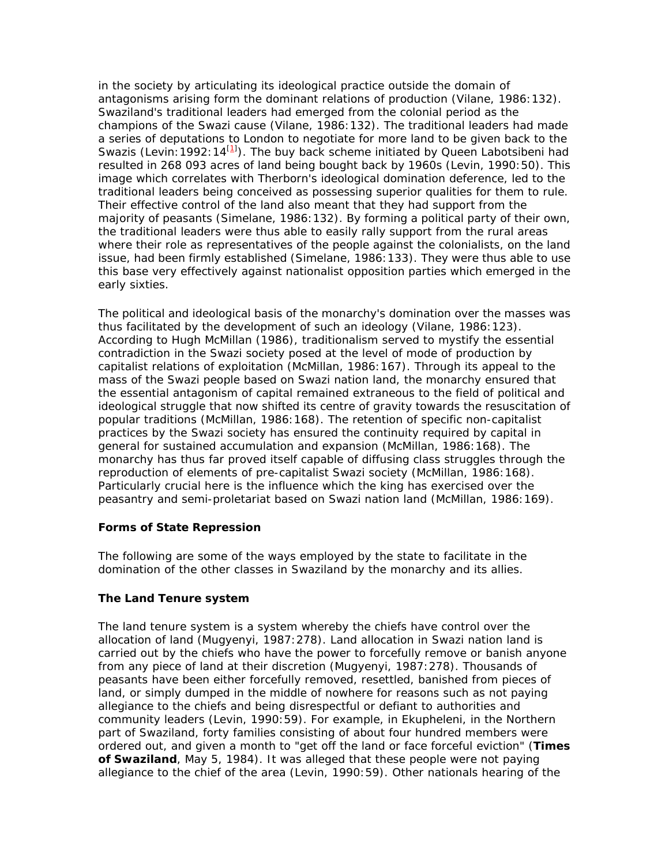in the society by articulating its ideological practice outside the domain of antagonisms arising form the dominant relations of production (Vilane, 1986:132). Swaziland's traditional leaders had emerged from the colonial period as the champions of the Swazi cause (Vilane, 1986:132). The traditional leaders had made a series of deputations to London to negotiate for more land to be given back to the Swazis (Levin: 1992: 14<sup>[1]</sup>). The buy back scheme initiated by Queen Labotsibeni had resulted in 268 093 acres of land being bought back by 1960s (Levin, 1990:50). This image which correlates with Therborn's ideological domination deference, led to the traditional leaders being conceived as possessing superior qualities for them to rule. Their effective control of the land also meant that they had support from the majority of peasants (Simelane, 1986:132). By forming a political party of their own, the traditional leaders were thus able to easily rally support from the rural areas where their role as representatives of the people against the colonialists, on the land issue, had been firmly established (Simelane, 1986:133). They were thus able to use this base very effectively against nationalist opposition parties which emerged in the early sixties.

The political and ideological basis of the monarchy's domination over the masses was thus facilitated by the development of such an ideology (Vilane, 1986:123). According to Hugh McMillan (1986), traditionalism served to mystify the essential contradiction in the Swazi society posed at the level of mode of production by capitalist relations of exploitation (McMillan, 1986:167). Through its appeal to the mass of the Swazi people based on Swazi nation land, the monarchy ensured that the essential antagonism of capital remained extraneous to the field of political and ideological struggle that now shifted its centre of gravity towards the resuscitation of popular traditions (McMillan, 1986:168). The retention of specific non-capitalist practices by the Swazi society has ensured the continuity required by capital in general for sustained accumulation and expansion (McMillan, 1986:168). The monarchy has thus far proved itself capable of diffusing class struggles through the reproduction of elements of pre-capitalist Swazi society (McMillan, 1986:168). Particularly crucial here is the influence which the king has exercised over the peasantry and semi-proletariat based on Swazi nation land (McMillan, 1986:169).

### **Forms of State Repression**

The following are some of the ways employed by the state to facilitate in the domination of the other classes in Swaziland by the monarchy and its allies.

### **The Land Tenure system**

The land tenure system is a system whereby the chiefs have control over the allocation of land (Mugyenyi, 1987:278). Land allocation in Swazi nation land is carried out by the chiefs who have the power to forcefully remove or banish anyone from any piece of land at their discretion (Mugyenyi, 1987:278). Thousands of peasants have been either forcefully removed, resettled, banished from pieces of land, or simply dumped in the middle of nowhere for reasons such as not paying allegiance to the chiefs and being disrespectful or defiant to authorities and community leaders (Levin, 1990:59). For example, in Ekupheleni, in the Northern part of Swaziland, forty families consisting of about four hundred members were ordered out, and given a month to "get off the land or face forceful eviction" (**Times of Swaziland**, May 5, 1984). It was alleged that these people were not paying allegiance to the chief of the area (Levin, 1990:59). Other nationals hearing of the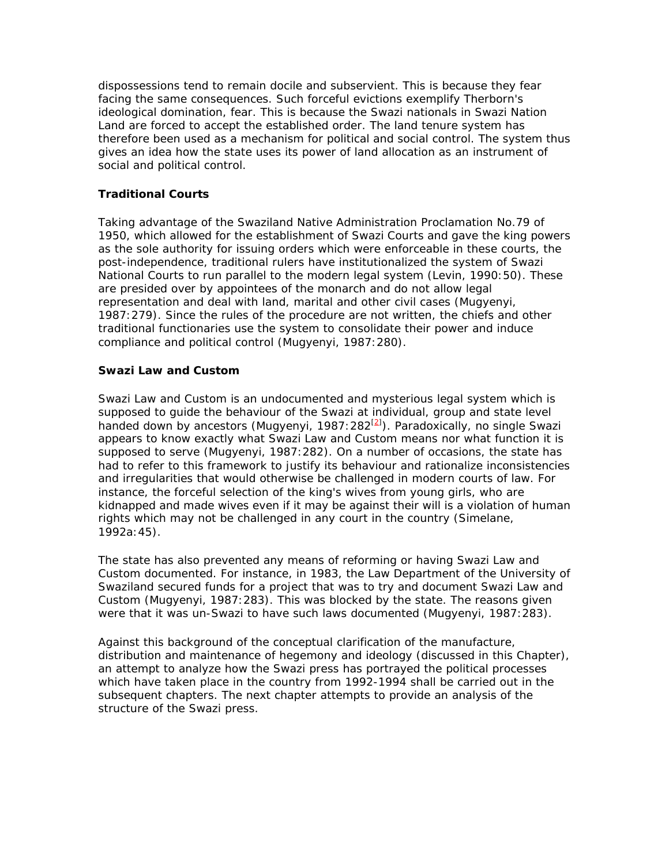dispossessions tend to remain docile and subservient. This is because they fear facing the same consequences. Such forceful evictions exemplify Therborn's ideological domination, fear. This is because the Swazi nationals in Swazi Nation Land are forced to accept the established order. The land tenure system has therefore been used as a mechanism for political and social control. The system thus gives an idea how the state uses its power of land allocation as an instrument of social and political control.

# **Traditional Courts**

Taking advantage of the Swaziland Native Administration Proclamation No.79 of 1950, which allowed for the establishment of Swazi Courts and gave the king powers as the sole authority for issuing orders which were enforceable in these courts, the post-independence, traditional rulers have institutionalized the system of Swazi National Courts to run parallel to the modern legal system (Levin, 1990:50). These are presided over by appointees of the monarch and do not allow legal representation and deal with land, marital and other civil cases (Mugyenyi, 1987:279). Since the rules of the procedure are not written, the chiefs and other traditional functionaries use the system to consolidate their power and induce compliance and political control (Mugyenyi, 1987:280).

### **Swazi Law and Custom**

Swazi Law and Custom is an undocumented and mysterious legal system which is supposed to guide the behaviour of the Swazi at individual, group and state level handed down by ancestors (Mugyenyi, 1987: 282<sup>[2]</sup>). Paradoxically, no single Swazi appears to know exactly what Swazi Law and Custom means nor what function it is supposed to serve (Mugyenyi, 1987:282). On a number of occasions, the state has had to refer to this framework to justify its behaviour and rationalize inconsistencies and irregularities that would otherwise be challenged in modern courts of law. For instance, the forceful selection of the king's wives from young girls, who are kidnapped and made wives even if it may be against their will is a violation of human rights which may not be challenged in any court in the country (Simelane, 1992a:45).

The state has also prevented any means of reforming or having Swazi Law and Custom documented. For instance, in 1983, the Law Department of the University of Swaziland secured funds for a project that was to try and document Swazi Law and Custom (Mugyenyi, 1987:283). This was blocked by the state. The reasons given were that it was un-Swazi to have such laws documented (Mugyenyi, 1987:283).

Against this background of the conceptual clarification of the manufacture, distribution and maintenance of hegemony and ideology (discussed in this Chapter), an attempt to analyze how the Swazi press has portrayed the political processes which have taken place in the country from 1992-1994 shall be carried out in the subsequent chapters. The next chapter attempts to provide an analysis of the structure of the Swazi press.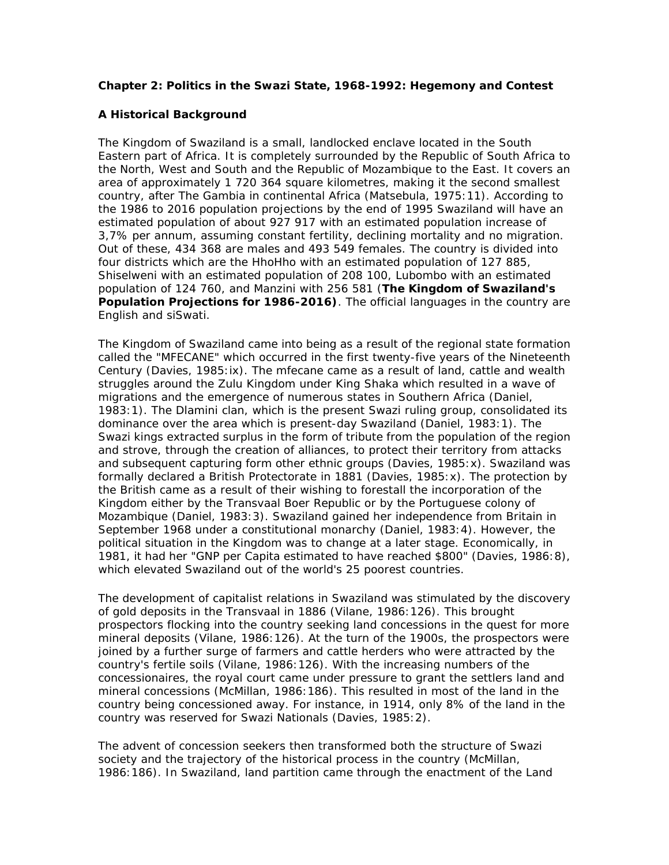### **Chapter 2: Politics in the Swazi State, 1968-1992: Hegemony and Contest**

### **A Historical Background**

The Kingdom of Swaziland is a small, landlocked enclave located in the South Eastern part of Africa. It is completely surrounded by the Republic of South Africa to the North, West and South and the Republic of Mozambique to the East. It covers an area of approximately 1 720 364 square kilometres, making it the second smallest country, after The Gambia in continental Africa (Matsebula, 1975:11). According to the 1986 to 2016 population projections by the end of 1995 Swaziland will have an estimated population of about 927 917 with an estimated population increase of 3,7% per annum, assuming constant fertility, declining mortality and no migration. Out of these, 434 368 are males and 493 549 females. The country is divided into four districts which are the HhoHho with an estimated population of 127 885, Shiselweni with an estimated population of 208 100, Lubombo with an estimated population of 124 760, and Manzini with 256 581 (**The Kingdom of Swaziland's Population Projections for 1986-2016)**. The official languages in the country are English and siSwati.

The Kingdom of Swaziland came into being as a result of the regional state formation called the "MFECANE" which occurred in the first twenty-five years of the Nineteenth Century (Davies, 1985:ix). The mfecane came as a result of land, cattle and wealth struggles around the Zulu Kingdom under King Shaka which resulted in a wave of migrations and the emergence of numerous states in Southern Africa (Daniel, 1983:1). The Dlamini clan, which is the present Swazi ruling group, consolidated its dominance over the area which is present-day Swaziland (Daniel, 1983:1). The Swazi kings extracted surplus in the form of tribute from the population of the region and strove, through the creation of alliances, to protect their territory from attacks and subsequent capturing form other ethnic groups (Davies, 1985:x). Swaziland was formally declared a British Protectorate in 1881 (Davies, 1985:x). The protection by the British came as a result of their wishing to forestall the incorporation of the Kingdom either by the Transvaal Boer Republic or by the Portuguese colony of Mozambique (Daniel, 1983:3). Swaziland gained her independence from Britain in September 1968 under a constitutional monarchy (Daniel, 1983:4). However, the political situation in the Kingdom was to change at a later stage. Economically, in 1981, it had her "GNP per Capita estimated to have reached \$800" (Davies, 1986:8), which elevated Swaziland out of the world's 25 poorest countries.

The development of capitalist relations in Swaziland was stimulated by the discovery of gold deposits in the Transvaal in 1886 (Vilane, 1986:126). This brought prospectors flocking into the country seeking land concessions in the quest for more mineral deposits (Vilane, 1986:126). At the turn of the 1900s, the prospectors were joined by a further surge of farmers and cattle herders who were attracted by the country's fertile soils (Vilane, 1986:126). With the increasing numbers of the concessionaires, the royal court came under pressure to grant the settlers land and mineral concessions (McMillan, 1986:186). This resulted in most of the land in the country being concessioned away. For instance, in 1914, only 8% of the land in the country was reserved for Swazi Nationals (Davies, 1985:2).

The advent of concession seekers then transformed both the structure of Swazi society and the trajectory of the historical process in the country (McMillan, 1986:186). In Swaziland, land partition came through the enactment of the Land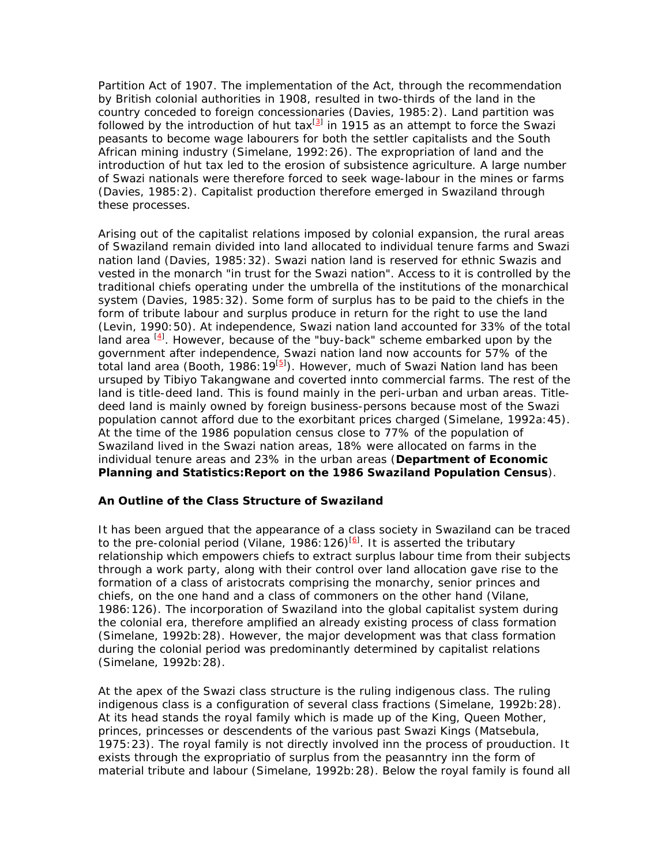Partition Act of 1907. The implementation of the Act, through the recommendation by British colonial authorities in 1908, resulted in two-thirds of the land in the country conceded to foreign concessionaries (Davies, 1985:2). Land partition was followed by the introduction of hut tax $^{[3]}$  in 1915 as an attempt to force the Swazi peasants to become wage labourers for both the settler capitalists and the South African mining industry (Simelane, 1992:26). The expropriation of land and the introduction of hut tax led to the erosion of subsistence agriculture. A large number of Swazi nationals were therefore forced to seek wage-labour in the mines or farms (Davies, 1985:2). Capitalist production therefore emerged in Swaziland through these processes.

Arising out of the capitalist relations imposed by colonial expansion, the rural areas of Swaziland remain divided into land allocated to individual tenure farms and Swazi nation land (Davies, 1985:32). Swazi nation land is reserved for ethnic Swazis and vested in the monarch "in trust for the Swazi nation". Access to it is controlled by the traditional chiefs operating under the umbrella of the institutions of the monarchical system (Davies, 1985:32). Some form of surplus has to be paid to the chiefs in the form of tribute labour and surplus produce in return for the right to use the land (Levin, 1990:50). At independence, Swazi nation land accounted for 33% of the total land area <sup>[4]</sup>. However, because of the "buy-back" scheme embarked upon by the government after independence, Swazi nation land now accounts for 57% of the total land area (Booth, 1986: 19<sup>[5]</sup>). However, much of Swazi Nation land has been ursuped by Tibiyo Takangwane and coverted innto commercial farms. The rest of the land is title-deed land. This is found mainly in the peri-urban and urban areas. Titledeed land is mainly owned by foreign business-persons because most of the Swazi population cannot afford due to the exorbitant prices charged (Simelane, 1992a:45). At the time of the 1986 population census close to 77% of the population of Swaziland lived in the Swazi nation areas, 18% were allocated on farms in the individual tenure areas and 23% in the urban areas (**Department of Economic Planning and Statistics:Report on the 1986 Swaziland Population Census**).

### **An Outline of the Class Structure of Swaziland**

It has been argued that the appearance of a class society in Swaziland can be traced to the pre-colonial period (Vilane, 1986: 126) $[6]$ . It is asserted the tributary relationship which empowers chiefs to extract surplus labour time from their subjects through a work party, along with their control over land allocation gave rise to the formation of a class of aristocrats comprising the monarchy, senior princes and chiefs, on the one hand and a class of commoners on the other hand (Vilane, 1986:126). The incorporation of Swaziland into the global capitalist system during the colonial era, therefore amplified an already existing process of class formation (Simelane, 1992b:28). However, the major development was that class formation during the colonial period was predominantly determined by capitalist relations (Simelane, 1992b:28).

At the apex of the Swazi class structure is the ruling indigenous class. The ruling indigenous class is a configuration of several class fractions (Simelane, 1992b:28). At its head stands the royal family which is made up of the King, Queen Mother, princes, princesses or descendents of the various past Swazi Kings (Matsebula, 1975:23). The royal family is not directly involved inn the process of prouduction. It exists through the expropriatio of surplus from the peasanntry inn the form of material tribute and labour (Simelane, 1992b:28). Below the royal family is found all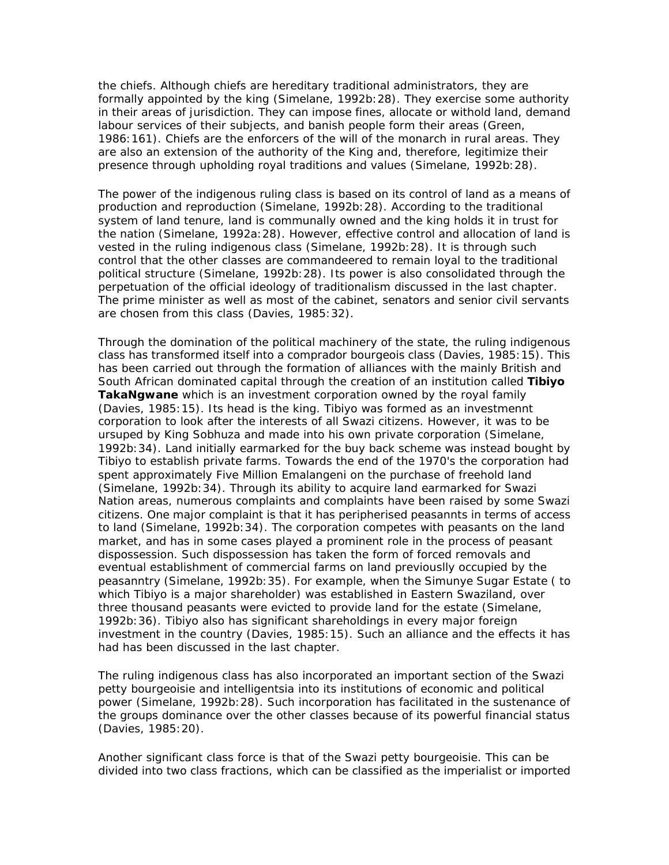the chiefs. Although chiefs are hereditary traditional administrators, they are formally appointed by the king (Simelane, 1992b:28). They exercise some authority in their areas of jurisdiction. They can impose fines, allocate or withold land, demand labour services of their subjects, and banish people form their areas (Green, 1986:161). Chiefs are the enforcers of the will of the monarch in rural areas. They are also an extension of the authority of the King and, therefore, legitimize their presence through upholding royal traditions and values (Simelane, 1992b:28).

The power of the indigenous ruling class is based on its control of land as a means of production and reproduction (Simelane, 1992b:28). According to the traditional system of land tenure, land is communally owned and the king holds it in trust for the nation (Simelane, 1992a:28). However, effective control and allocation of land is vested in the ruling indigenous class (Simelane, 1992b:28). It is through such control that the other classes are commandeered to remain loyal to the traditional political structure (Simelane, 1992b:28). Its power is also consolidated through the perpetuation of the official ideology of traditionalism discussed in the last chapter. The prime minister as well as most of the cabinet, senators and senior civil servants are chosen from this class (Davies, 1985:32).

Through the domination of the political machinery of the state, the ruling indigenous class has transformed itself into a comprador bourgeois class (Davies, 1985:15). This has been carried out through the formation of alliances with the mainly British and South African dominated capital through the creation of an institution called **Tibiyo TakaNgwane** which is an investment corporation owned by the royal family (Davies, 1985:15). Its head is the king. Tibiyo was formed as an investmennt corporation to look after the interests of all Swazi citizens. However, it was to be ursuped by King Sobhuza and made into his own private corporation (Simelane, 1992b:34). Land initially earmarked for the buy back scheme was instead bought by Tibiyo to establish private farms. Towards the end of the 1970's the corporation had spent approximately Five Million Emalangeni on the purchase of freehold land (Simelane, 1992b:34). Through its ability to acquire land earmarked for Swazi Nation areas, numerous complaints and complaints have been raised by some Swazi citizens. One major complaint is that it has peripherised peasannts in terms of access to land (Simelane, 1992b:34). The corporation competes with peasants on the land market, and has in some cases played a prominent role in the process of peasant dispossession. Such dispossession has taken the form of forced removals and eventual establishment of commercial farms on land previouslly occupied by the peasanntry (Simelane, 1992b:35). For example, when the Simunye Sugar Estate ( to which Tibiyo is a major shareholder) was established in Eastern Swaziland, over three thousand peasants were evicted to provide land for the estate (Simelane, 1992b:36). Tibiyo also has significant shareholdings in every major foreign investment in the country (Davies, 1985:15). Such an alliance and the effects it has had has been discussed in the last chapter.

The ruling indigenous class has also incorporated an important section of the Swazi petty bourgeoisie and intelligentsia into its institutions of economic and political power (Simelane, 1992b:28). Such incorporation has facilitated in the sustenance of the groups dominance over the other classes because of its powerful financial status (Davies, 1985:20).

Another significant class force is that of the Swazi petty bourgeoisie. This can be divided into two class fractions, which can be classified as the imperialist or imported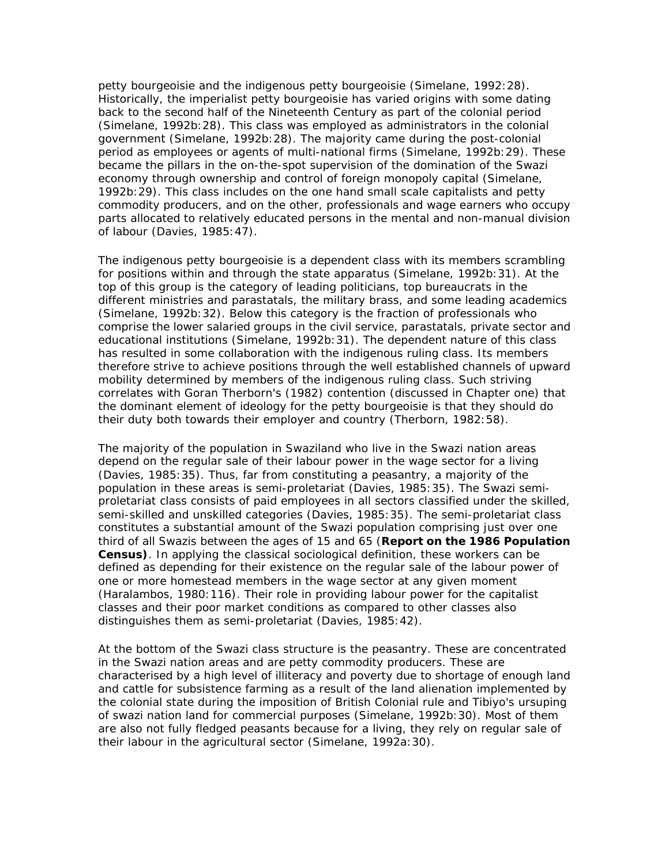petty bourgeoisie and the indigenous petty bourgeoisie (Simelane, 1992:28). Historically, the imperialist petty bourgeoisie has varied origins with some dating back to the second half of the Nineteenth Century as part of the colonial period (Simelane, 1992b:28). This class was employed as administrators in the colonial government (Simelane, 1992b:28). The majority came during the post-colonial period as employees or agents of multi-national firms (Simelane, 1992b:29). These became the pillars in the on-the-spot supervision of the domination of the Swazi economy through ownership and control of foreign monopoly capital (Simelane, 1992b:29). This class includes on the one hand small scale capitalists and petty commodity producers, and on the other, professionals and wage earners who occupy parts allocated to relatively educated persons in the mental and non-manual division of labour (Davies, 1985:47).

The indigenous petty bourgeoisie is a dependent class with its members scrambling for positions within and through the state apparatus (Simelane, 1992b:31). At the top of this group is the category of leading politicians, top bureaucrats in the different ministries and parastatals, the military brass, and some leading academics (Simelane, 1992b:32). Below this category is the fraction of professionals who comprise the lower salaried groups in the civil service, parastatals, private sector and educational institutions (Simelane, 1992b:31). The dependent nature of this class has resulted in some collaboration with the indigenous ruling class. Its members therefore strive to achieve positions through the well established channels of upward mobility determined by members of the indigenous ruling class. Such striving correlates with Goran Therborn's (1982) contention (discussed in Chapter one) that the dominant element of ideology for the petty bourgeoisie is that they should do their duty both towards their employer and country (Therborn, 1982:58).

The majority of the population in Swaziland who live in the Swazi nation areas depend on the regular sale of their labour power in the wage sector for a living (Davies, 1985:35). Thus, far from constituting a peasantry, a majority of the population in these areas is semi-proletariat (Davies, 1985:35). The Swazi semiproletariat class consists of paid employees in all sectors classified under the skilled, semi-skilled and unskilled categories (Davies, 1985:35). The semi-proletariat class constitutes a substantial amount of the Swazi population comprising just over one third of all Swazis between the ages of 15 and 65 (**Report on the 1986 Population Census)**. In applying the classical sociological definition, these workers can be defined as depending for their existence on the regular sale of the labour power of one or more homestead members in the wage sector at any given moment (Haralambos, 1980:116). Their role in providing labour power for the capitalist classes and their poor market conditions as compared to other classes also distinguishes them as semi-proletariat (Davies, 1985:42).

At the bottom of the Swazi class structure is the peasantry. These are concentrated in the Swazi nation areas and are petty commodity producers. These are characterised by a high level of illiteracy and poverty due to shortage of enough land and cattle for subsistence farming as a result of the land alienation implemented by the colonial state during the imposition of British Colonial rule and Tibiyo's ursuping of swazi nation land for commercial purposes (Simelane, 1992b:30). Most of them are also not fully fledged peasants because for a living, they rely on regular sale of their labour in the agricultural sector (Simelane, 1992a:30).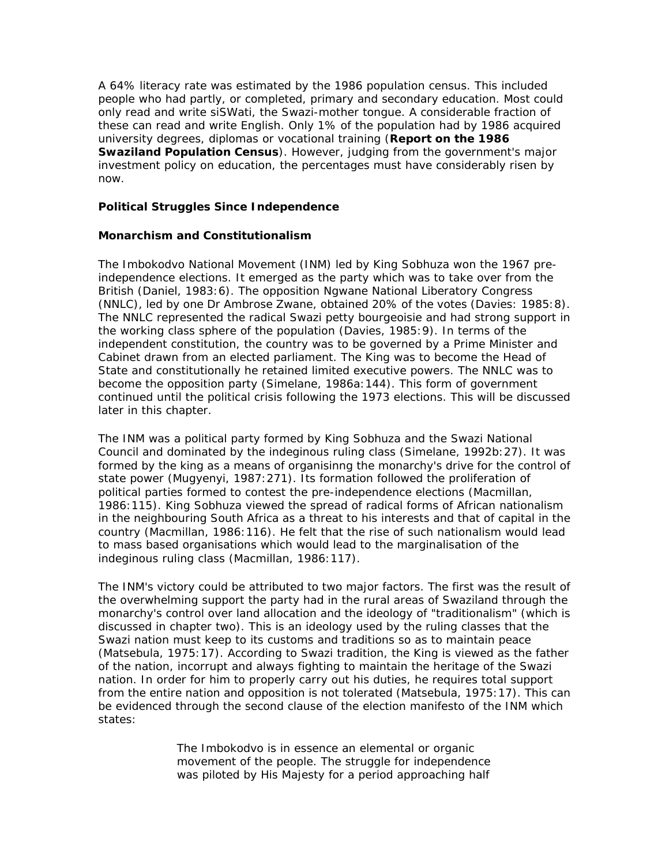A 64% literacy rate was estimated by the 1986 population census. This included people who had partly, or completed, primary and secondary education. Most could only read and write siSWati, the Swazi-mother tongue. A considerable fraction of these can read and write English. Only 1% of the population had by 1986 acquired university degrees, diplomas or vocational training (**Report on the 1986 Swaziland Population Census**). However, judging from the government's major investment policy on education, the percentages must have considerably risen by now.

### **Political Struggles Since Independence**

### *Monarchism and Constitutionalism*

The Imbokodvo National Movement (INM) led by King Sobhuza won the 1967 preindependence elections. It emerged as the party which was to take over from the British (Daniel, 1983:6). The opposition Ngwane National Liberatory Congress (NNLC), led by one Dr Ambrose Zwane, obtained 20% of the votes (Davies: 1985:8). The NNLC represented the radical Swazi petty bourgeoisie and had strong support in the working class sphere of the population (Davies, 1985:9). In terms of the independent constitution, the country was to be governed by a Prime Minister and Cabinet drawn from an elected parliament. The King was to become the Head of State and constitutionally he retained limited executive powers. The NNLC was to become the opposition party (Simelane, 1986a:144). This form of government continued until the political crisis following the 1973 elections. This will be discussed later in this chapter.

The INM was a political party formed by King Sobhuza and the Swazi National Council and dominated by the indeginous ruling class (Simelane, 1992b:27). It was formed by the king as a means of organisinng the monarchy's drive for the control of state power (Mugyenyi, 1987:271). Its formation followed the proliferation of political parties formed to contest the pre-independence elections (Macmillan, 1986:115). King Sobhuza viewed the spread of radical forms of African nationalism in the neighbouring South Africa as a threat to his interests and that of capital in the country (Macmillan, 1986:116). He felt that the rise of such nationalism would lead to mass based organisations which would lead to the marginalisation of the indeginous ruling class (Macmillan, 1986:117).

The INM's victory could be attributed to two major factors. The first was the result of the overwhelming support the party had in the rural areas of Swaziland through the monarchy's control over land allocation and the ideology of "traditionalism" (which is discussed in chapter two). This is an ideology used by the ruling classes that the Swazi nation must keep to its customs and traditions so as to maintain peace (Matsebula, 1975:17). According to Swazi tradition, the King is viewed as the father of the nation, incorrupt and always fighting to maintain the heritage of the Swazi nation. In order for him to properly carry out his duties, he requires total support from the entire nation and opposition is not tolerated (Matsebula, 1975:17). This can be evidenced through the second clause of the election manifesto of the INM which states:

> The Imbokodvo is in essence an elemental or organic movement of the people. The struggle for independence was piloted by His Majesty for a period approaching half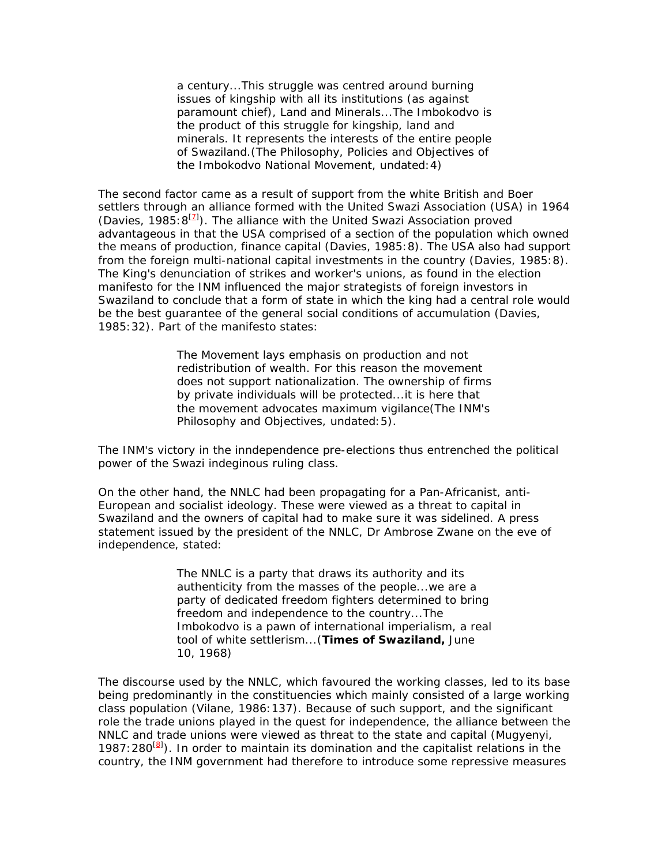a century...This struggle was centred around burning issues of kingship with all its institutions (as against paramount chief), Land and Minerals...The Imbokodvo is the product of this struggle for kingship, land and minerals. It represents the interests of the entire people of Swaziland.(The Philosophy, Policies and Objectives of the Imbokodvo National Movement, undated:4)

The second factor came as a result of support from the white British and Boer settlers through an alliance formed with the United Swazi Association (USA) in 1964 (Davies, 1985:  $8^{[2]}$ ). The alliance with the United Swazi Association proved advantageous in that the USA comprised of a section of the population which owned the means of production, finance capital (Davies, 1985:8). The USA also had support from the foreign multi-national capital investments in the country (Davies, 1985:8). The King's denunciation of strikes and worker's unions, as found in the election manifesto for the INM influenced the major strategists of foreign investors in Swaziland to conclude that a form of state in which the king had a central role would be the best guarantee of the general social conditions of accumulation (Davies, 1985:32). Part of the manifesto states:

> The Movement lays emphasis on production and not redistribution of wealth. For this reason the movement does not support nationalization. The ownership of firms by private individuals will be protected...it is here that the movement advocates maximum vigilance(The INM's Philosophy and Objectives, undated:5).

The INM's victory in the inndependence pre-elections thus entrenched the political power of the Swazi indeginous ruling class.

On the other hand, the NNLC had been propagating for a Pan-Africanist, anti-European and socialist ideology. These were viewed as a threat to capital in Swaziland and the owners of capital had to make sure it was sidelined. A press statement issued by the president of the NNLC, Dr Ambrose Zwane on the eve of independence, stated:

> The NNLC is a party that draws its authority and its authenticity from the masses of the people...we are a party of dedicated freedom fighters determined to bring freedom and independence to the country...The Imbokodvo is a pawn of international imperialism, a real tool of white settlerism...(**Times of Swaziland,** June 10, 1968)

The discourse used by the NNLC, which favoured the working classes, led to its base being predominantly in the constituencies which mainly consisted of a large working class population (Vilane, 1986:137). Because of such support, and the significant role the trade unions played in the quest for independence, the alliance between the NNLC and trade unions were viewed as threat to the state and capital (Mugyenyi, 1987: 280<sup>[8]</sup>). In order to maintain its domination and the capitalist relations in the country, the INM government had therefore to introduce some repressive measures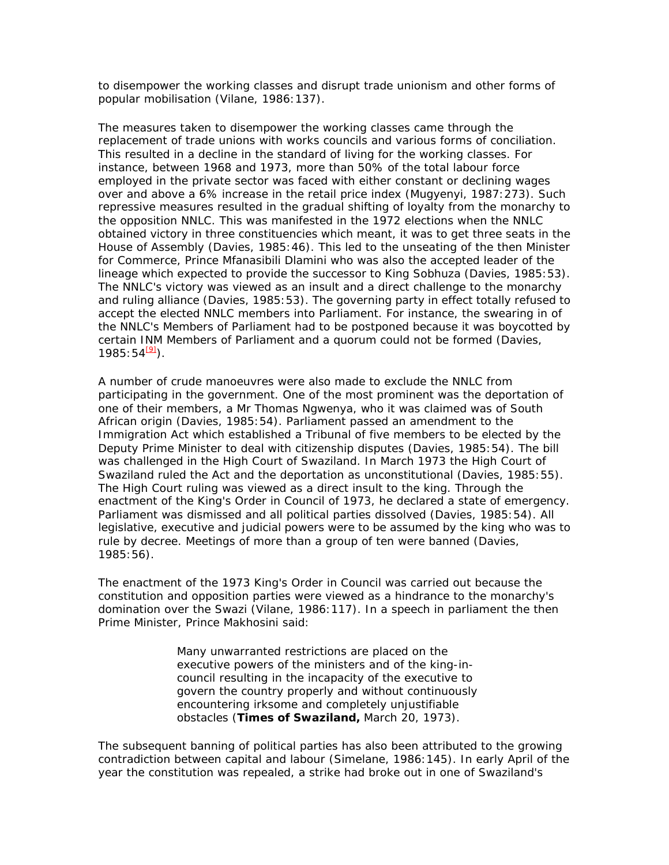to disempower the working classes and disrupt trade unionism and other forms of popular mobilisation (Vilane, 1986:137).

The measures taken to disempower the working classes came through the replacement of trade unions with works councils and various forms of conciliation. This resulted in a decline in the standard of living for the working classes. For instance, between 1968 and 1973, more than 50% of the total labour force employed in the private sector was faced with either constant or declining wages over and above a 6% increase in the retail price index (Mugyenyi, 1987:273). Such repressive measures resulted in the gradual shifting of loyalty from the monarchy to the opposition NNLC. This was manifested in the 1972 elections when the NNLC obtained victory in three constituencies which meant, it was to get three seats in the House of Assembly (Davies, 1985:46). This led to the unseating of the then Minister for Commerce, Prince Mfanasibili Dlamini who was also the accepted leader of the lineage which expected to provide the successor to King Sobhuza (Davies, 1985:53). The NNLC's victory was viewed as an insult and a direct challenge to the monarchy and ruling alliance (Davies, 1985:53). The governing party in effect totally refused to accept the elected NNLC members into Parliament. For instance, the swearing in of the NNLC's Members of Parliament had to be postponed because it was boycotted by certain INM Members of Parliament and a quorum could not be formed (Davies, 1985:54<sup>[9]</sup>).

A number of crude manoeuvres were also made to exclude the NNLC from participating in the government. One of the most prominent was the deportation of one of their members, a Mr Thomas Ngwenya, who it was claimed was of South African origin (Davies, 1985:54). Parliament passed an amendment to the Immigration Act which established a Tribunal of five members to be elected by the Deputy Prime Minister to deal with citizenship disputes (Davies, 1985:54). The bill was challenged in the High Court of Swaziland. In March 1973 the High Court of Swaziland ruled the Act and the deportation as unconstitutional (Davies, 1985:55). The High Court ruling was viewed as a direct insult to the king. Through the enactment of the King's Order in Council of 1973, he declared a state of emergency. Parliament was dismissed and all political parties dissolved (Davies, 1985:54). All legislative, executive and judicial powers were to be assumed by the king who was to rule by decree. Meetings of more than a group of ten were banned (Davies, 1985:56).

The enactment of the 1973 King's Order in Council was carried out because the constitution and opposition parties were viewed as a hindrance to the monarchy's domination over the Swazi (Vilane, 1986:117). In a speech in parliament the then Prime Minister, Prince Makhosini said:

> Many unwarranted restrictions are placed on the executive powers of the ministers and of the king-incouncil resulting in the incapacity of the executive to govern the country properly and without continuously encountering irksome and completely unjustifiable obstacles (**Times of Swaziland,** March 20, 1973).

The subsequent banning of political parties has also been attributed to the growing contradiction between capital and labour (Simelane, 1986:145). In early April of the year the constitution was repealed, a strike had broke out in one of Swaziland's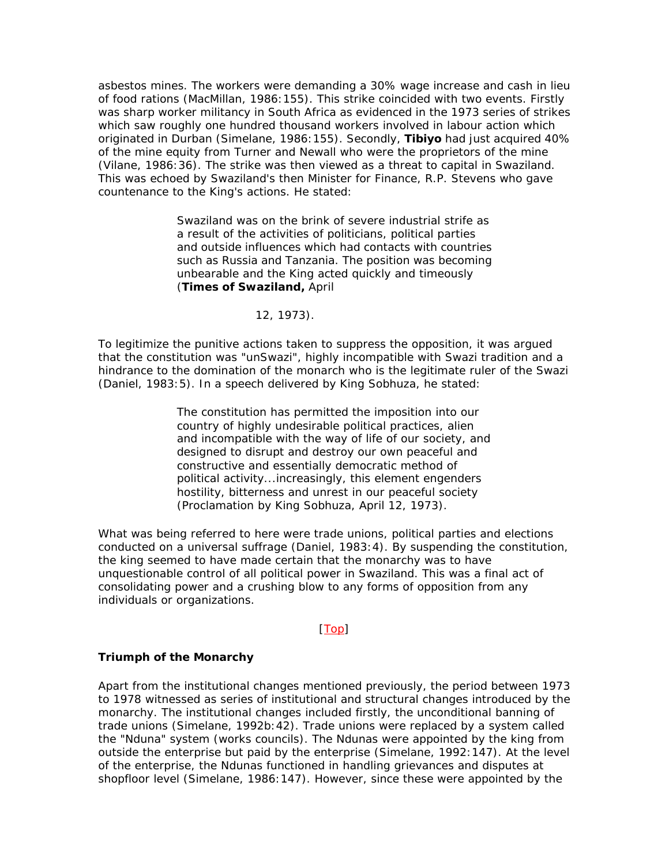asbestos mines. The workers were demanding a 30% wage increase and cash in lieu of food rations (MacMillan, 1986:155). This strike coincided with two events. Firstly was sharp worker militancy in South Africa as evidenced in the 1973 series of strikes which saw roughly one hundred thousand workers involved in labour action which originated in Durban (Simelane, 1986:155). Secondly, **Tibiyo** had just acquired 40% of the mine equity from Turner and Newall who were the proprietors of the mine (Vilane, 1986:36). The strike was then viewed as a threat to capital in Swaziland. This was echoed by Swaziland's then Minister for Finance, R.P. Stevens who gave countenance to the King's actions. He stated:

> Swaziland was on the brink of severe industrial strife as a result of the activities of politicians, political parties and outside influences which had contacts with countries such as Russia and Tanzania. The position was becoming unbearable and the King acted quickly and timeously (**Times of Swaziland,** April

### 12, 1973).

To legitimize the punitive actions taken to suppress the opposition, it was argued that the constitution was "unSwazi", highly incompatible with Swazi tradition and a hindrance to the domination of the monarch who is the legitimate ruler of the Swazi (Daniel, 1983:5). In a speech delivered by King Sobhuza, he stated:

> The constitution has permitted the imposition into our country of highly undesirable political practices, alien and incompatible with the way of life of our society, and designed to disrupt and destroy our own peaceful and constructive and essentially democratic method of political activity...increasingly, this element engenders hostility, bitterness and unrest in our peaceful society (Proclamation by King Sobhuza, April 12, 1973).

What was being referred to here were trade unions, political parties and elections conducted on a universal suffrage (Daniel, 1983:4). By suspending the constitution, the king seemed to have made certain that the monarchy was to have unquestionable control of all political power in Swaziland. This was a final act of consolidating power and a crushing blow to any forms of opposition from any individuals or organizations.

### [Top]

#### **Triumph of the Monarchy**

Apart from the institutional changes mentioned previously, the period between 1973 to 1978 witnessed as series of institutional and structural changes introduced by the monarchy. The institutional changes included firstly, the unconditional banning of trade unions (Simelane, 1992b:42). Trade unions were replaced by a system called the "Nduna" system (works councils). The Ndunas were appointed by the king from outside the enterprise but paid by the enterprise (Simelane, 1992:147). At the level of the enterprise, the Ndunas functioned in handling grievances and disputes at shopfloor level (Simelane, 1986:147). However, since these were appointed by the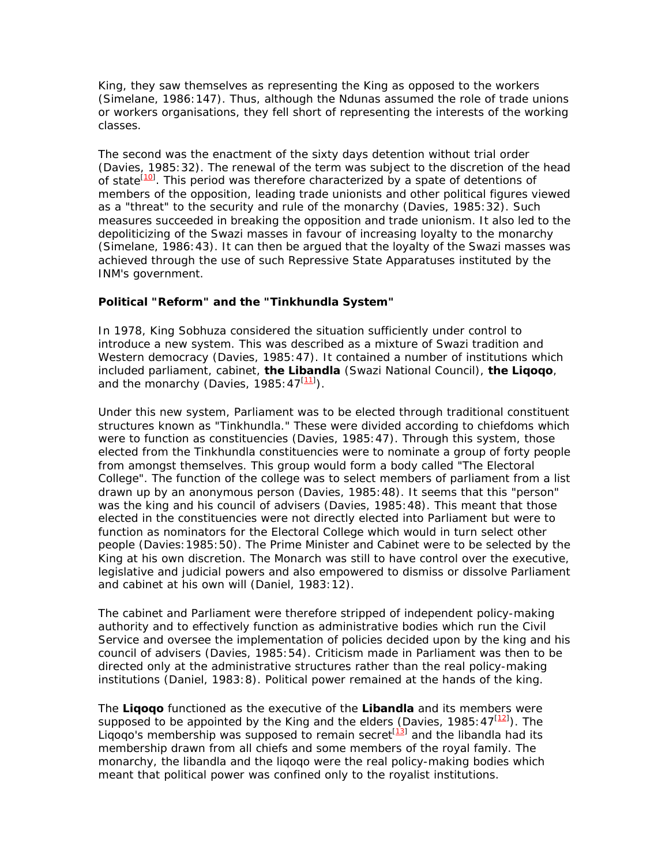King, they saw themselves as representing the King as opposed to the workers (Simelane, 1986:147). Thus, although the Ndunas assumed the role of trade unions or workers organisations, they fell short of representing the interests of the working classes.

The second was the enactment of the sixty days detention without trial order (Davies, 1985:32). The renewal of the term was subject to the discretion of the head of state<sup>[10]</sup>. This period was therefore characterized by a spate of detentions of members of the opposition, leading trade unionists and other political figures viewed as a "threat" to the security and rule of the monarchy (Davies, 1985:32). Such measures succeeded in breaking the opposition and trade unionism. It also led to the depoliticizing of the Swazi masses in favour of increasing loyalty to the monarchy (Simelane, 1986:43). It can then be argued that the loyalty of the Swazi masses was achieved through the use of such Repressive State Apparatuses instituted by the INM's government.

### **Political "Reform" and the "Tinkhundla System"**

In 1978, King Sobhuza considered the situation sufficiently under control to introduce a new system. This was described as a mixture of Swazi tradition and Western democracy (Davies, 1985:47). It contained a number of institutions which included parliament, cabinet, **the Libandla** (Swazi National Council), **the Liqoqo**, and the monarchy (Davies, 1985:47<sup>[11]</sup>).

Under this new system, Parliament was to be elected through traditional constituent structures known as "Tinkhundla." These were divided according to chiefdoms which were to function as constituencies (Davies, 1985:47). Through this system, those elected from the Tinkhundla constituencies were to nominate a group of forty people from amongst themselves. This group would form a body called "The Electoral College". The function of the college was to select members of parliament from a list drawn up by an anonymous person (Davies, 1985:48). It seems that this "person" was the king and his council of advisers (Davies, 1985:48). This meant that those elected in the constituencies were not directly elected into Parliament but were to function as nominators for the Electoral College which would in turn select other people (Davies:1985:50). The Prime Minister and Cabinet were to be selected by the King at his own discretion. The Monarch was still to have control over the executive, legislative and judicial powers and also empowered to dismiss or dissolve Parliament and cabinet at his own will (Daniel, 1983:12).

The cabinet and Parliament were therefore stripped of independent policy-making authority and to effectively function as administrative bodies which run the Civil Service and oversee the implementation of policies decided upon by the king and his council of advisers (Davies, 1985:54). Criticism made in Parliament was then to be directed only at the administrative structures rather than the real policy-making institutions (Daniel, 1983:8). Political power remained at the hands of the king.

The **Liqoqo** functioned as the executive of the **Libandla** and its members were supposed to be appointed by the King and the elders (Davies, 1985:  $47^{[12]}$ ). The Liqoqo's membership was supposed to remain secret  $[13]$  and the libandla had its membership drawn from all chiefs and some members of the royal family. The monarchy, the libandla and the liqoqo were the real policy-making bodies which meant that political power was confined only to the royalist institutions.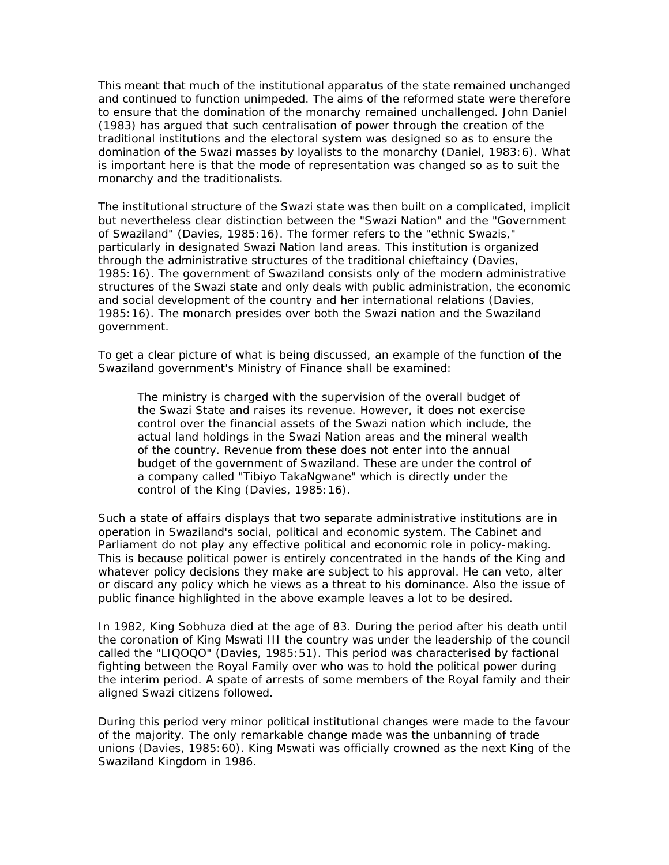This meant that much of the institutional apparatus of the state remained unchanged and continued to function unimpeded. The aims of the reformed state were therefore to ensure that the domination of the monarchy remained unchallenged. John Daniel (1983) has argued that such centralisation of power through the creation of the traditional institutions and the electoral system was designed so as to ensure the domination of the Swazi masses by loyalists to the monarchy (Daniel, 1983:6). What is important here is that the mode of representation was changed so as to suit the monarchy and the traditionalists.

The institutional structure of the Swazi state was then built on a complicated, implicit but nevertheless clear distinction between the "Swazi Nation" and the "Government of Swaziland" (Davies, 1985:16). The former refers to the "ethnic Swazis," particularly in designated Swazi Nation land areas. This institution is organized through the administrative structures of the traditional chieftaincy (Davies, 1985:16). The government of Swaziland consists only of the modern administrative structures of the Swazi state and only deals with public administration, the economic and social development of the country and her international relations (Davies, 1985:16). The monarch presides over both the Swazi nation and the Swaziland government.

To get a clear picture of what is being discussed, an example of the function of the Swaziland government's Ministry of Finance shall be examined:

The ministry is charged with the supervision of the overall budget of the Swazi State and raises its revenue. However, it does not exercise control over the financial assets of the Swazi nation which include, the actual land holdings in the Swazi Nation areas and the mineral wealth of the country. Revenue from these does not enter into the annual budget of the government of Swaziland. These are under the control of a company called "Tibiyo TakaNgwane" which is directly under the control of the King (Davies, 1985:16).

Such a state of affairs displays that two separate administrative institutions are in operation in Swaziland's social, political and economic system. The Cabinet and Parliament do not play any effective political and economic role in policy-making. This is because political power is entirely concentrated in the hands of the King and whatever policy decisions they make are subject to his approval. He can veto, alter or discard any policy which he views as a threat to his dominance. Also the issue of public finance highlighted in the above example leaves a lot to be desired.

In 1982, King Sobhuza died at the age of 83. During the period after his death until the coronation of King Mswati III the country was under the leadership of the council called the "LIQOQO" (Davies, 1985:51). This period was characterised by factional fighting between the Royal Family over who was to hold the political power during the interim period. A spate of arrests of some members of the Royal family and their aligned Swazi citizens followed.

During this period very minor political institutional changes were made to the favour of the majority. The only remarkable change made was the unbanning of trade unions (Davies, 1985:60). King Mswati was officially crowned as the next King of the Swaziland Kingdom in 1986.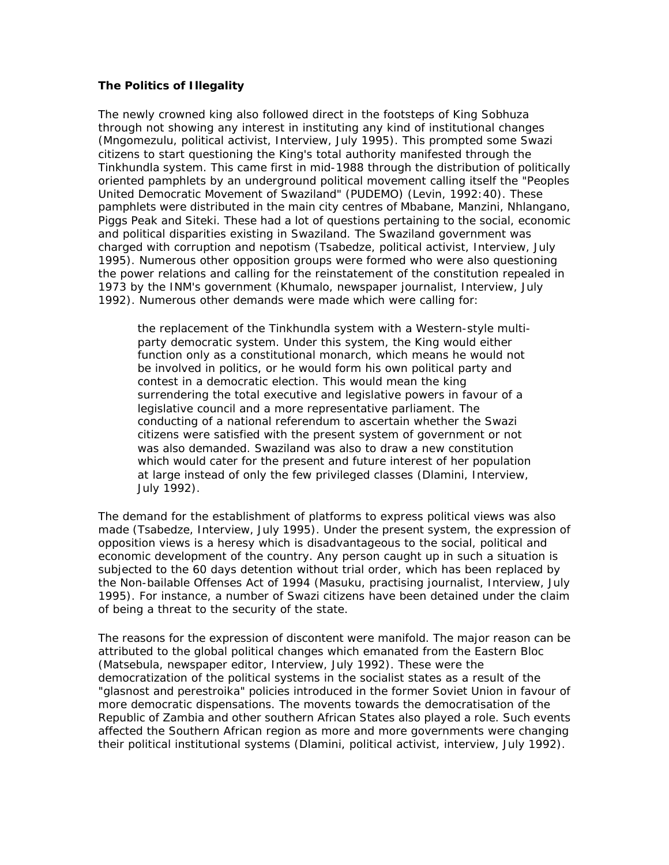### **The Politics of Illegality**

The newly crowned king also followed direct in the footsteps of King Sobhuza through not showing any interest in instituting any kind of institutional changes (Mngomezulu, political activist, Interview, July 1995). This prompted some Swazi citizens to start questioning the King's total authority manifested through the Tinkhundla system. This came first in mid-1988 through the distribution of politically oriented pamphlets by an underground political movement calling itself the "Peoples United Democratic Movement of Swaziland" (PUDEMO) (Levin, 1992:40). These pamphlets were distributed in the main city centres of Mbabane, Manzini, Nhlangano, Piggs Peak and Siteki. These had a lot of questions pertaining to the social, economic and political disparities existing in Swaziland. The Swaziland government was charged with corruption and nepotism (Tsabedze, political activist, Interview, July 1995). Numerous other opposition groups were formed who were also questioning the power relations and calling for the reinstatement of the constitution repealed in 1973 by the INM's government (Khumalo, newspaper journalist, Interview, July 1992). Numerous other demands were made which were calling for:

the replacement of the Tinkhundla system with a Western-style multiparty democratic system. Under this system, the King would either function only as a constitutional monarch, which means he would not be involved in politics, or he would form his own political party and contest in a democratic election. This would mean the king surrendering the total executive and legislative powers in favour of a legislative council and a more representative parliament. The conducting of a national referendum to ascertain whether the Swazi citizens were satisfied with the present system of government or not was also demanded. Swaziland was also to draw a new constitution which would cater for the present and future interest of her population at large instead of only the few privileged classes (Dlamini, Interview, July 1992).

The demand for the establishment of platforms to express political views was also made (Tsabedze, Interview, July 1995). Under the present system, the expression of opposition views is a heresy which is disadvantageous to the social, political and economic development of the country. Any person caught up in such a situation is subjected to the 60 days detention without trial order, which has been replaced by the Non-bailable Offenses Act of 1994 (Masuku, practising journalist, Interview, July 1995). For instance, a number of Swazi citizens have been detained under the claim of being a threat to the security of the state.

The reasons for the expression of discontent were manifold. The major reason can be attributed to the global political changes which emanated from the Eastern Bloc (Matsebula, newspaper editor, Interview, July 1992). These were the democratization of the political systems in the socialist states as a result of the "glasnost and perestroika" policies introduced in the former Soviet Union in favour of more democratic dispensations. The movents towards the democratisation of the Republic of Zambia and other southern African States also played a role. Such events affected the Southern African region as more and more governments were changing their political institutional systems (Dlamini, political activist, interview, July 1992).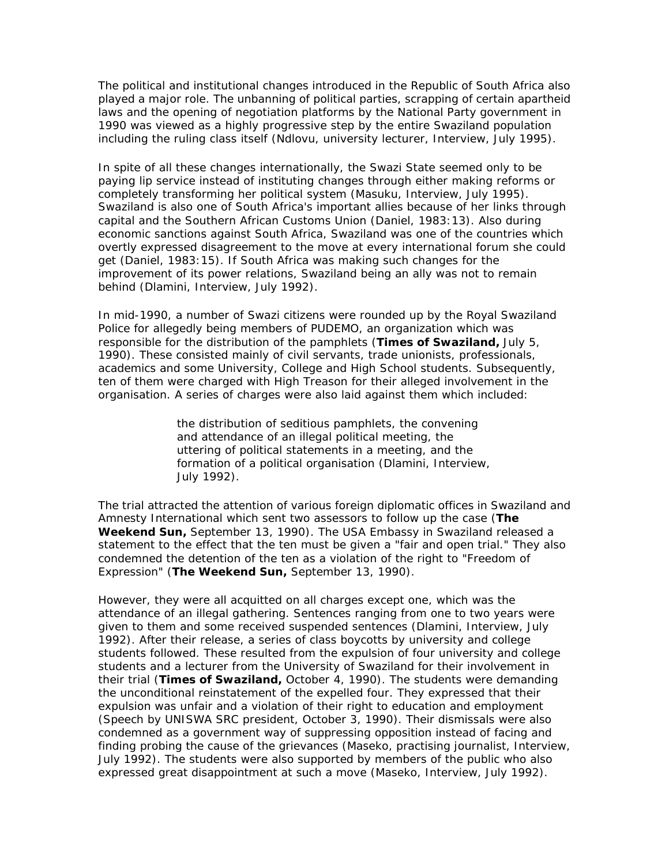The political and institutional changes introduced in the Republic of South Africa also played a major role. The unbanning of political parties, scrapping of certain apartheid laws and the opening of negotiation platforms by the National Party government in 1990 was viewed as a highly progressive step by the entire Swaziland population including the ruling class itself (Ndlovu, university lecturer, Interview, July 1995).

In spite of all these changes internationally, the Swazi State seemed only to be paying lip service instead of instituting changes through either making reforms or completely transforming her political system (Masuku, Interview, July 1995). Swaziland is also one of South Africa's important allies because of her links through capital and the Southern African Customs Union (Daniel, 1983:13). Also during economic sanctions against South Africa, Swaziland was one of the countries which overtly expressed disagreement to the move at every international forum she could get (Daniel, 1983:15). If South Africa was making such changes for the improvement of its power relations, Swaziland being an ally was not to remain behind (Dlamini, Interview, July 1992).

In mid-1990, a number of Swazi citizens were rounded up by the Royal Swaziland Police for allegedly being members of PUDEMO, an organization which was responsible for the distribution of the pamphlets (**Times of Swaziland,** July 5, 1990). These consisted mainly of civil servants, trade unionists, professionals, academics and some University, College and High School students. Subsequently, ten of them were charged with High Treason for their alleged involvement in the organisation. A series of charges were also laid against them which included:

> the distribution of seditious pamphlets, the convening and attendance of an illegal political meeting, the uttering of political statements in a meeting, and the formation of a political organisation (Dlamini, Interview, July 1992).

The trial attracted the attention of various foreign diplomatic offices in Swaziland and Amnesty International which sent two assessors to follow up the case (**The Weekend Sun,** September 13, 1990). The USA Embassy in Swaziland released a statement to the effect that the ten must be given a "fair and open trial." They also condemned the detention of the ten as a violation of the right to "Freedom of Expression" (**The Weekend Sun,** September 13, 1990).

However, they were all acquitted on all charges except one, which was the attendance of an illegal gathering. Sentences ranging from one to two years were given to them and some received suspended sentences (Dlamini, Interview, July 1992). After their release, a series of class boycotts by university and college students followed. These resulted from the expulsion of four university and college students and a lecturer from the University of Swaziland for their involvement in their trial (**Times of Swaziland,** October 4, 1990). The students were demanding the unconditional reinstatement of the expelled four. They expressed that their expulsion was unfair and a violation of their right to education and employment (Speech by UNISWA SRC president, October 3, 1990). Their dismissals were also condemned as a government way of suppressing opposition instead of facing and finding probing the cause of the grievances (Maseko, practising journalist, Interview, July 1992). The students were also supported by members of the public who also expressed great disappointment at such a move (Maseko, Interview, July 1992).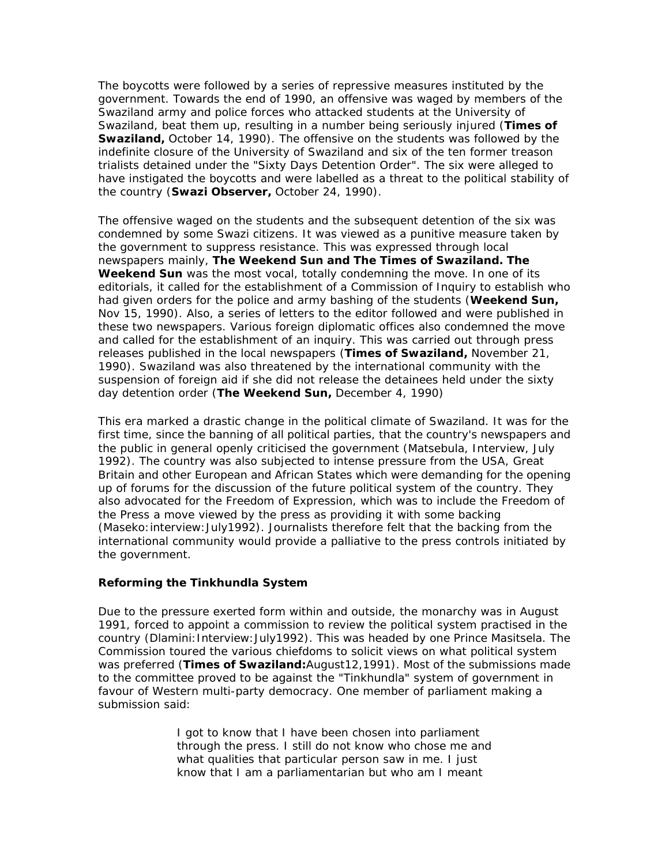The boycotts were followed by a series of repressive measures instituted by the government. Towards the end of 1990, an offensive was waged by members of the Swaziland army and police forces who attacked students at the University of Swaziland, beat them up, resulting in a number being seriously injured (**Times of Swaziland,** October 14, 1990). The offensive on the students was followed by the indefinite closure of the University of Swaziland and six of the ten former treason trialists detained under the "Sixty Days Detention Order". The six were alleged to have instigated the boycotts and were labelled as a threat to the political stability of the country (**Swazi Observer,** October 24, 1990).

The offensive waged on the students and the subsequent detention of the six was condemned by some Swazi citizens. It was viewed as a punitive measure taken by the government to suppress resistance. This was expressed through local newspapers mainly, **The Weekend Sun and The Times of Swaziland. The Weekend Sun** was the most vocal, totally condemning the move. In one of its editorials, it called for the establishment of a Commission of Inquiry to establish who had given orders for the police and army bashing of the students (**Weekend Sun,**  Nov 15, 1990). Also, a series of letters to the editor followed and were published in these two newspapers. Various foreign diplomatic offices also condemned the move and called for the establishment of an inquiry. This was carried out through press releases published in the local newspapers (**Times of Swaziland,** November 21, 1990). Swaziland was also threatened by the international community with the suspension of foreign aid if she did not release the detainees held under the sixty day detention order (**The Weekend Sun,** December 4, 1990)

This era marked a drastic change in the political climate of Swaziland. It was for the first time, since the banning of all political parties, that the country's newspapers and the public in general openly criticised the government (Matsebula, Interview, July 1992). The country was also subjected to intense pressure from the USA, Great Britain and other European and African States which were demanding for the opening up of forums for the discussion of the future political system of the country. They also advocated for the Freedom of Expression, which was to include the Freedom of the Press a move viewed by the press as providing it with some backing (Maseko:interview:July1992). Journalists therefore felt that the backing from the international community would provide a palliative to the press controls initiated by the government.

### **Reforming the Tinkhundla System**

Due to the pressure exerted form within and outside, the monarchy was in August 1991, forced to appoint a commission to review the political system practised in the country (Dlamini: Interview: July1992). This was headed by one Prince Masitsela. The Commission toured the various chiefdoms to solicit views on what political system was preferred (**Times of Swaziland:**August12,1991). Most of the submissions made to the committee proved to be against the "Tinkhundla" system of government in favour of Western multi-party democracy. One member of parliament making a submission said:

> I got to know that I have been chosen into parliament through the press. I still do not know who chose me and what qualities that particular person saw in me. I just know that I am a parliamentarian but who am I meant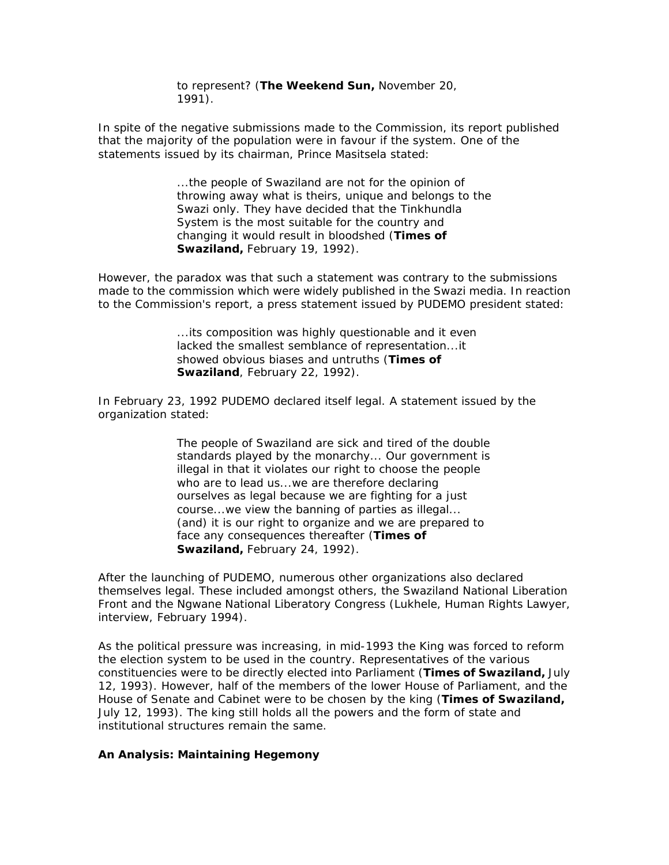to represent? (**The Weekend Sun,** November 20, 1991).

In spite of the negative submissions made to the Commission, its report published that the majority of the population were in favour if the system. One of the statements issued by its chairman, Prince Masitsela stated:

> ...the people of Swaziland are not for the opinion of throwing away what is theirs, unique and belongs to the Swazi only. They have decided that the Tinkhundla System is the most suitable for the country and changing it would result in bloodshed (**Times of Swaziland,** February 19, 1992).

However, the paradox was that such a statement was contrary to the submissions made to the commission which were widely published in the Swazi media. In reaction to the Commission's report, a press statement issued by PUDEMO president stated:

> ...its composition was highly questionable and it even lacked the smallest semblance of representation...it showed obvious biases and untruths (**Times of Swaziland**, February 22, 1992).

In February 23, 1992 PUDEMO declared itself legal. A statement issued by the organization stated:

> The people of Swaziland are sick and tired of the double standards played by the monarchy... Our government is illegal in that it violates our right to choose the people who are to lead us...we are therefore declaring ourselves as legal because we are fighting for a just course...we view the banning of parties as illegal... (and) it is our right to organize and we are prepared to face any consequences thereafter (**Times of Swaziland,** February 24, 1992).

After the launching of PUDEMO, numerous other organizations also declared themselves legal. These included amongst others, the Swaziland National Liberation Front and the Ngwane National Liberatory Congress (Lukhele, Human Rights Lawyer, interview, February 1994).

As the political pressure was increasing, in mid-1993 the King was forced to reform the election system to be used in the country. Representatives of the various constituencies were to be directly elected into Parliament (**Times of Swaziland,** July 12, 1993). However, half of the members of the lower House of Parliament, and the House of Senate and Cabinet were to be chosen by the king (**Times of Swaziland,**  July 12, 1993). The king still holds all the powers and the form of state and institutional structures remain the same.

#### **An Analysis: Maintaining Hegemony**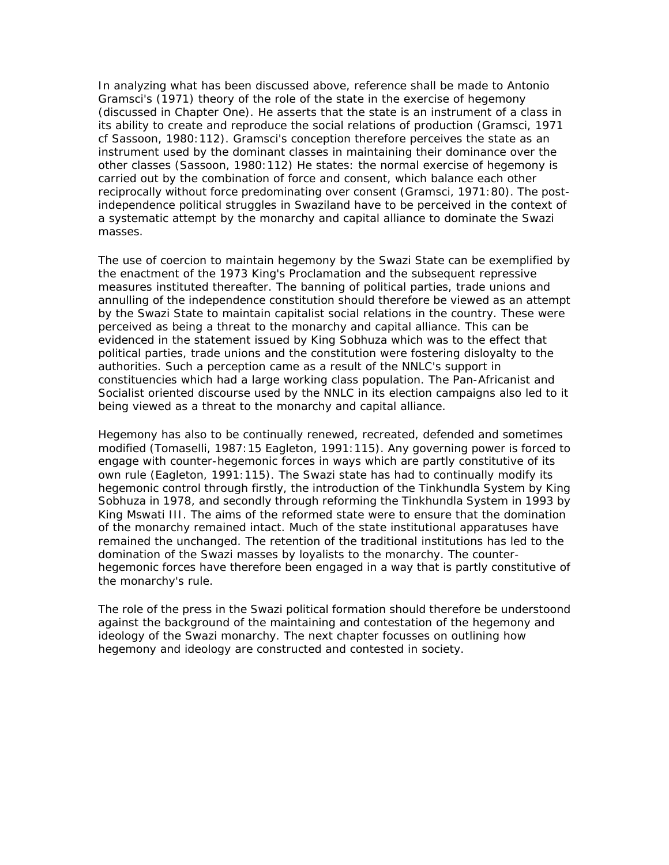In analyzing what has been discussed above, reference shall be made to Antonio Gramsci's (1971) theory of the role of the state in the exercise of hegemony (discussed in Chapter One). He asserts that the state is an instrument of a class in its ability to create and reproduce the social relations of production (Gramsci, 1971 cf Sassoon, 1980:112). Gramsci's conception therefore perceives the state as an instrument used by the dominant classes in maintaining their dominance over the other classes (Sassoon, 1980:112) He states: the normal exercise of hegemony is carried out by the combination of force and consent, which balance each other reciprocally without force predominating over consent (Gramsci, 1971:80). The postindependence political struggles in Swaziland have to be perceived in the context of a systematic attempt by the monarchy and capital alliance to dominate the Swazi masses.

The use of coercion to maintain hegemony by the Swazi State can be exemplified by the enactment of the 1973 King's Proclamation and the subsequent repressive measures instituted thereafter. The banning of political parties, trade unions and annulling of the independence constitution should therefore be viewed as an attempt by the Swazi State to maintain capitalist social relations in the country. These were perceived as being a threat to the monarchy and capital alliance. This can be evidenced in the statement issued by King Sobhuza which was to the effect that political parties, trade unions and the constitution were fostering disloyalty to the authorities. Such a perception came as a result of the NNLC's support in constituencies which had a large working class population. The Pan-Africanist and Socialist oriented discourse used by the NNLC in its election campaigns also led to it being viewed as a threat to the monarchy and capital alliance.

Hegemony has also to be continually renewed, recreated, defended and sometimes modified (Tomaselli, 1987:15 Eagleton, 1991:115). Any governing power is forced to engage with counter-hegemonic forces in ways which are partly constitutive of its own rule (Eagleton, 1991:115). The Swazi state has had to continually modify its hegemonic control through firstly, the introduction of the Tinkhundla System by King Sobhuza in 1978, and secondly through reforming the Tinkhundla System in 1993 by King Mswati III. The aims of the reformed state were to ensure that the domination of the monarchy remained intact. Much of the state institutional apparatuses have remained the unchanged. The retention of the traditional institutions has led to the domination of the Swazi masses by loyalists to the monarchy. The counterhegemonic forces have therefore been engaged in a way that is partly constitutive of the monarchy's rule.

The role of the press in the Swazi political formation should therefore be understoond against the background of the maintaining and contestation of the hegemony and ideology of the Swazi monarchy. The next chapter focusses on outlining how hegemony and ideology are constructed and contested in society.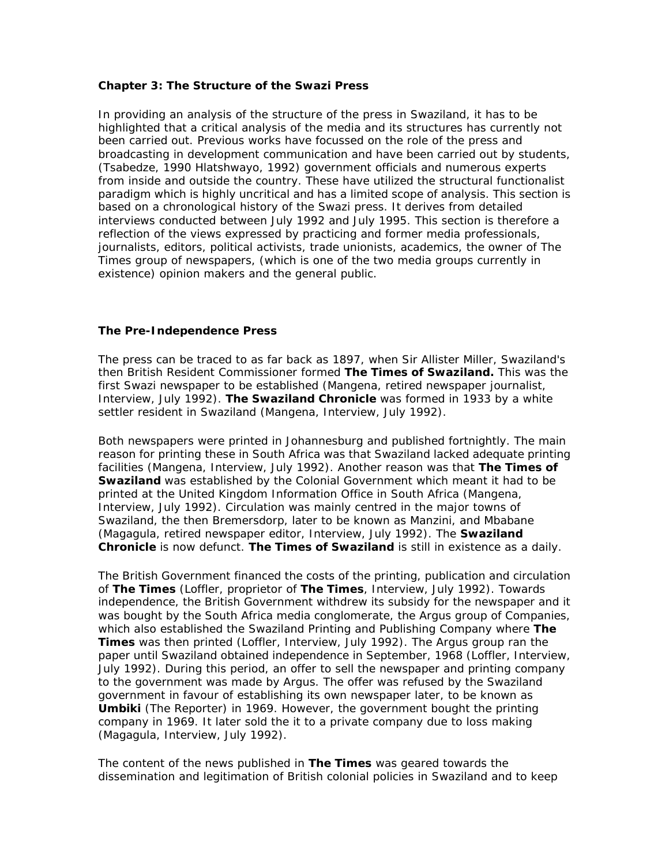#### **Chapter 3: The Structure of the Swazi Press**

In providing an analysis of the structure of the press in Swaziland, it has to be highlighted that a critical analysis of the media and its structures has currently not been carried out. Previous works have focussed on the role of the press and broadcasting in development communication and have been carried out by students, (Tsabedze, 1990 Hlatshwayo, 1992) government officials and numerous experts from inside and outside the country. These have utilized the structural functionalist paradigm which is highly uncritical and has a limited scope of analysis. This section is based on a chronological history of the Swazi press. It derives from detailed interviews conducted between July 1992 and July 1995. This section is therefore a reflection of the views expressed by practicing and former media professionals, journalists, editors, political activists, trade unionists, academics, the owner of The Times group of newspapers, (which is one of the two media groups currently in existence) opinion makers and the general public.

### **The Pre-Independence Press**

The press can be traced to as far back as 1897, when Sir Allister Miller, Swaziland's then British Resident Commissioner formed **The Times of Swaziland.** This was the first Swazi newspaper to be established (Mangena, retired newspaper journalist, Interview, July 1992). **The Swaziland Chronicle** was formed in 1933 by a white settler resident in Swaziland (Mangena, Interview, July 1992).

Both newspapers were printed in Johannesburg and published fortnightly. The main reason for printing these in South Africa was that Swaziland lacked adequate printing facilities (Mangena, Interview, July 1992). Another reason was that **The Times of Swaziland** was established by the Colonial Government which meant it had to be printed at the United Kingdom Information Office in South Africa (Mangena, Interview, July 1992). Circulation was mainly centred in the major towns of Swaziland, the then Bremersdorp, later to be known as Manzini, and Mbabane (Magagula, retired newspaper editor, Interview, July 1992). The **Swaziland Chronicle** is now defunct. **The Times of Swaziland** is still in existence as a daily.

The British Government financed the costs of the printing, publication and circulation of **The Times** (Loffler, proprietor of **The Times**, Interview, July 1992). Towards independence, the British Government withdrew its subsidy for the newspaper and it was bought by the South Africa media conglomerate, the Argus group of Companies, which also established the Swaziland Printing and Publishing Company where **The Times** was then printed (Loffler, Interview, July 1992). The Argus group ran the paper until Swaziland obtained independence in September, 1968 (Loffler, Interview, July 1992). During this period, an offer to sell the newspaper and printing company to the government was made by Argus. The offer was refused by the Swaziland government in favour of establishing its own newspaper later, to be known as **Umbiki** (The Reporter) in 1969. However, the government bought the printing company in 1969. It later sold the it to a private company due to loss making (Magagula, Interview, July 1992).

The content of the news published in **The Times** was geared towards the dissemination and legitimation of British colonial policies in Swaziland and to keep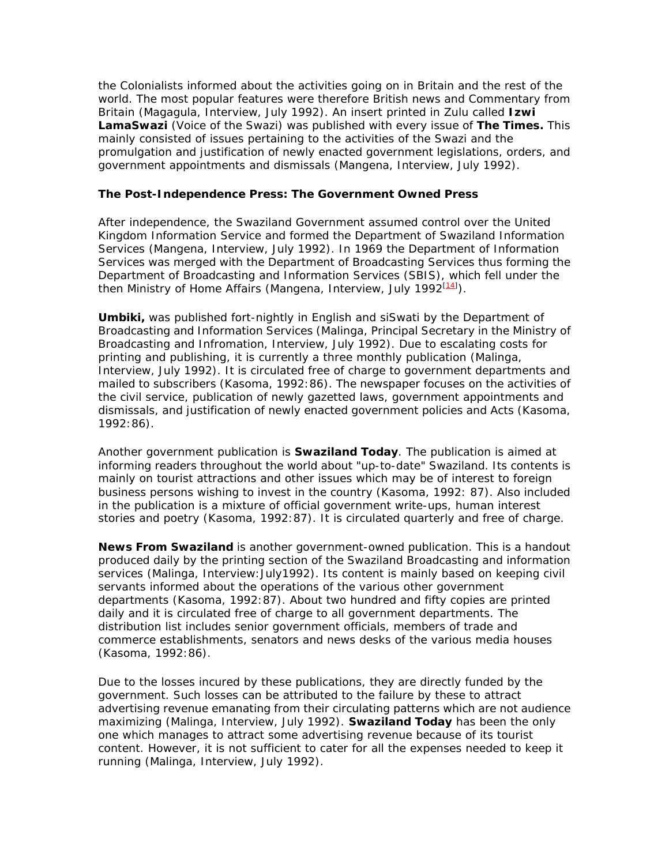the Colonialists informed about the activities going on in Britain and the rest of the world. The most popular features were therefore British news and Commentary from Britain (Magagula, Interview, July 1992). An insert printed in Zulu called **Izwi LamaSwazi** (Voice of the Swazi) was published with every issue of **The Times.** This mainly consisted of issues pertaining to the activities of the Swazi and the promulgation and justification of newly enacted government legislations, orders, and government appointments and dismissals (Mangena, Interview, July 1992).

### **The Post-Independence Press: The Government Owned Press**

After independence, the Swaziland Government assumed control over the United Kingdom Information Service and formed the Department of Swaziland Information Services (Mangena, Interview, July 1992). In 1969 the Department of Information Services was merged with the Department of Broadcasting Services thus forming the Department of Broadcasting and Information Services (SBIS), which fell under the then Ministry of Home Affairs (Mangena, Interview, July 1992<sup>[14]</sup>).

**Umbiki,** was published fort-nightly in English and siSwati by the Department of Broadcasting and Information Services (Malinga, Principal Secretary in the Ministry of Broadcasting and Infromation, Interview, July 1992). Due to escalating costs for printing and publishing, it is currently a three monthly publication (Malinga, Interview, July 1992). It is circulated free of charge to government departments and mailed to subscribers (Kasoma, 1992:86). The newspaper focuses on the activities of the civil service, publication of newly gazetted laws, government appointments and dismissals, and justification of newly enacted government policies and Acts (Kasoma, 1992:86).

Another government publication is **Swaziland Today**. The publication is aimed at informing readers throughout the world about "up-to-date" Swaziland. Its contents is mainly on tourist attractions and other issues which may be of interest to foreign business persons wishing to invest in the country (Kasoma, 1992: 87). Also included in the publication is a mixture of official government write-ups, human interest stories and poetry (Kasoma, 1992:87). It is circulated quarterly and free of charge.

**News From Swaziland** is another government-owned publication. This is a handout produced daily by the printing section of the Swaziland Broadcasting and information services (Malinga, Interview:July1992). Its content is mainly based on keeping civil servants informed about the operations of the various other government departments (Kasoma, 1992:87). About two hundred and fifty copies are printed daily and it is circulated free of charge to all government departments. The distribution list includes senior government officials, members of trade and commerce establishments, senators and news desks of the various media houses (Kasoma, 1992:86).

Due to the losses incured by these publications, they are directly funded by the government. Such losses can be attributed to the failure by these to attract advertising revenue emanating from their circulating patterns which are not audience maximizing (Malinga, Interview, July 1992). **Swaziland Today** has been the only one which manages to attract some advertising revenue because of its tourist content. However, it is not sufficient to cater for all the expenses needed to keep it running (Malinga, Interview, July 1992).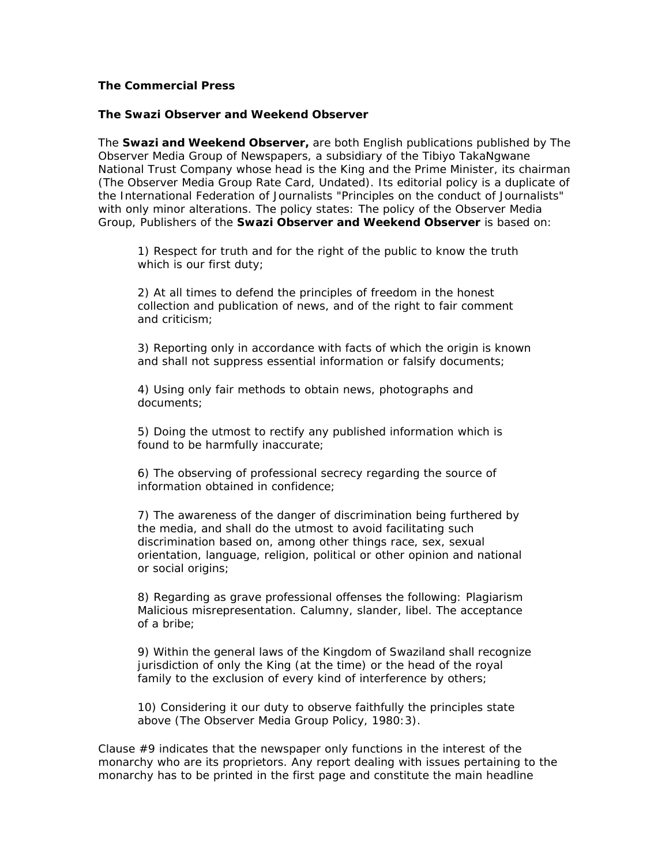### **The Commercial Press**

#### *The Swazi Observer and Weekend Observer*

The **Swazi and Weekend Observer,** are both English publications published by The Observer Media Group of Newspapers, a subsidiary of the Tibiyo TakaNgwane National Trust Company whose head is the King and the Prime Minister, its chairman (The Observer Media Group Rate Card, Undated). Its editorial policy is a duplicate of the International Federation of Journalists "Principles on the conduct of Journalists" with only minor alterations. The policy states: The policy of the Observer Media Group, Publishers of the **Swazi Observer and Weekend Observer** is based on:

1) Respect for truth and for the right of the public to know the truth which is our first duty;

2) At all times to defend the principles of freedom in the honest collection and publication of news, and of the right to fair comment and criticism;

3) Reporting only in accordance with facts of which the origin is known and shall not suppress essential information or falsify documents;

4) Using only fair methods to obtain news, photographs and documents;

5) Doing the utmost to rectify any published information which is found to be harmfully inaccurate;

6) The observing of professional secrecy regarding the source of information obtained in confidence;

7) The awareness of the danger of discrimination being furthered by the media, and shall do the utmost to avoid facilitating such discrimination based on, among other things race, sex, sexual orientation, language, religion, political or other opinion and national or social origins;

8) Regarding as grave professional offenses the following: Plagiarism Malicious misrepresentation. Calumny, slander, libel. The acceptance of a bribe;

9) Within the general laws of the Kingdom of Swaziland shall recognize jurisdiction of only the King (at the time) or the head of the royal family to the exclusion of every kind of interference by others;

10) Considering it our duty to observe faithfully the principles state above (The Observer Media Group Policy, 1980:3).

Clause #9 indicates that the newspaper only functions in the interest of the monarchy who are its proprietors. Any report dealing with issues pertaining to the monarchy has to be printed in the first page and constitute the main headline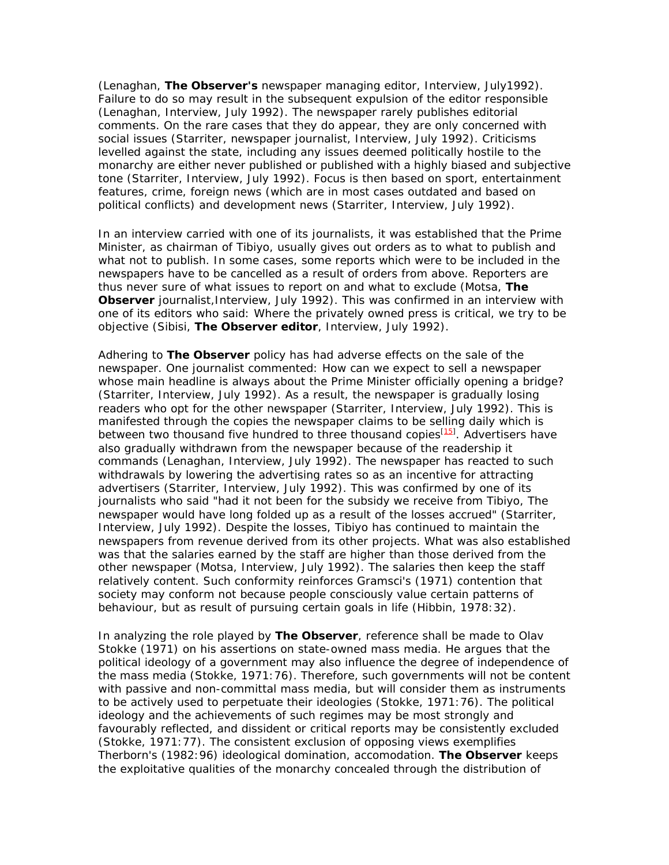(Lenaghan, **The Observer's** newspaper managing editor, Interview, July1992). Failure to do so may result in the subsequent expulsion of the editor responsible (Lenaghan, Interview, July 1992). The newspaper rarely publishes editorial comments. On the rare cases that they do appear, they are only concerned with social issues (Starriter, newspaper journalist, Interview, July 1992). Criticisms levelled against the state, including any issues deemed politically hostile to the monarchy are either never published or published with a highly biased and subjective tone (Starriter, Interview, July 1992). Focus is then based on sport, entertainment features, crime, foreign news (which are in most cases outdated and based on political conflicts) and development news (Starriter, Interview, July 1992).

In an interview carried with one of its journalists, it was established that the Prime Minister, as chairman of Tibiyo, usually gives out orders as to what to publish and what not to publish. In some cases, some reports which were to be included in the newspapers have to be cancelled as a result of orders from above. Reporters are thus never sure of what issues to report on and what to exclude (Motsa, **The Observer** journalist,Interview, July 1992). This was confirmed in an interview with one of its editors who said: Where the privately owned press is critical, we try to be objective (Sibisi, **The Observer editor**, Interview, July 1992).

Adhering to **The Observer** policy has had adverse effects on the sale of the newspaper. One journalist commented: How can we expect to sell a newspaper whose main headline is always about the Prime Minister officially opening a bridge? (Starriter, Interview, July 1992). As a result, the newspaper is gradually losing readers who opt for the other newspaper (Starriter, Interview, July 1992). This is manifested through the copies the newspaper claims to be selling daily which is between two thousand five hundred to three thousand copies<sup>[15]</sup>. Advertisers have also gradually withdrawn from the newspaper because of the readership it commands (Lenaghan, Interview, July 1992). The newspaper has reacted to such withdrawals by lowering the advertising rates so as an incentive for attracting advertisers (Starriter, Interview, July 1992). This was confirmed by one of its journalists who said "had it not been for the subsidy we receive from Tibiyo, The newspaper would have long folded up as a result of the losses accrued" (Starriter, Interview, July 1992). Despite the losses, Tibiyo has continued to maintain the newspapers from revenue derived from its other projects. What was also established was that the salaries earned by the staff are higher than those derived from the other newspaper (Motsa, Interview, July 1992). The salaries then keep the staff relatively content. Such conformity reinforces Gramsci's (1971) contention that society may conform not because people consciously value certain patterns of behaviour, but as result of pursuing certain goals in life (Hibbin, 1978:32).

In analyzing the role played by **The Observer**, reference shall be made to Olav Stokke (1971) on his assertions on state-owned mass media. He argues that the political ideology of a government may also influence the degree of independence of the mass media (Stokke, 1971:76). Therefore, such governments will not be content with passive and non-committal mass media, but will consider them as instruments to be actively used to perpetuate their ideologies (Stokke, 1971:76). The political ideology and the achievements of such regimes may be most strongly and favourably reflected, and dissident or critical reports may be consistently excluded (Stokke, 1971:77). The consistent exclusion of opposing views exemplifies Therborn's (1982:96) ideological domination, accomodation. **The Observer** keeps the exploitative qualities of the monarchy concealed through the distribution of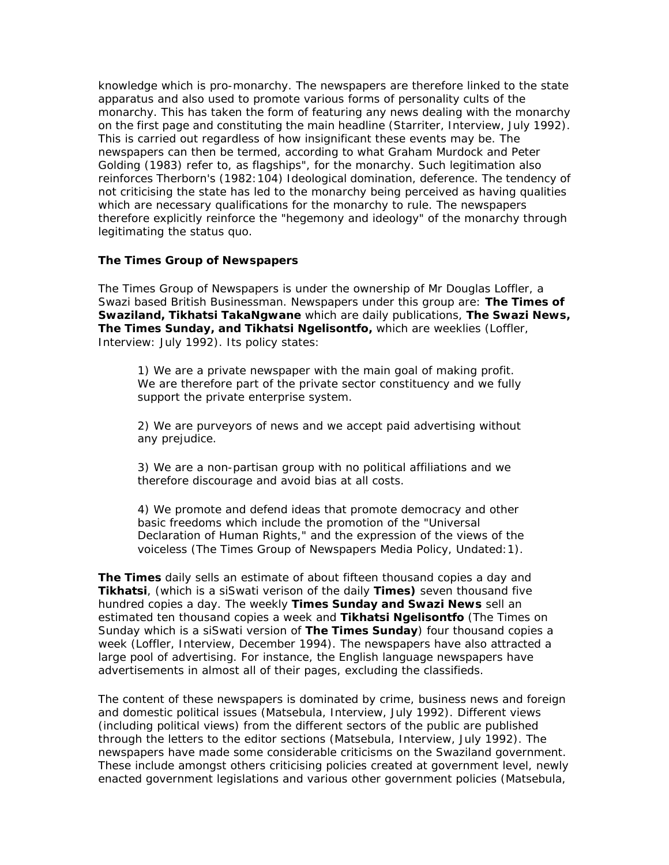knowledge which is pro-monarchy. The newspapers are therefore linked to the state apparatus and also used to promote various forms of personality cults of the monarchy. This has taken the form of featuring any news dealing with the monarchy on the first page and constituting the main headline (Starriter, Interview, July 1992). This is carried out regardless of how insignificant these events may be. The newspapers can then be termed, according to what Graham Murdock and Peter Golding (1983) refer to, as flagships", for the monarchy. Such legitimation also reinforces Therborn's (1982:104) Ideological domination, deference. The tendency of not criticising the state has led to the monarchy being perceived as having qualities which are necessary qualifications for the monarchy to rule. The newspapers therefore explicitly reinforce the "hegemony and ideology" of the monarchy through legitimating the status quo.

### **The Times Group of Newspapers**

The Times Group of Newspapers is under the ownership of Mr Douglas Loffler, a Swazi based British Businessman. Newspapers under this group are: **The Times of Swaziland, Tikhatsi TakaNgwane** which are daily publications, **The Swazi News, The Times Sunday, and Tikhatsi Ngelisontfo,** which are weeklies (Loffler, Interview: July 1992). Its policy states:

1) We are a private newspaper with the main goal of making profit. We are therefore part of the private sector constituency and we fully support the private enterprise system.

2) We are purveyors of news and we accept paid advertising without any prejudice.

3) We are a non-partisan group with no political affiliations and we therefore discourage and avoid bias at all costs.

4) We promote and defend ideas that promote democracy and other basic freedoms which include the promotion of the "Universal Declaration of Human Rights," and the expression of the views of the voiceless (The Times Group of Newspapers Media Policy, Undated:1).

**The Times** daily sells an estimate of about fifteen thousand copies a day and **Tikhatsi**, (which is a siSwati verison of the daily **Times)** seven thousand five hundred copies a day. The weekly **Times Sunday and Swazi News** sell an estimated ten thousand copies a week and **Tikhatsi Ngelisontfo** (The Times on Sunday which is a siSwati version of **The Times Sunday**) four thousand copies a week (Loffler, Interview, December 1994). The newspapers have also attracted a large pool of advertising. For instance, the English language newspapers have advertisements in almost all of their pages, excluding the classifieds.

The content of these newspapers is dominated by crime, business news and foreign and domestic political issues (Matsebula, Interview, July 1992). Different views (including political views) from the different sectors of the public are published through the letters to the editor sections (Matsebula, Interview, July 1992). The newspapers have made some considerable criticisms on the Swaziland government. These include amongst others criticising policies created at government level, newly enacted government legislations and various other government policies (Matsebula,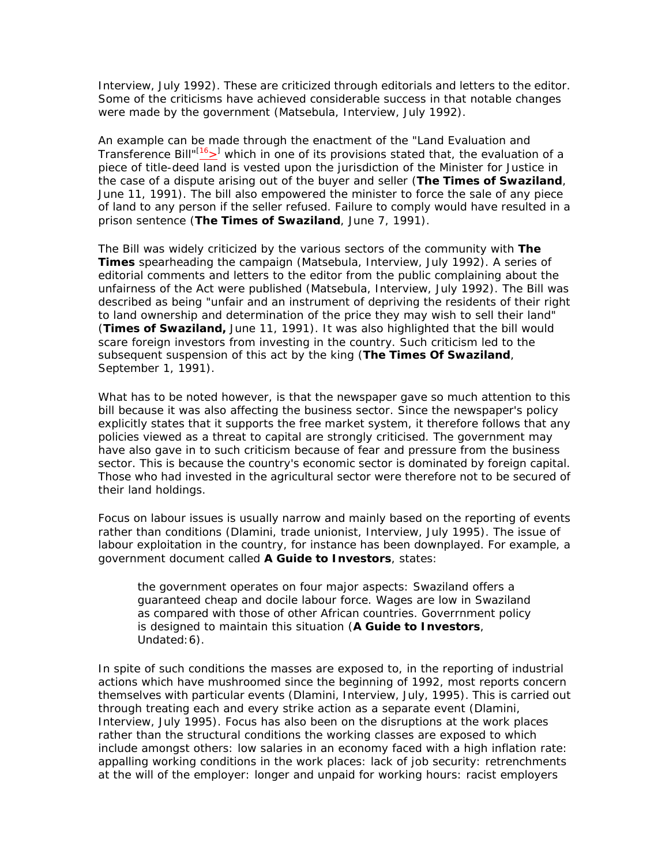Interview, July 1992). These are criticized through editorials and letters to the editor. Some of the criticisms have achieved considerable success in that notable changes were made by the government (Matsebula, Interview, July 1992).

An example can be made through the enactment of the "Land Evaluation and Transference Bill"<sup>[16</sup>><sup>]</sup> which in one of its provisions stated that, the evaluation of a piece of title-deed land is vested upon the jurisdiction of the Minister for Justice in the case of a dispute arising out of the buyer and seller (**The Times of Swaziland**, June 11, 1991). The bill also empowered the minister to force the sale of any piece of land to any person if the seller refused. Failure to comply would have resulted in a prison sentence (**The Times of Swaziland**, June 7, 1991).

The Bill was widely criticized by the various sectors of the community with **The Times** spearheading the campaign (Matsebula, Interview, July 1992). A series of editorial comments and letters to the editor from the public complaining about the unfairness of the Act were published (Matsebula, Interview, July 1992). The Bill was described as being "unfair and an instrument of depriving the residents of their right to land ownership and determination of the price they may wish to sell their land" (**Times of Swaziland,** June 11, 1991). It was also highlighted that the bill would scare foreign investors from investing in the country. Such criticism led to the subsequent suspension of this act by the king (**The Times Of Swaziland**, September 1, 1991).

What has to be noted however, is that the newspaper gave so much attention to this bill because it was also affecting the business sector. Since the newspaper's policy explicitly states that it supports the free market system, it therefore follows that any policies viewed as a threat to capital are strongly criticised. The government may have also gave in to such criticism because of fear and pressure from the business sector. This is because the country's economic sector is dominated by foreign capital. Those who had invested in the agricultural sector were therefore not to be secured of their land holdings.

Focus on labour issues is usually narrow and mainly based on the reporting of events rather than conditions (Dlamini, trade unionist, Interview, July 1995). The issue of labour exploitation in the country, for instance has been downplayed. For example, a government document called **A Guide to Investors**, states:

the government operates on four major aspects: Swaziland offers a guaranteed cheap and docile labour force. Wages are low in Swaziland as compared with those of other African countries. Goverrnment policy is designed to maintain this situation (**A Guide to Investors**, Undated:6).

In spite of such conditions the masses are exposed to, in the reporting of industrial actions which have mushroomed since the beginning of 1992, most reports concern themselves with particular events (Dlamini, Interview, July, 1995). This is carried out through treating each and every strike action as a separate event (Dlamini, Interview, July 1995). Focus has also been on the disruptions at the work places rather than the structural conditions the working classes are exposed to which include amongst others: low salaries in an economy faced with a high inflation rate: appalling working conditions in the work places: lack of job security: retrenchments at the will of the employer: longer and unpaid for working hours: racist employers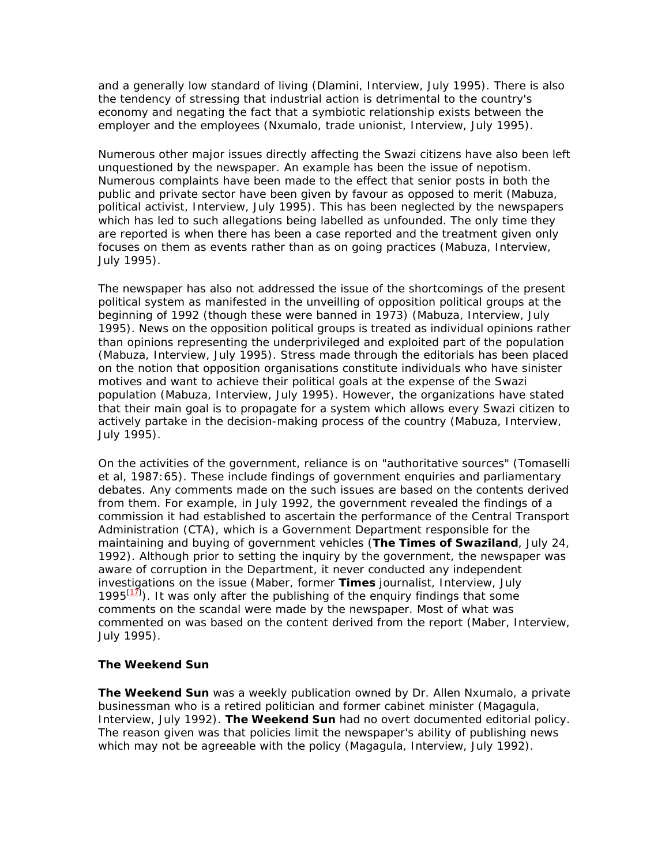and a generally low standard of living (Dlamini, Interview, July 1995). There is also the tendency of stressing that industrial action is detrimental to the country's economy and negating the fact that a symbiotic relationship exists between the employer and the employees (Nxumalo, trade unionist, Interview, July 1995).

Numerous other major issues directly affecting the Swazi citizens have also been left unquestioned by the newspaper. An example has been the issue of nepotism. Numerous complaints have been made to the effect that senior posts in both the public and private sector have been given by favour as opposed to merit (Mabuza, political activist, Interview, July 1995). This has been neglected by the newspapers which has led to such allegations being labelled as unfounded. The only time they are reported is when there has been a case reported and the treatment given only focuses on them as events rather than as on going practices (Mabuza, Interview, July 1995).

The newspaper has also not addressed the issue of the shortcomings of the present political system as manifested in the unveilling of opposition political groups at the beginning of 1992 (though these were banned in 1973) (Mabuza, Interview, July 1995). News on the opposition political groups is treated as individual opinions rather than opinions representing the underprivileged and exploited part of the population (Mabuza, Interview, July 1995). Stress made through the editorials has been placed on the notion that opposition organisations constitute individuals who have sinister motives and want to achieve their political goals at the expense of the Swazi population (Mabuza, Interview, July 1995). However, the organizations have stated that their main goal is to propagate for a system which allows every Swazi citizen to actively partake in the decision-making process of the country (Mabuza, Interview, July 1995).

On the activities of the government, reliance is on "authoritative sources" (Tomaselli et al, 1987:65). These include findings of government enquiries and parliamentary debates. Any comments made on the such issues are based on the contents derived from them. For example, in July 1992, the government revealed the findings of a commission it had established to ascertain the performance of the Central Transport Administration (CTA), which is a Government Department responsible for the maintaining and buying of government vehicles (**The Times of Swaziland**, July 24, 1992). Although prior to setting the inquiry by the government, the newspaper was aware of corruption in the Department, it never conducted any independent investigations on the issue (Maber, former **Times** journalist, Interview, July 1995 $\left(1\overline{1}\right)$ . It was only after the publishing of the enquiry findings that some comments on the scandal were made by the newspaper. Most of what was commented on was based on the content derived from the report (Maber, Interview, July 1995).

### **The Weekend Sun**

**The Weekend Sun** was a weekly publication owned by Dr. Allen Nxumalo, a private businessman who is a retired politician and former cabinet minister (Magagula, Interview, July 1992). **The Weekend Sun** had no overt documented editorial policy. The reason given was that policies limit the newspaper's ability of publishing news which may not be agreeable with the policy (Magagula, Interview, July 1992).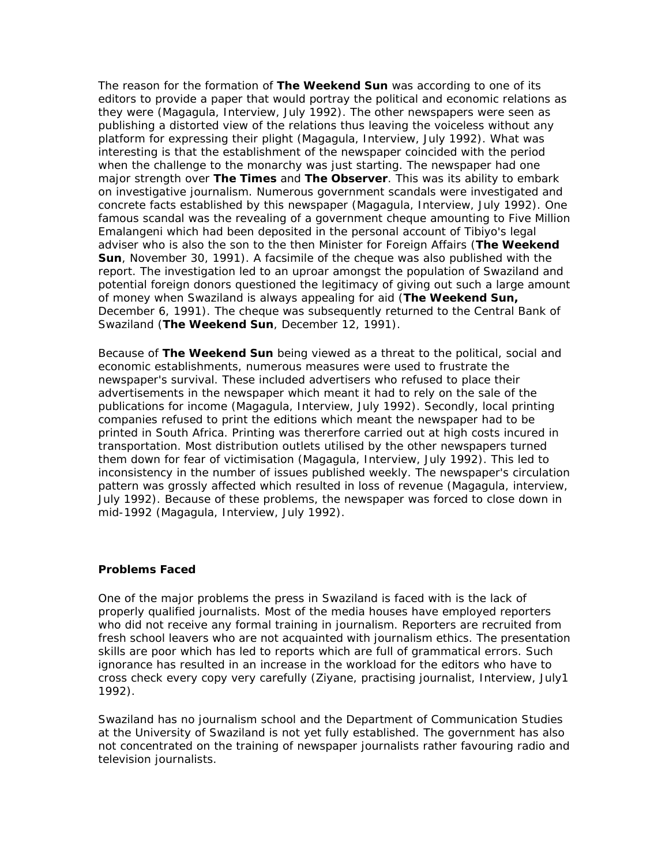The reason for the formation of **The Weekend Sun** was according to one of its editors to provide a paper that would portray the political and economic relations as they were (Magagula, Interview, July 1992). The other newspapers were seen as publishing a distorted view of the relations thus leaving the voiceless without any platform for expressing their plight (Magagula, Interview, July 1992). What was interesting is that the establishment of the newspaper coincided with the period when the challenge to the monarchy was just starting. The newspaper had one major strength over **The Times** and **The Observer**. This was its ability to embark on investigative journalism. Numerous government scandals were investigated and concrete facts established by this newspaper (Magagula, Interview, July 1992). One famous scandal was the revealing of a government cheque amounting to Five Million Emalangeni which had been deposited in the personal account of Tibiyo's legal adviser who is also the son to the then Minister for Foreign Affairs (**The Weekend Sun**, November 30, 1991). A facsimile of the cheque was also published with the report. The investigation led to an uproar amongst the population of Swaziland and potential foreign donors questioned the legitimacy of giving out such a large amount of money when Swaziland is always appealing for aid (**The Weekend Sun,** December 6, 1991). The cheque was subsequently returned to the Central Bank of Swaziland (**The Weekend Sun**, December 12, 1991).

Because of **The Weekend Sun** being viewed as a threat to the political, social and economic establishments, numerous measures were used to frustrate the newspaper's survival. These included advertisers who refused to place their advertisements in the newspaper which meant it had to rely on the sale of the publications for income (Magagula, Interview, July 1992). Secondly, local printing companies refused to print the editions which meant the newspaper had to be printed in South Africa. Printing was thererfore carried out at high costs incured in transportation. Most distribution outlets utilised by the other newspapers turned them down for fear of victimisation (Magagula, Interview, July 1992). This led to inconsistency in the number of issues published weekly. The newspaper's circulation pattern was grossly affected which resulted in loss of revenue (Magagula, interview, July 1992). Because of these problems, the newspaper was forced to close down in mid-1992 (Magagula, Interview, July 1992).

#### **Problems Faced**

One of the major problems the press in Swaziland is faced with is the lack of properly qualified journalists. Most of the media houses have employed reporters who did not receive any formal training in journalism. Reporters are recruited from fresh school leavers who are not acquainted with journalism ethics. The presentation skills are poor which has led to reports which are full of grammatical errors. Such ignorance has resulted in an increase in the workload for the editors who have to cross check every copy very carefully (Ziyane, practising journalist, Interview, July1 1992).

Swaziland has no journalism school and the Department of Communication Studies at the University of Swaziland is not yet fully established. The government has also not concentrated on the training of newspaper journalists rather favouring radio and television journalists.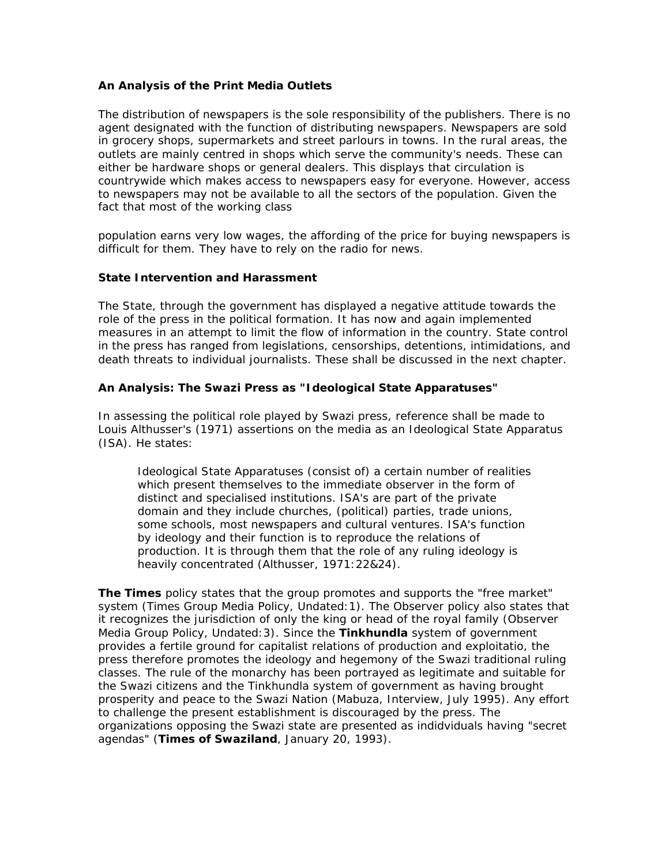### **An Analysis of the Print Media Outlets**

The distribution of newspapers is the sole responsibility of the publishers. There is no agent designated with the function of distributing newspapers. Newspapers are sold in grocery shops, supermarkets and street parlours in towns. In the rural areas, the outlets are mainly centred in shops which serve the community's needs. These can either be hardware shops or general dealers. This displays that circulation is countrywide which makes access to newspapers easy for everyone. However, access to newspapers may not be available to all the sectors of the population. Given the fact that most of the working class

population earns very low wages, the affording of the price for buying newspapers is difficult for them. They have to rely on the radio for news.

### **State Intervention and Harassment**

The State, through the government has displayed a negative attitude towards the role of the press in the political formation. It has now and again implemented measures in an attempt to limit the flow of information in the country. State control in the press has ranged from legislations, censorships, detentions, intimidations, and death threats to individual journalists. These shall be discussed in the next chapter.

# **An Analysis: The Swazi Press as "Ideological State Apparatuses"**

In assessing the political role played by Swazi press, reference shall be made to Louis Althusser's (1971) assertions on the media as an Ideological State Apparatus (ISA). He states:

Ideological State Apparatuses (consist of) a certain number of realities which present themselves to the immediate observer in the form of distinct and specialised institutions. ISA's are part of the private domain and they include churches, (political) parties, trade unions, some schools, most newspapers and cultural ventures. ISA's function by ideology and their function is to reproduce the relations of production. It is through them that the role of any ruling ideology is heavily concentrated (Althusser, 1971:22&24).

**The Times** policy states that the group promotes and supports the "free market" system (Times Group Media Policy, Undated:1). The Observer policy also states that it recognizes the jurisdiction of only the king or head of the royal family (Observer Media Group Policy, Undated:3). Since the **Tinkhundla** system of government provides a fertile ground for capitalist relations of production and exploitatio, the press therefore promotes the ideology and hegemony of the Swazi traditional ruling classes. The rule of the monarchy has been portrayed as legitimate and suitable for the Swazi citizens and the Tinkhundla system of government as having brought prosperity and peace to the Swazi Nation (Mabuza, Interview, July 1995). Any effort to challenge the present establishment is discouraged by the press. The organizations opposing the Swazi state are presented as indidviduals having "secret agendas" (**Times of Swaziland**, January 20, 1993).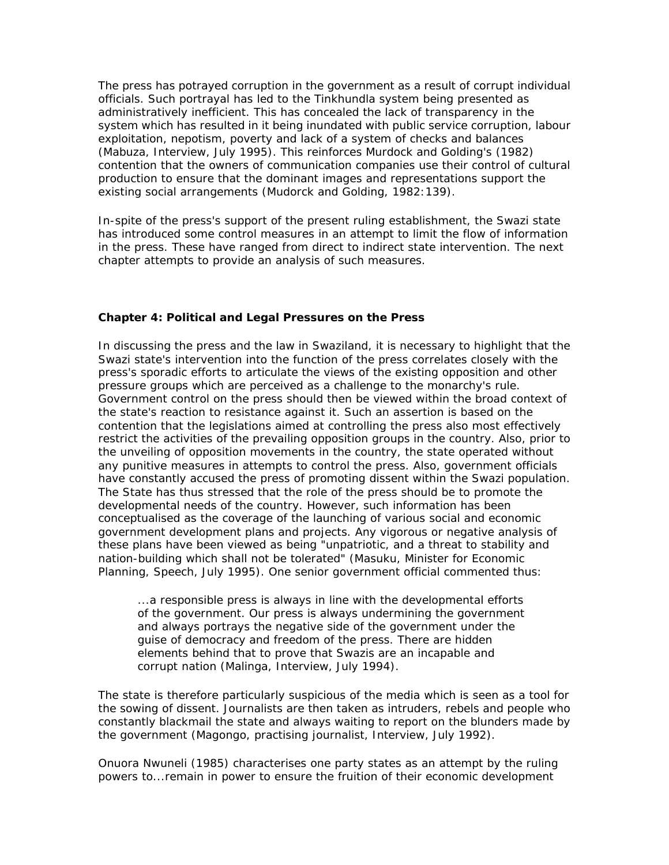The press has potrayed corruption in the government as a result of corrupt individual officials. Such portrayal has led to the Tinkhundla system being presented as administratively inefficient. This has concealed the lack of transparency in the system which has resulted in it being inundated with public service corruption, labour exploitation, nepotism, poverty and lack of a system of checks and balances (Mabuza, Interview, July 1995). This reinforces Murdock and Golding's (1982) contention that the owners of communication companies use their control of cultural production to ensure that the dominant images and representations support the existing social arrangements (Mudorck and Golding, 1982:139).

In-spite of the press's support of the present ruling establishment, the Swazi state has introduced some control measures in an attempt to limit the flow of information in the press. These have ranged from direct to indirect state intervention. The next chapter attempts to provide an analysis of such measures.

### **Chapter 4: Political and Legal Pressures on the Press**

In discussing the press and the law in Swaziland, it is necessary to highlight that the Swazi state's intervention into the function of the press correlates closely with the press's sporadic efforts to articulate the views of the existing opposition and other pressure groups which are perceived as a challenge to the monarchy's rule. Government control on the press should then be viewed within the broad context of the state's reaction to resistance against it. Such an assertion is based on the contention that the legislations aimed at controlling the press also most effectively restrict the activities of the prevailing opposition groups in the country. Also, prior to the unveiling of opposition movements in the country, the state operated without any punitive measures in attempts to control the press. Also, government officials have constantly accused the press of promoting dissent within the Swazi population. The State has thus stressed that the role of the press should be to promote the developmental needs of the country. However, such information has been conceptualised as the coverage of the launching of various social and economic government development plans and projects. Any vigorous or negative analysis of these plans have been viewed as being "unpatriotic, and a threat to stability and nation-building which shall not be tolerated" (Masuku, Minister for Economic Planning, Speech, July 1995). One senior government official commented thus:

...a responsible press is always in line with the developmental efforts of the government. Our press is always undermining the government and always portrays the negative side of the government under the guise of democracy and freedom of the press. There are hidden elements behind that to prove that Swazis are an incapable and corrupt nation (Malinga, Interview, July 1994).

The state is therefore particularly suspicious of the media which is seen as a tool for the sowing of dissent. Journalists are then taken as intruders, rebels and people who constantly blackmail the state and always waiting to report on the blunders made by the government (Magongo, practising journalist, Interview, July 1992).

Onuora Nwuneli (1985) characterises one party states as an attempt by the ruling powers to...remain in power to ensure the fruition of their economic development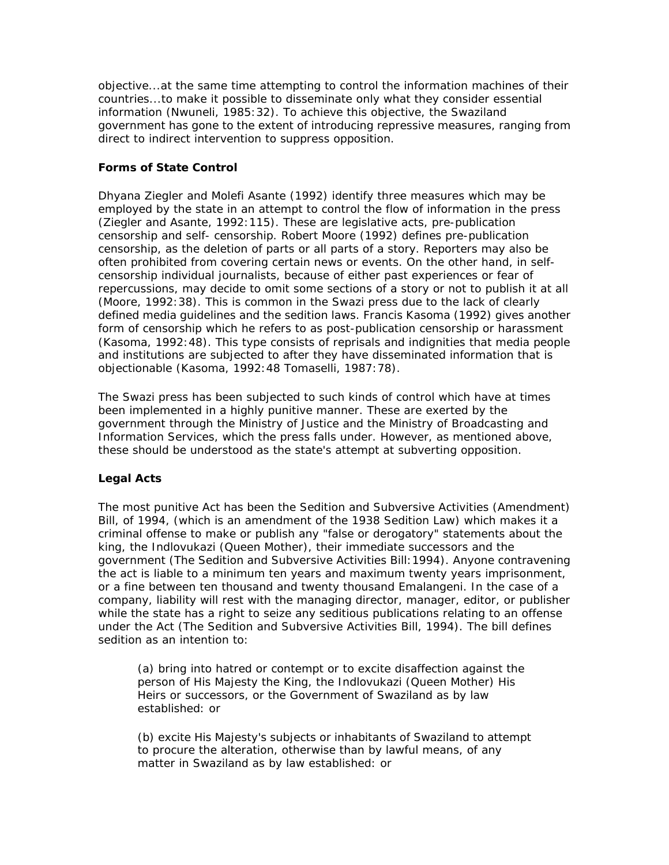objective...at the same time attempting to control the information machines of their countries...to make it possible to disseminate only what they consider essential information (Nwuneli, 1985:32). To achieve this objective, the Swaziland government has gone to the extent of introducing repressive measures, ranging from direct to indirect intervention to suppress opposition.

# **Forms of State Control**

Dhyana Ziegler and Molefi Asante (1992) identify three measures which may be employed by the state in an attempt to control the flow of information in the press (Ziegler and Asante, 1992:115). These are legislative acts, pre-publication censorship and self- censorship. Robert Moore (1992) defines pre-publication censorship, as the deletion of parts or all parts of a story. Reporters may also be often prohibited from covering certain news or events. On the other hand, in selfcensorship individual journalists, because of either past experiences or fear of repercussions, may decide to omit some sections of a story or not to publish it at all (Moore, 1992:38). This is common in the Swazi press due to the lack of clearly defined media guidelines and the sedition laws. Francis Kasoma (1992) gives another form of censorship which he refers to as post-publication censorship or harassment (Kasoma, 1992:48). This type consists of reprisals and indignities that media people and institutions are subjected to after they have disseminated information that is objectionable (Kasoma, 1992:48 Tomaselli, 1987:78).

The Swazi press has been subjected to such kinds of control which have at times been implemented in a highly punitive manner. These are exerted by the government through the Ministry of Justice and the Ministry of Broadcasting and Information Services, which the press falls under. However, as mentioned above, these should be understood as the state's attempt at subverting opposition.

# **Legal Acts**

The most punitive Act has been the Sedition and Subversive Activities (Amendment) Bill, of 1994, (which is an amendment of the 1938 Sedition Law) which makes it a criminal offense to make or publish any "false or derogatory" statements about the king, the Indlovukazi (Queen Mother), their immediate successors and the government (The Sedition and Subversive Activities Bill:1994). Anyone contravening the act is liable to a minimum ten years and maximum twenty years imprisonment, or a fine between ten thousand and twenty thousand Emalangeni. In the case of a company, liability will rest with the managing director, manager, editor, or publisher while the state has a right to seize any seditious publications relating to an offense under the Act (The Sedition and Subversive Activities Bill, 1994). The bill defines sedition as an intention to:

(a) bring into hatred or contempt or to excite disaffection against the person of His Majesty the King, the Indlovukazi (Queen Mother) His Heirs or successors, or the Government of Swaziland as by law established: or

(b) excite His Majesty's subjects or inhabitants of Swaziland to attempt to procure the alteration, otherwise than by lawful means, of any matter in Swaziland as by law established: or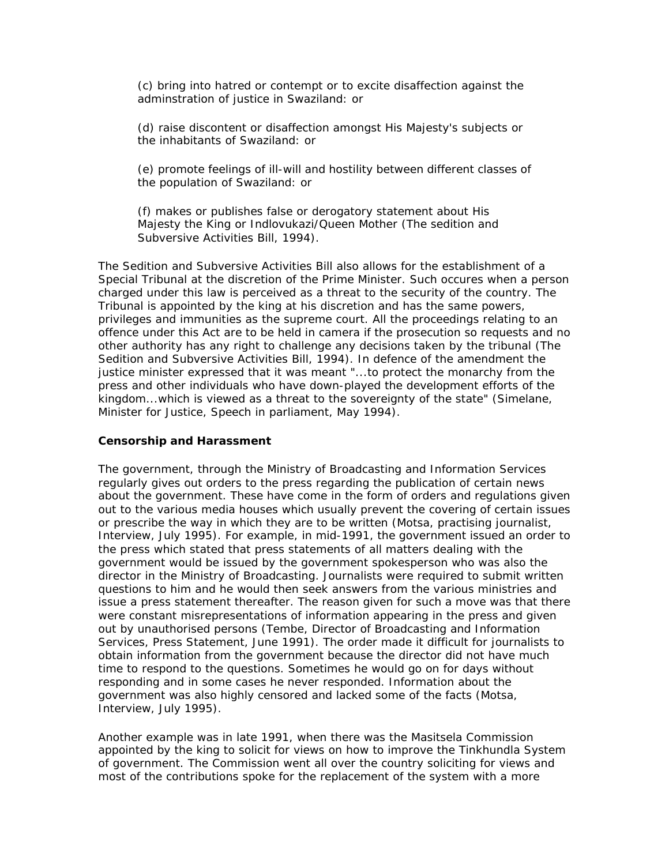(c) bring into hatred or contempt or to excite disaffection against the adminstration of justice in Swaziland: or

(d) raise discontent or disaffection amongst His Majesty's subjects or the inhabitants of Swaziland: or

(e) promote feelings of ill-will and hostility between different classes of the population of Swaziland: or

(f) makes or publishes false or derogatory statement about His Majesty the King or Indlovukazi/Queen Mother (The sedition and Subversive Activities Bill, 1994).

The Sedition and Subversive Activities Bill also allows for the establishment of a Special Tribunal at the discretion of the Prime Minister. Such occures when a person charged under this law is perceived as a threat to the security of the country. The Tribunal is appointed by the king at his discretion and has the same powers, privileges and immunities as the supreme court. All the proceedings relating to an offence under this Act are to be held in camera if the prosecution so requests and no other authority has any right to challenge any decisions taken by the tribunal (The Sedition and Subversive Activities Bill, 1994). In defence of the amendment the justice minister expressed that it was meant "...to protect the monarchy from the press and other individuals who have down-played the development efforts of the kingdom...which is viewed as a threat to the sovereignty of the state" (Simelane, Minister for Justice, Speech in parliament, May 1994).

#### **Censorship and Harassment**

The government, through the Ministry of Broadcasting and Information Services regularly gives out orders to the press regarding the publication of certain news about the government. These have come in the form of orders and regulations given out to the various media houses which usually prevent the covering of certain issues or prescribe the way in which they are to be written (Motsa, practising journalist, Interview, July 1995). For example, in mid-1991, the government issued an order to the press which stated that press statements of all matters dealing with the government would be issued by the government spokesperson who was also the director in the Ministry of Broadcasting. Journalists were required to submit written questions to him and he would then seek answers from the various ministries and issue a press statement thereafter. The reason given for such a move was that there were constant misrepresentations of information appearing in the press and given out by unauthorised persons (Tembe, Director of Broadcasting and Information Services, Press Statement, June 1991). The order made it difficult for journalists to obtain information from the government because the director did not have much time to respond to the questions. Sometimes he would go on for days without responding and in some cases he never responded. Information about the government was also highly censored and lacked some of the facts (Motsa, Interview, July 1995).

Another example was in late 1991, when there was the Masitsela Commission appointed by the king to solicit for views on how to improve the Tinkhundla System of government. The Commission went all over the country soliciting for views and most of the contributions spoke for the replacement of the system with a more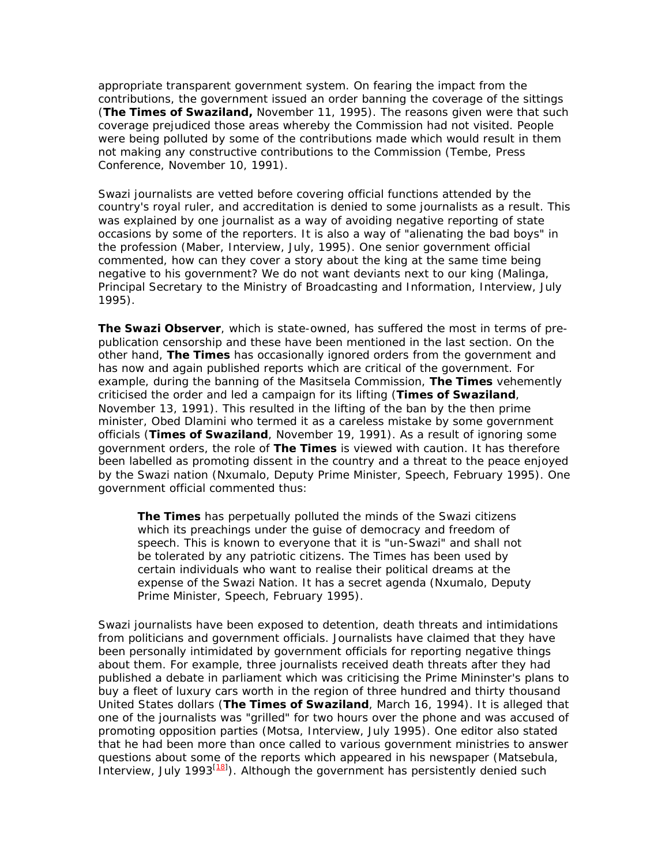appropriate transparent government system. On fearing the impact from the contributions, the government issued an order banning the coverage of the sittings (**The Times of Swaziland,** November 11, 1995). The reasons given were that such coverage prejudiced those areas whereby the Commission had not visited. People were being polluted by some of the contributions made which would result in them not making any constructive contributions to the Commission (Tembe, Press Conference, November 10, 1991).

Swazi journalists are vetted before covering official functions attended by the country's royal ruler, and accreditation is denied to some journalists as a result. This was explained by one journalist as a way of avoiding negative reporting of state occasions by some of the reporters. It is also a way of "alienating the bad boys" in the profession (Maber, Interview, July, 1995). One senior government official commented, how can they cover a story about the king at the same time being negative to his government? We do not want deviants next to our king (Malinga, Principal Secretary to the Ministry of Broadcasting and Information, Interview, July 1995).

**The Swazi Observer**, which is state-owned, has suffered the most in terms of prepublication censorship and these have been mentioned in the last section. On the other hand, **The Times** has occasionally ignored orders from the government and has now and again published reports which are critical of the government. For example, during the banning of the Masitsela Commission, **The Times** vehemently criticised the order and led a campaign for its lifting (**Times of Swaziland**, November 13, 1991). This resulted in the lifting of the ban by the then prime minister, Obed Dlamini who termed it as a careless mistake by some government officials (**Times of Swaziland**, November 19, 1991). As a result of ignoring some government orders, the role of **The Times** is viewed with caution. It has therefore been labelled as promoting dissent in the country and a threat to the peace enjoyed by the Swazi nation (Nxumalo, Deputy Prime Minister, Speech, February 1995). One government official commented thus:

**The Times** has perpetually polluted the minds of the Swazi citizens which its preachings under the guise of democracy and freedom of speech. This is known to everyone that it is "un-Swazi" and shall not be tolerated by any patriotic citizens. The Times has been used by certain individuals who want to realise their political dreams at the expense of the Swazi Nation. It has a secret agenda (Nxumalo, Deputy Prime Minister, Speech, February 1995).

Swazi journalists have been exposed to detention, death threats and intimidations from politicians and government officials. Journalists have claimed that they have been personally intimidated by government officials for reporting negative things about them. For example, three journalists received death threats after they had published a debate in parliament which was criticising the Prime Mininster's plans to buy a fleet of luxury cars worth in the region of three hundred and thirty thousand United States dollars (**The Times of Swaziland**, March 16, 1994). It is alleged that one of the journalists was "grilled" for two hours over the phone and was accused of promoting opposition parties (Motsa, Interview, July 1995). One editor also stated that he had been more than once called to various government ministries to answer questions about some of the reports which appeared in his newspaper (Matsebula, Interview, July 1993 $\left(\frac{18}{1}\right)$ . Although the government has persistently denied such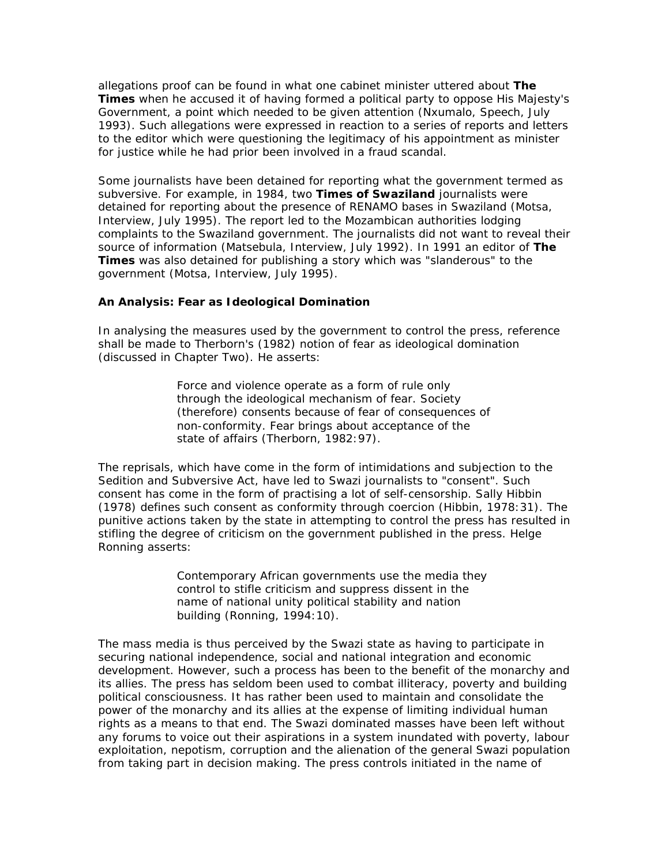allegations proof can be found in what one cabinet minister uttered about **The Times** when he accused it of having formed a political party to oppose His Majesty's Government, a point which needed to be given attention (Nxumalo, Speech, July 1993). Such allegations were expressed in reaction to a series of reports and letters to the editor which were questioning the legitimacy of his appointment as minister for justice while he had prior been involved in a fraud scandal.

Some journalists have been detained for reporting what the government termed as subversive. For example, in 1984, two **Times of Swaziland** journalists were detained for reporting about the presence of RENAMO bases in Swaziland (Motsa, Interview, July 1995). The report led to the Mozambican authorities lodging complaints to the Swaziland government. The journalists did not want to reveal their source of information (Matsebula, Interview, July 1992). In 1991 an editor of **The Times** was also detained for publishing a story which was "slanderous" to the government (Motsa, Interview, July 1995).

### **An Analysis: Fear as Ideological Domination**

In analysing the measures used by the government to control the press, reference shall be made to Therborn's (1982) notion of fear as ideological domination (discussed in Chapter Two). He asserts:

> Force and violence operate as a form of rule only through the ideological mechanism of fear. Society (therefore) consents because of fear of consequences of non-conformity. Fear brings about acceptance of the state of affairs (Therborn, 1982:97).

The reprisals, which have come in the form of intimidations and subjection to the Sedition and Subversive Act, have led to Swazi journalists to "consent". Such consent has come in the form of practising a lot of self-censorship. Sally Hibbin (1978) defines such consent as conformity through coercion (Hibbin, 1978:31). The punitive actions taken by the state in attempting to control the press has resulted in stifling the degree of criticism on the government published in the press. Helge Ronning asserts:

> Contemporary African governments use the media they control to stifle criticism and suppress dissent in the name of national unity political stability and nation building (Ronning, 1994:10).

The mass media is thus perceived by the Swazi state as having to participate in securing national independence, social and national integration and economic development. However, such a process has been to the benefit of the monarchy and its allies. The press has seldom been used to combat illiteracy, poverty and building political consciousness. It has rather been used to maintain and consolidate the power of the monarchy and its allies at the expense of limiting individual human rights as a means to that end. The Swazi dominated masses have been left without any forums to voice out their aspirations in a system inundated with poverty, labour exploitation, nepotism, corruption and the alienation of the general Swazi population from taking part in decision making. The press controls initiated in the name of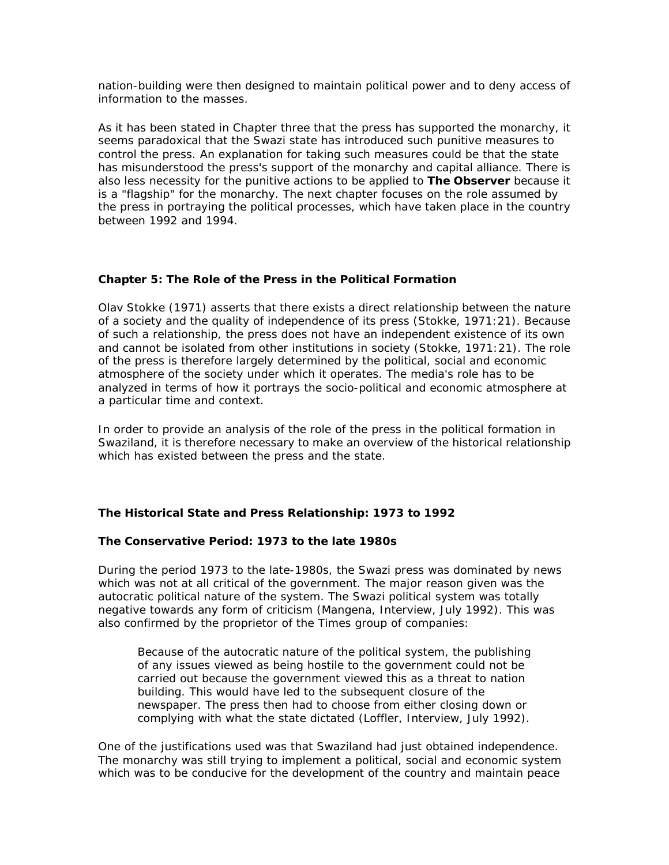nation-building were then designed to maintain political power and to deny access of information to the masses.

As it has been stated in Chapter three that the press has supported the monarchy, it seems paradoxical that the Swazi state has introduced such punitive measures to control the press. An explanation for taking such measures could be that the state has misunderstood the press's support of the monarchy and capital alliance. There is also less necessity for the punitive actions to be applied to **The Observer** because it is a "flagship" for the monarchy. The next chapter focuses on the role assumed by the press in portraying the political processes, which have taken place in the country between 1992 and 1994.

### **Chapter 5: The Role of the Press in the Political Formation**

Olav Stokke (1971) asserts that there exists a direct relationship between the nature of a society and the quality of independence of its press (Stokke, 1971:21). Because of such a relationship, the press does not have an independent existence of its own and cannot be isolated from other institutions in society (Stokke, 1971:21). The role of the press is therefore largely determined by the political, social and economic atmosphere of the society under which it operates. The media's role has to be analyzed in terms of how it portrays the socio-political and economic atmosphere at a particular time and context.

In order to provide an analysis of the role of the press in the political formation in Swaziland, it is therefore necessary to make an overview of the historical relationship which has existed between the press and the state.

### **The Historical State and Press Relationship: 1973 to 1992**

### *The Conservative Period: 1973 to the late 1980s*

During the period 1973 to the late-1980s, the Swazi press was dominated by news which was not at all critical of the government. The major reason given was the autocratic political nature of the system. The Swazi political system was totally negative towards any form of criticism (Mangena, Interview, July 1992). This was also confirmed by the proprietor of the Times group of companies:

Because of the autocratic nature of the political system, the publishing of any issues viewed as being hostile to the government could not be carried out because the government viewed this as a threat to nation building. This would have led to the subsequent closure of the newspaper. The press then had to choose from either closing down or complying with what the state dictated (Loffler, Interview, July 1992).

One of the justifications used was that Swaziland had just obtained independence. The monarchy was still trying to implement a political, social and economic system which was to be conducive for the development of the country and maintain peace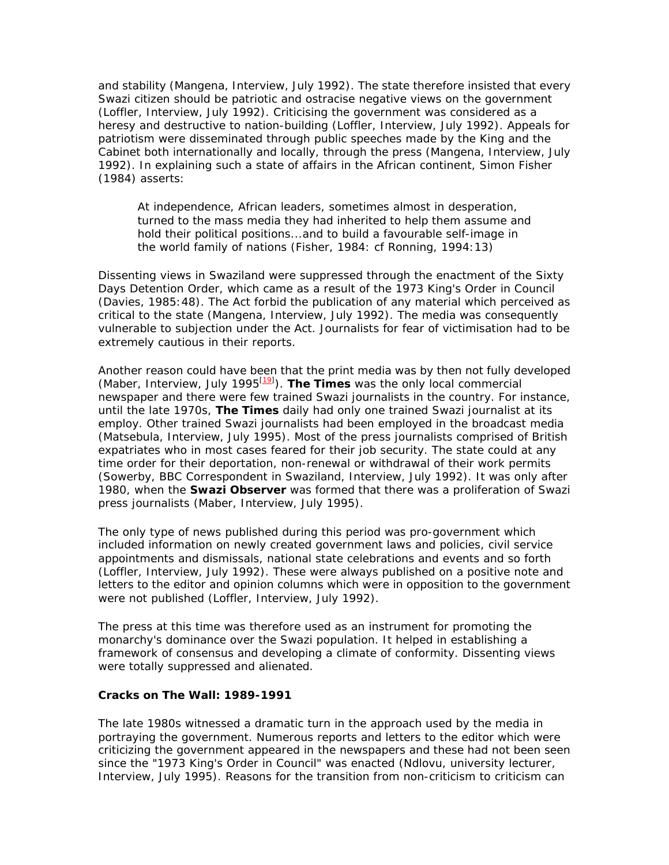and stability (Mangena, Interview, July 1992). The state therefore insisted that every Swazi citizen should be patriotic and ostracise negative views on the government (Loffler, Interview, July 1992). Criticising the government was considered as a heresy and destructive to nation-building (Loffler, Interview, July 1992). Appeals for patriotism were disseminated through public speeches made by the King and the Cabinet both internationally and locally, through the press (Mangena, Interview, July 1992). In explaining such a state of affairs in the African continent, Simon Fisher (1984) asserts:

At independence, African leaders, sometimes almost in desperation, turned to the mass media they had inherited to help them assume and hold their political positions...and to build a favourable self-image in the world family of nations (Fisher, 1984: cf Ronning, 1994:13)

Dissenting views in Swaziland were suppressed through the enactment of the Sixty Days Detention Order, which came as a result of the 1973 King's Order in Council (Davies, 1985:48). The Act forbid the publication of any material which perceived as critical to the state (Mangena, Interview, July 1992). The media was consequently vulnerable to subjection under the Act. Journalists for fear of victimisation had to be extremely cautious in their reports.

Another reason could have been that the print media was by then not fully developed (Maber, Interview, July 1995<sup>[19]</sup>). The Times was the only local commercial newspaper and there were few trained Swazi journalists in the country. For instance, until the late 1970s, **The Times** daily had only one trained Swazi journalist at its employ. Other trained Swazi journalists had been employed in the broadcast media (Matsebula, Interview, July 1995). Most of the press journalists comprised of British expatriates who in most cases feared for their job security. The state could at any time order for their deportation, non-renewal or withdrawal of their work permits (Sowerby, BBC Correspondent in Swaziland, Interview, July 1992). It was only after 1980, when the **Swazi Observer** was formed that there was a proliferation of Swazi press journalists (Maber, Interview, July 1995).

The only type of news published during this period was pro-government which included information on newly created government laws and policies, civil service appointments and dismissals, national state celebrations and events and so forth (Loffler, Interview, July 1992). These were always published on a positive note and letters to the editor and opinion columns which were in opposition to the government were not published (Loffler, Interview, July 1992).

The press at this time was therefore used as an instrument for promoting the monarchy's dominance over the Swazi population. It helped in establishing a framework of consensus and developing a climate of conformity. Dissenting views were totally suppressed and alienated.

#### **Cracks on The Wall: 1989-1991**

The late 1980s witnessed a dramatic turn in the approach used by the media in portraying the government. Numerous reports and letters to the editor which were criticizing the government appeared in the newspapers and these had not been seen since the "1973 King's Order in Council" was enacted (Ndlovu, university lecturer, Interview, July 1995). Reasons for the transition from non-criticism to criticism can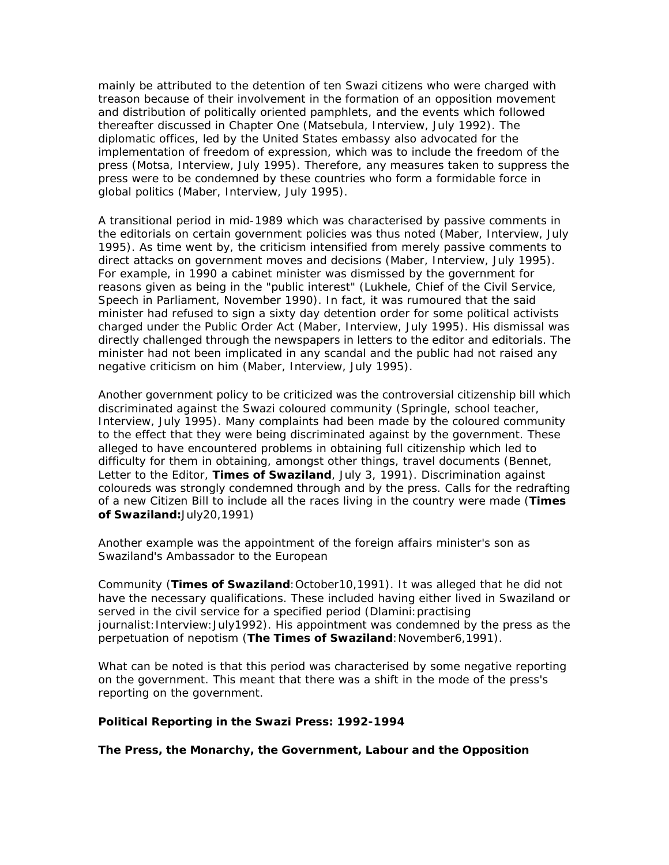mainly be attributed to the detention of ten Swazi citizens who were charged with treason because of their involvement in the formation of an opposition movement and distribution of politically oriented pamphlets, and the events which followed thereafter discussed in Chapter One (Matsebula, Interview, July 1992). The diplomatic offices, led by the United States embassy also advocated for the implementation of freedom of expression, which was to include the freedom of the press (Motsa, Interview, July 1995). Therefore, any measures taken to suppress the press were to be condemned by these countries who form a formidable force in global politics (Maber, Interview, July 1995).

A transitional period in mid-1989 which was characterised by passive comments in the editorials on certain government policies was thus noted (Maber, Interview, July 1995). As time went by, the criticism intensified from merely passive comments to direct attacks on government moves and decisions (Maber, Interview, July 1995). For example, in 1990 a cabinet minister was dismissed by the government for reasons given as being in the "public interest" (Lukhele, Chief of the Civil Service, Speech in Parliament, November 1990). In fact, it was rumoured that the said minister had refused to sign a sixty day detention order for some political activists charged under the Public Order Act (Maber, Interview, July 1995). His dismissal was directly challenged through the newspapers in letters to the editor and editorials. The minister had not been implicated in any scandal and the public had not raised any negative criticism on him (Maber, Interview, July 1995).

Another government policy to be criticized was the controversial citizenship bill which discriminated against the Swazi coloured community (Springle, school teacher, Interview, July 1995). Many complaints had been made by the coloured community to the effect that they were being discriminated against by the government. These alleged to have encountered problems in obtaining full citizenship which led to difficulty for them in obtaining, amongst other things, travel documents (Bennet, Letter to the Editor, **Times of Swaziland**, July 3, 1991). Discrimination against coloureds was strongly condemned through and by the press. Calls for the redrafting of a new Citizen Bill to include all the races living in the country were made (**Times of Swaziland:**July20,1991)

Another example was the appointment of the foreign affairs minister's son as Swaziland's Ambassador to the European

Community (**Times of Swaziland**:October10,1991). It was alleged that he did not have the necessary qualifications. These included having either lived in Swaziland or served in the civil service for a specified period (Dlamini:practising journalist: Interview: July1992). His appointment was condemned by the press as the perpetuation of nepotism (**The Times of Swaziland**:November6,1991).

What can be noted is that this period was characterised by some negative reporting on the government. This meant that there was a shift in the mode of the press's reporting on the government.

### **Political Reporting in the Swazi Press: 1992-1994**

*The Press, the Monarchy, the Government, Labour and the Opposition*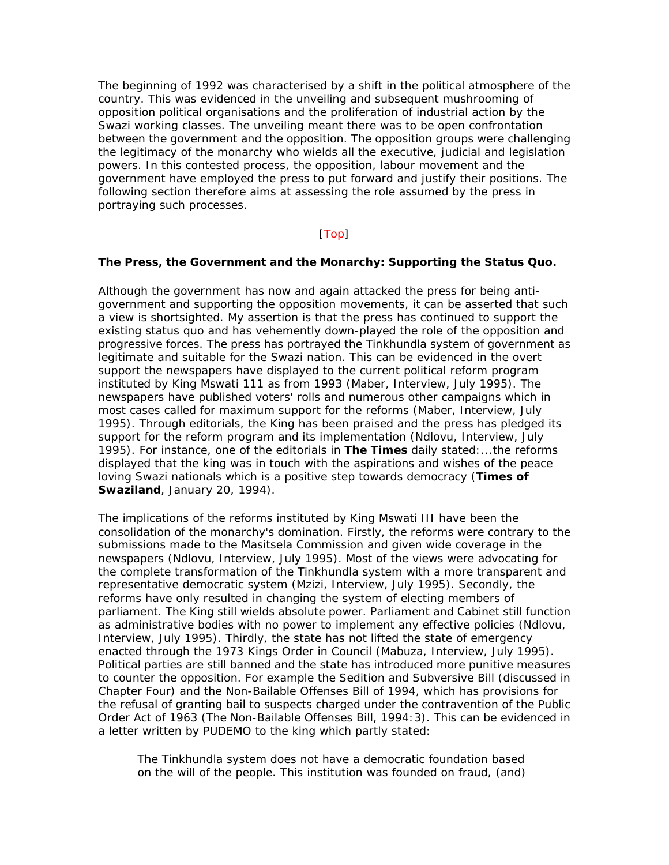The beginning of 1992 was characterised by a shift in the political atmosphere of the country. This was evidenced in the unveiling and subsequent mushrooming of opposition political organisations and the proliferation of industrial action by the Swazi working classes. The unveiling meant there was to be open confrontation between the government and the opposition. The opposition groups were challenging the legitimacy of the monarchy who wields all the executive, judicial and legislation powers. In this contested process, the opposition, labour movement and the government have employed the press to put forward and justify their positions. The following section therefore aims at assessing the role assumed by the press in portraying such processes.

### [Top]

#### **The Press, the Government and the Monarchy: Supporting the Status Quo.**

Although the government has now and again attacked the press for being antigovernment and supporting the opposition movements, it can be asserted that such a view is shortsighted. My assertion is that the press has continued to support the existing status quo and has vehemently down-played the role of the opposition and progressive forces. The press has portrayed the Tinkhundla system of government as legitimate and suitable for the Swazi nation. This can be evidenced in the overt support the newspapers have displayed to the current political reform program instituted by King Mswati 111 as from 1993 (Maber, Interview, July 1995). The newspapers have published voters' rolls and numerous other campaigns which in most cases called for maximum support for the reforms (Maber, Interview, July 1995). Through editorials, the King has been praised and the press has pledged its support for the reform program and its implementation (Ndlovu, Interview, July 1995). For instance, one of the editorials in **The Times** daily stated:...the reforms displayed that the king was in touch with the aspirations and wishes of the peace loving Swazi nationals which is a positive step towards democracy (**Times of Swaziland**, January 20, 1994).

The implications of the reforms instituted by King Mswati III have been the consolidation of the monarchy's domination. Firstly, the reforms were contrary to the submissions made to the Masitsela Commission and given wide coverage in the newspapers (Ndlovu, Interview, July 1995). Most of the views were advocating for the complete transformation of the Tinkhundla system with a more transparent and representative democratic system (Mzizi, Interview, July 1995). Secondly, the reforms have only resulted in changing the system of electing members of parliament. The King still wields absolute power. Parliament and Cabinet still function as administrative bodies with no power to implement any effective policies (Ndlovu, Interview, July 1995). Thirdly, the state has not lifted the state of emergency enacted through the 1973 Kings Order in Council (Mabuza, Interview, July 1995). Political parties are still banned and the state has introduced more punitive measures to counter the opposition. For example the Sedition and Subversive Bill (discussed in Chapter Four) and the Non-Bailable Offenses Bill of 1994, which has provisions for the refusal of granting bail to suspects charged under the contravention of the Public Order Act of 1963 (The Non-Bailable Offenses Bill, 1994:3). This can be evidenced in a letter written by PUDEMO to the king which partly stated:

The Tinkhundla system does not have a democratic foundation based on the will of the people. This institution was founded on fraud, (and)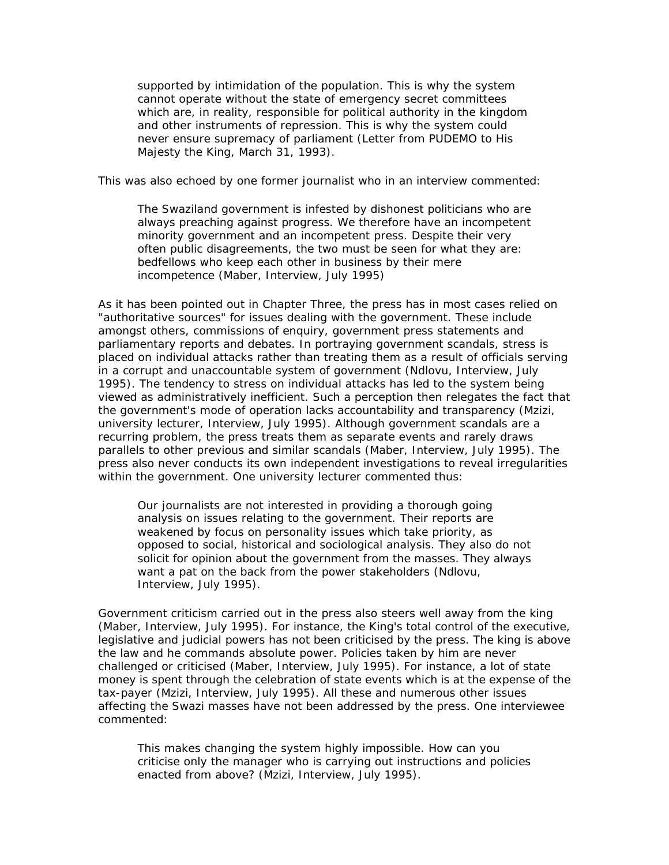supported by intimidation of the population. This is why the system cannot operate without the state of emergency secret committees which are, in reality, responsible for political authority in the kingdom and other instruments of repression. This is why the system could never ensure supremacy of parliament (Letter from PUDEMO to His Majesty the King, March 31, 1993).

This was also echoed by one former journalist who in an interview commented:

The Swaziland government is infested by dishonest politicians who are always preaching against progress. We therefore have an incompetent minority government and an incompetent press. Despite their very often public disagreements, the two must be seen for what they are: bedfellows who keep each other in business by their mere incompetence (Maber, Interview, July 1995)

As it has been pointed out in Chapter Three, the press has in most cases relied on "authoritative sources" for issues dealing with the government. These include amongst others, commissions of enquiry, government press statements and parliamentary reports and debates. In portraying government scandals, stress is placed on individual attacks rather than treating them as a result of officials serving in a corrupt and unaccountable system of government (Ndlovu, Interview, July 1995). The tendency to stress on individual attacks has led to the system being viewed as administratively inefficient. Such a perception then relegates the fact that the government's mode of operation lacks accountability and transparency (Mzizi, university lecturer, Interview, July 1995). Although government scandals are a recurring problem, the press treats them as separate events and rarely draws parallels to other previous and similar scandals (Maber, Interview, July 1995). The press also never conducts its own independent investigations to reveal irregularities within the government. One university lecturer commented thus:

Our journalists are not interested in providing a thorough going analysis on issues relating to the government. Their reports are weakened by focus on personality issues which take priority, as opposed to social, historical and sociological analysis. They also do not solicit for opinion about the government from the masses. They always want a pat on the back from the power stakeholders (Ndlovu, Interview, July 1995).

Government criticism carried out in the press also steers well away from the king (Maber, Interview, July 1995). For instance, the King's total control of the executive, legislative and judicial powers has not been criticised by the press. The king is above the law and he commands absolute power. Policies taken by him are never challenged or criticised (Maber, Interview, July 1995). For instance, a lot of state money is spent through the celebration of state events which is at the expense of the tax-payer (Mzizi, Interview, July 1995). All these and numerous other issues affecting the Swazi masses have not been addressed by the press. One interviewee commented:

This makes changing the system highly impossible. How can you criticise only the manager who is carrying out instructions and policies enacted from above? (Mzizi, Interview, July 1995).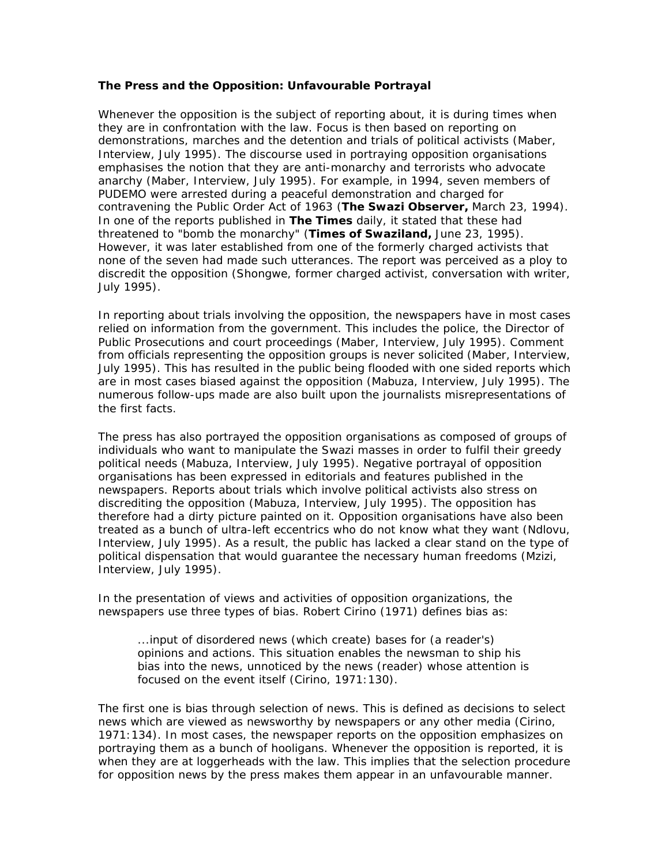#### **The Press and the Opposition: Unfavourable Portrayal**

Whenever the opposition is the subject of reporting about, it is during times when they are in confrontation with the law. Focus is then based on reporting on demonstrations, marches and the detention and trials of political activists (Maber, Interview, July 1995). The discourse used in portraying opposition organisations emphasises the notion that they are anti-monarchy and terrorists who advocate anarchy (Maber, Interview, July 1995). For example, in 1994, seven members of PUDEMO were arrested during a peaceful demonstration and charged for contravening the Public Order Act of 1963 (**The Swazi Observer,** March 23, 1994). In one of the reports published in **The Times** daily, it stated that these had threatened to "bomb the monarchy" (**Times of Swaziland,** June 23, 1995). However, it was later established from one of the formerly charged activists that none of the seven had made such utterances. The report was perceived as a ploy to discredit the opposition (Shongwe, former charged activist, conversation with writer, July 1995).

In reporting about trials involving the opposition, the newspapers have in most cases relied on information from the government. This includes the police, the Director of Public Prosecutions and court proceedings (Maber, Interview, July 1995). Comment from officials representing the opposition groups is never solicited (Maber, Interview, July 1995). This has resulted in the public being flooded with one sided reports which are in most cases biased against the opposition (Mabuza, Interview, July 1995). The numerous follow-ups made are also built upon the journalists misrepresentations of the first facts.

The press has also portrayed the opposition organisations as composed of groups of individuals who want to manipulate the Swazi masses in order to fulfil their greedy political needs (Mabuza, Interview, July 1995). Negative portrayal of opposition organisations has been expressed in editorials and features published in the newspapers. Reports about trials which involve political activists also stress on discrediting the opposition (Mabuza, Interview, July 1995). The opposition has therefore had a dirty picture painted on it. Opposition organisations have also been treated as a bunch of ultra-left eccentrics who do not know what they want (Ndlovu, Interview, July 1995). As a result, the public has lacked a clear stand on the type of political dispensation that would guarantee the necessary human freedoms (Mzizi, Interview, July 1995).

In the presentation of views and activities of opposition organizations, the newspapers use three types of bias. Robert Cirino (1971) defines bias as:

...input of disordered news (which create) bases for (a reader's) opinions and actions. This situation enables the newsman to ship his bias into the news, unnoticed by the news (reader) whose attention is focused on the event itself (Cirino, 1971:130).

The first one is bias through selection of news. This is defined as decisions to select news which are viewed as newsworthy by newspapers or any other media (Cirino, 1971:134). In most cases, the newspaper reports on the opposition emphasizes on portraying them as a bunch of hooligans. Whenever the opposition is reported, it is when they are at loggerheads with the law. This implies that the selection procedure for opposition news by the press makes them appear in an unfavourable manner.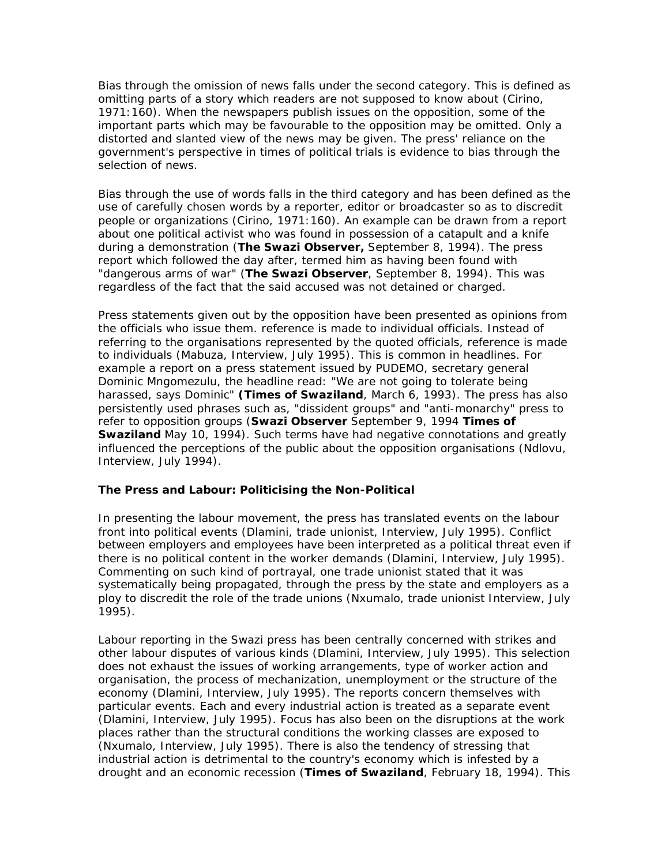Bias through the omission of news falls under the second category. This is defined as omitting parts of a story which readers are not supposed to know about (Cirino, 1971:160). When the newspapers publish issues on the opposition, some of the important parts which may be favourable to the opposition may be omitted. Only a distorted and slanted view of the news may be given. The press' reliance on the government's perspective in times of political trials is evidence to bias through the selection of news.

Bias through the use of words falls in the third category and has been defined as the use of carefully chosen words by a reporter, editor or broadcaster so as to discredit people or organizations (Cirino, 1971:160). An example can be drawn from a report about one political activist who was found in possession of a catapult and a knife during a demonstration (**The Swazi Observer,** September 8, 1994). The press report which followed the day after, termed him as having been found with "dangerous arms of war" (**The Swazi Observer**, September 8, 1994). This was regardless of the fact that the said accused was not detained or charged.

Press statements given out by the opposition have been presented as opinions from the officials who issue them. reference is made to individual officials. Instead of referring to the organisations represented by the quoted officials, reference is made to individuals (Mabuza, Interview, July 1995). This is common in headlines. For example a report on a press statement issued by PUDEMO, secretary general Dominic Mngomezulu, the headline read: "We are not going to tolerate being harassed, says Dominic" **(Times of Swaziland**, March 6, 1993). The press has also persistently used phrases such as, "dissident groups" and "anti-monarchy" press to refer to opposition groups (**Swazi Observer** September 9, 1994 **Times of Swaziland** May 10, 1994). Such terms have had negative connotations and greatly influenced the perceptions of the public about the opposition organisations (Ndlovu, Interview, July 1994).

### **The Press and Labour: Politicising the Non-Political**

In presenting the labour movement, the press has translated events on the labour front into political events (Dlamini, trade unionist, Interview, July 1995). Conflict between employers and employees have been interpreted as a political threat even if there is no political content in the worker demands (Dlamini, Interview, July 1995). Commenting on such kind of portrayal, one trade unionist stated that it was systematically being propagated, through the press by the state and employers as a ploy to discredit the role of the trade unions (Nxumalo, trade unionist Interview, July 1995).

Labour reporting in the Swazi press has been centrally concerned with strikes and other labour disputes of various kinds (Dlamini, Interview, July 1995). This selection does not exhaust the issues of working arrangements, type of worker action and organisation, the process of mechanization, unemployment or the structure of the economy (Dlamini, Interview, July 1995). The reports concern themselves with particular events. Each and every industrial action is treated as a separate event (Dlamini, Interview, July 1995). Focus has also been on the disruptions at the work places rather than the structural conditions the working classes are exposed to (Nxumalo, Interview, July 1995). There is also the tendency of stressing that industrial action is detrimental to the country's economy which is infested by a drought and an economic recession (**Times of Swaziland**, February 18, 1994). This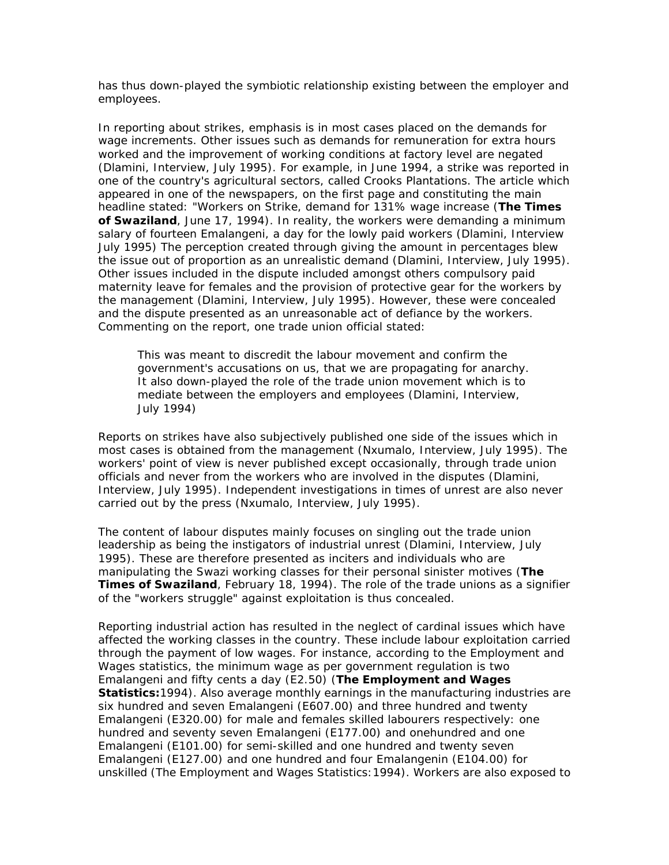has thus down-played the symbiotic relationship existing between the employer and employees.

In reporting about strikes, emphasis is in most cases placed on the demands for wage increments. Other issues such as demands for remuneration for extra hours worked and the improvement of working conditions at factory level are negated (Dlamini, Interview, July 1995). For example, in June 1994, a strike was reported in one of the country's agricultural sectors, called Crooks Plantations. The article which appeared in one of the newspapers, on the first page and constituting the main headline stated: "Workers on Strike, demand for 131% wage increase (**The Times of Swaziland**, June 17, 1994). In reality, the workers were demanding a minimum salary of fourteen Emalangeni, a day for the lowly paid workers (Dlamini, Interview July 1995) The perception created through giving the amount in percentages blew the issue out of proportion as an unrealistic demand (Dlamini, Interview, July 1995). Other issues included in the dispute included amongst others compulsory paid maternity leave for females and the provision of protective gear for the workers by the management (Dlamini, Interview, July 1995). However, these were concealed and the dispute presented as an unreasonable act of defiance by the workers. Commenting on the report, one trade union official stated:

This was meant to discredit the labour movement and confirm the government's accusations on us, that we are propagating for anarchy. It also down-played the role of the trade union movement which is to mediate between the employers and employees (Dlamini, Interview, July 1994)

Reports on strikes have also subjectively published one side of the issues which in most cases is obtained from the management (Nxumalo, Interview, July 1995). The workers' point of view is never published except occasionally, through trade union officials and never from the workers who are involved in the disputes (Dlamini, Interview, July 1995). Independent investigations in times of unrest are also never carried out by the press (Nxumalo, Interview, July 1995).

The content of labour disputes mainly focuses on singling out the trade union leadership as being the instigators of industrial unrest (Dlamini, Interview, July 1995). These are therefore presented as inciters and individuals who are manipulating the Swazi working classes for their personal sinister motives (**The Times of Swaziland**, February 18, 1994). The role of the trade unions as a signifier of the "workers struggle" against exploitation is thus concealed.

Reporting industrial action has resulted in the neglect of cardinal issues which have affected the working classes in the country. These include labour exploitation carried through the payment of low wages. For instance, according to the Employment and Wages statistics, the minimum wage as per government regulation is two Emalangeni and fifty cents a day (E2.50) (**The Employment and Wages Statistics:**1994). Also average monthly earnings in the manufacturing industries are six hundred and seven Emalangeni (E607.00) and three hundred and twenty Emalangeni (E320.00) for male and females skilled labourers respectively: one hundred and seventy seven Emalangeni (E177.00) and onehundred and one Emalangeni (E101.00) for semi-skilled and one hundred and twenty seven Emalangeni (E127.00) and one hundred and four Emalangenin (E104.00) for unskilled (The Employment and Wages Statistics:1994). Workers are also exposed to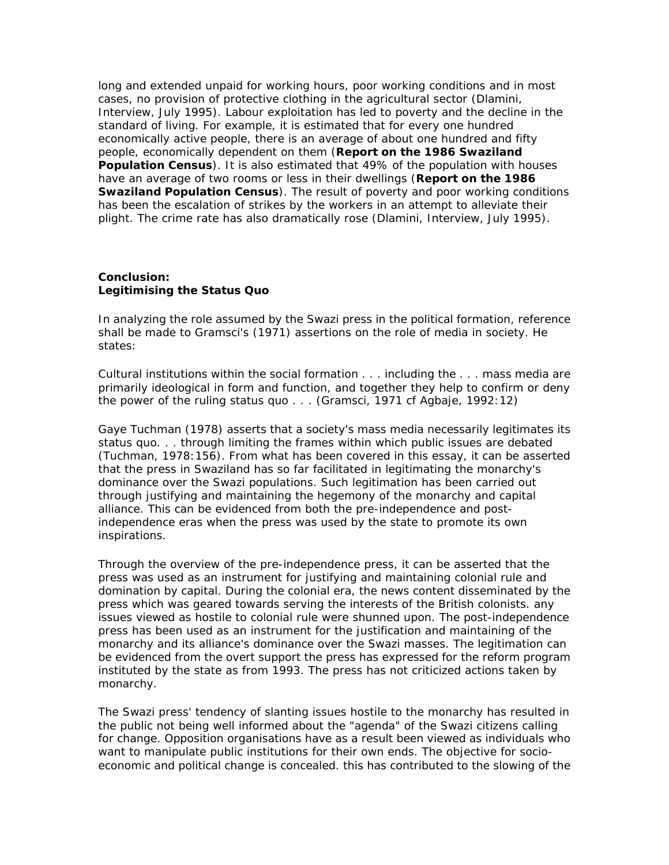long and extended unpaid for working hours, poor working conditions and in most cases, no provision of protective clothing in the agricultural sector (Dlamini, Interview, July 1995). Labour exploitation has led to poverty and the decline in the standard of living. For example, it is estimated that for every one hundred economically active people, there is an average of about one hundred and fifty people, economically dependent on them (**Report on the 1986 Swaziland Population Census**). It is also estimated that 49% of the population with houses have an average of two rooms or less in their dwellings (**Report on the 1986 Swaziland Population Census**). The result of poverty and poor working conditions has been the escalation of strikes by the workers in an attempt to alleviate their plight. The crime rate has also dramatically rose (Dlamini, Interview, July 1995).

# **Conclusion: Legitimising the Status Quo**

In analyzing the role assumed by the Swazi press in the political formation, reference shall be made to Gramsci's (1971) assertions on the role of media in society. He states:

Cultural institutions within the social formation . . . including the . . . mass media are primarily ideological in form and function, and together they help to confirm or deny the power of the ruling status quo . . . (Gramsci, 1971 cf Agbaje, 1992:12)

Gaye Tuchman (1978) asserts that a society's mass media necessarily legitimates its status quo. . . through limiting the frames within which public issues are debated (Tuchman, 1978:156). From what has been covered in this essay, it can be asserted that the press in Swaziland has so far facilitated in legitimating the monarchy's dominance over the Swazi populations. Such legitimation has been carried out through justifying and maintaining the hegemony of the monarchy and capital alliance. This can be evidenced from both the pre-independence and postindependence eras when the press was used by the state to promote its own inspirations.

Through the overview of the pre-independence press, it can be asserted that the press was used as an instrument for justifying and maintaining colonial rule and domination by capital. During the colonial era, the news content disseminated by the press which was geared towards serving the interests of the British colonists. any issues viewed as hostile to colonial rule were shunned upon. The post-independence press has been used as an instrument for the justification and maintaining of the monarchy and its alliance's dominance over the Swazi masses. The legitimation can be evidenced from the overt support the press has expressed for the reform program instituted by the state as from 1993. The press has not criticized actions taken by monarchy.

The Swazi press' tendency of slanting issues hostile to the monarchy has resulted in the public not being well informed about the "agenda" of the Swazi citizens calling for change. Opposition organisations have as a result been viewed as individuals who want to manipulate public institutions for their own ends. The objective for socioeconomic and political change is concealed. this has contributed to the slowing of the